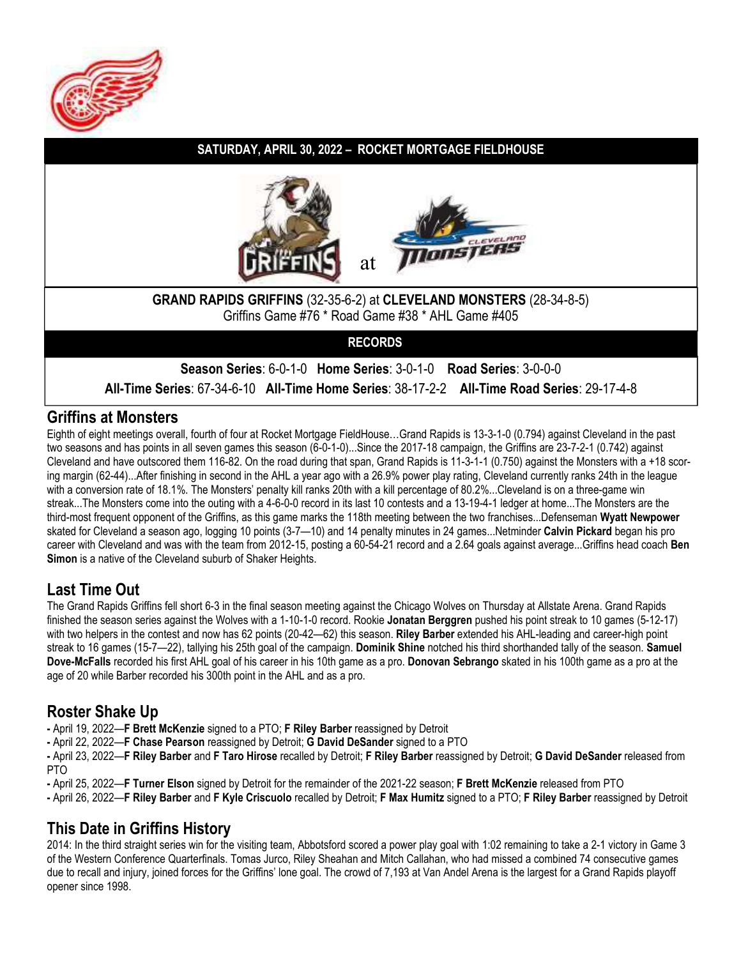

### **SATURDAY, APRIL 30, 2022 – ROCKET MORTGAGE FIELDHOUSE**





#### **GRAND RAPIDS GRIFFINS** (32-35-6-2) at **CLEVELAND MONSTERS** (28-34-8-5) Griffins Game #76 \* Road Game #38 \* AHL Game #405

**RECORDS**

**Season Series**: 6-0-1-0 **Home Series**: 3-0-1-0 **Road Series**: 3-0-0-0

**All-Time Series**: 67-34-6-10 **All-Time Home Series**: 38-17-2-2 **All-Time Road Series**: 29-17-4-8

### **Griffins at Monsters**

Eighth of eight meetings overall, fourth of four at Rocket Mortgage FieldHouse…Grand Rapids is 13-3-1-0 (0.794) against Cleveland in the past two seasons and has points in all seven games this season (6-0-1-0)...Since the 2017-18 campaign, the Griffins are 23-7-2-1 (0.742) against Cleveland and have outscored them 116-82. On the road during that span, Grand Rapids is 11-3-1-1 (0.750) against the Monsters with  $a + 18$  scoring margin (62-44)...After finishing in second in the AHL a year ago with a 26.9% power play rating, Cleveland currently ranks 24th in the league with a conversion rate of 18.1%. The Monsters' penalty kill ranks 20th with a kill percentage of 80.2%...Cleveland is on a three-game win streak...The Monsters come into the outing with a 4-6-0-0 record in its last 10 contests and a 13-19-4-1 ledger at home...The Monsters are the third-most frequent opponent of the Griffins, as this game marks the 118th meeting between the two franchises...Defenseman **Wyatt Newpower**  skated for Cleveland a season ago, logging 10 points (3-7—10) and 14 penalty minutes in 24 games...Netminder **Calvin Pickard** began his pro career with Cleveland and was with the team from 2012-15, posting a 60-54-21 record and a 2.64 goals against average...Griffins head coach **Ben Simon** is a native of the Cleveland suburb of Shaker Heights.

### **Last Time Out**

The Grand Rapids Griffins fell short 6-3 in the final season meeting against the Chicago Wolves on Thursday at Allstate Arena. Grand Rapids finished the season series against the Wolves with a 1-10-1-0 record. Rookie **Jonatan Berggren** pushed his point streak to 10 games (5-12-17) with two helpers in the contest and now has 62 points (20-42—62) this season. **Riley Barber** extended his AHL-leading and career-high point streak to 16 games (15-7—22), tallying his 25th goal of the campaign. **Dominik Shine** notched his third shorthanded tally of the season. **Samuel Dove-McFalls** recorded his first AHL goal of his career in his 10th game as a pro. **Donovan Sebrango** skated in his 100th game as a pro at the age of 20 while Barber recorded his 300th point in the AHL and as a pro.

### **Roster Shake Up**

**-** April 19, 2022—**F Brett McKenzie** signed to a PTO; **F Riley Barber** reassigned by Detroit

**-** April 22, 2022—**F Chase Pearson** reassigned by Detroit; **G David DeSander** signed to a PTO

**-** April 23, 2022—**F Riley Barber** and **F Taro Hirose** recalled by Detroit; **F Riley Barber** reassigned by Detroit; **G David DeSander** released from PTO

**-** April 25, 2022—**F Turner Elson** signed by Detroit for the remainder of the 2021-22 season; **F Brett McKenzie** released from PTO

**-** April 26, 2022—**F Riley Barber** and **F Kyle Criscuolo** recalled by Detroit; **F Max Humitz** signed to a PTO; **F Riley Barber** reassigned by Detroit

### **This Date in Griffins History**

2014: In the third straight series win for the visiting team, Abbotsford scored a power play goal with 1:02 remaining to take a 2-1 victory in Game 3 of the Western Conference Quarterfinals. Tomas Jurco, Riley Sheahan and Mitch Callahan, who had missed a combined 74 consecutive games due to recall and injury, joined forces for the Griffins' lone goal. The crowd of 7,193 at Van Andel Arena is the largest for a Grand Rapids playoff opener since 1998.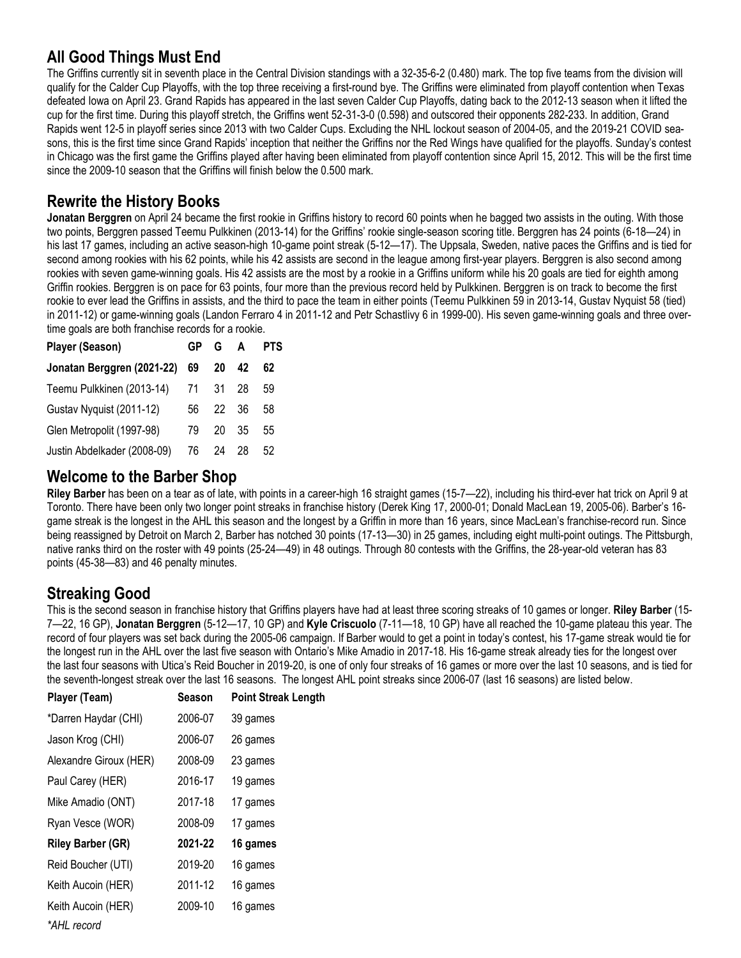### **All Good Things Must End**

The Griffins currently sit in seventh place in the Central Division standings with a 32-35-6-2 (0.480) mark. The top five teams from the division will qualify for the Calder Cup Playoffs, with the top three receiving a first-round bye. The Griffins were eliminated from playoff contention when Texas defeated Iowa on April 23. Grand Rapids has appeared in the last seven Calder Cup Playoffs, dating back to the 2012-13 season when it lifted the cup for the first time. During this playoff stretch, the Griffins went 52-31-3-0 (0.598) and outscored their opponents 282-233. In addition, Grand Rapids went 12-5 in playoff series since 2013 with two Calder Cups. Excluding the NHL lockout season of 2004-05, and the 2019-21 COVID seasons, this is the first time since Grand Rapids' inception that neither the Griffins nor the Red Wings have qualified for the playoffs. Sunday's contest in Chicago was the first game the Griffins played after having been eliminated from playoff contention since April 15, 2012. This will be the first time since the 2009-10 season that the Griffins will finish below the 0.500 mark.

### **Rewrite the History Books**

**Jonatan Berggren** on April 24 became the first rookie in Griffins history to record 60 points when he bagged two assists in the outing. With those two points, Berggren passed Teemu Pulkkinen (2013-14) for the Griffins' rookie single-season scoring title. Berggren has 24 points (6-18—24) in his last 17 games, including an active season-high 10-game point streak (5-12—17). The Uppsala, Sweden, native paces the Griffins and is tied for second among rookies with his 62 points, while his 42 assists are second in the league among first-year players. Berggren is also second among rookies with seven game-winning goals. His 42 assists are the most by a rookie in a Griffins uniform while his 20 goals are tied for eighth among Griffin rookies. Berggren is on pace for 63 points, four more than the previous record held by Pulkkinen. Berggren is on track to become the first rookie to ever lead the Griffins in assists, and the third to pace the team in either points (Teemu Pulkkinen 59 in 2013-14, Gustav Nyquist 58 (tied) in 2011-12) or game-winning goals (Landon Ferraro 4 in 2011-12 and Petr Schastlivy 6 in 1999-00). His seven game-winning goals and three overtime goals are both franchise records for a rookie.

| <b>Player (Season)</b>        | GP | G A   |    | <b>PTS</b> |
|-------------------------------|----|-------|----|------------|
| Jonatan Berggren (2021-22) 69 |    | 20    | 42 | 62         |
| Teemu Pulkkinen (2013-14)     | 71 | 31 28 |    | 59         |
| Gustav Nyquist (2011-12)      | 56 | 22 36 |    | 58         |
| Glen Metropolit (1997-98)     | 79 | 20    | 35 | 55         |
| Justin Abdelkader (2008-09)   | 76 | 24    | 28 | 52         |

### **Welcome to the Barber Shop**

**Riley Barber** has been on a tear as of late, with points in a career-high 16 straight games (15-7—22), including his third-ever hat trick on April 9 at Toronto. There have been only two longer point streaks in franchise history (Derek King 17, 2000-01; Donald MacLean 19, 2005-06). Barber's 16 game streak is the longest in the AHL this season and the longest by a Griffin in more than 16 years, since MacLean's franchise-record run. Since being reassigned by Detroit on March 2, Barber has notched 30 points (17-13—30) in 25 games, including eight multi-point outings. The Pittsburgh, native ranks third on the roster with 49 points (25-24—49) in 48 outings. Through 80 contests with the Griffins, the 28-year-old veteran has 83 points (45-38—83) and 46 penalty minutes.

### **Streaking Good**

This is the second season in franchise history that Griffins players have had at least three scoring streaks of 10 games or longer. **Riley Barber** (15- 7—22, 16 GP), **Jonatan Berggren** (5-12—17, 10 GP) and **Kyle Criscuolo** (7-11—18, 10 GP) have all reached the 10-game plateau this year. The record of four players was set back during the 2005-06 campaign. If Barber would to get a point in today's contest, his 17-game streak would tie for the longest run in the AHL over the last five season with Ontario's Mike Amadio in 2017-18. His 16-game streak already ties for the longest over the last four seasons with Utica's Reid Boucher in 2019-20, is one of only four streaks of 16 games or more over the last 10 seasons, and is tied for the seventh-longest streak over the last 16 seasons. The longest AHL point streaks since 2006-07 (last 16 seasons) are listed below.

| Player (Team)            | <b>Season</b> | <b>Point Streak Length</b> |
|--------------------------|---------------|----------------------------|
| *Darren Haydar (CHI)     | 2006-07       | 39 games                   |
| Jason Krog (CHI)         | 2006-07       | 26 games                   |
| Alexandre Giroux (HER)   | 2008-09       | 23 games                   |
| Paul Carey (HER)         | 2016-17       | 19 games                   |
| Mike Amadio (ONT)        | 2017-18       | 17 games                   |
| Ryan Vesce (WOR)         | 2008-09       | 17 games                   |
| <b>Riley Barber (GR)</b> | 2021-22       | 16 games                   |
| Reid Boucher (UTI)       | 2019-20       | 16 games                   |
| Keith Aucoin (HER)       | 2011-12       | 16 games                   |
| Keith Aucoin (HER)       | 2009-10       | 16 games                   |
| *AHL record              |               |                            |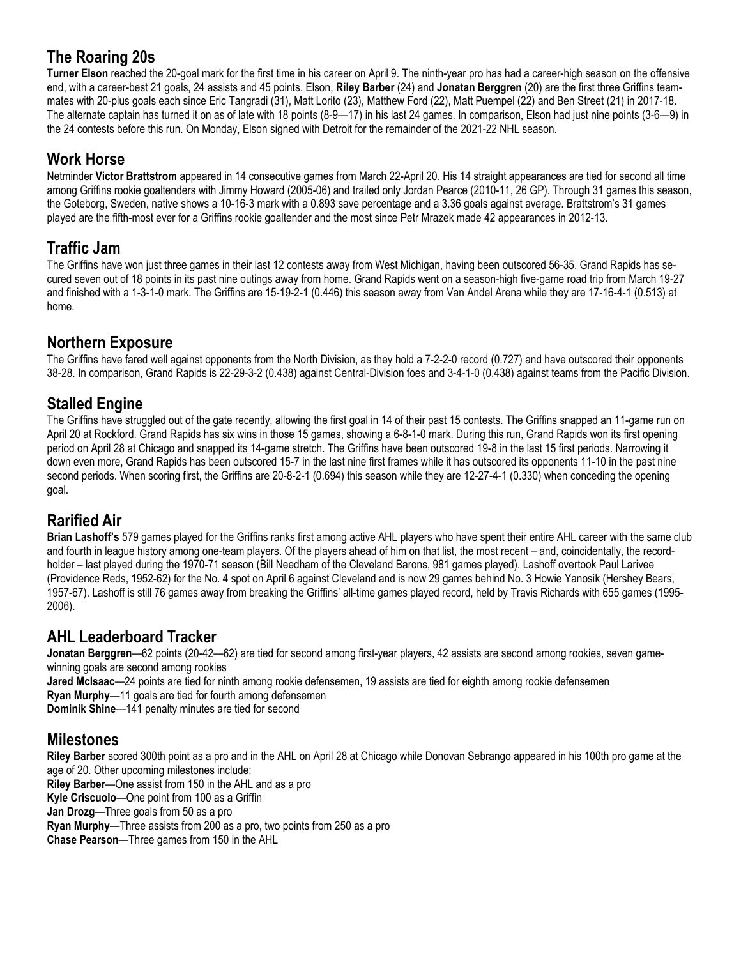### **The Roaring 20s**

**Turner Elson** reached the 20-goal mark for the first time in his career on April 9. The ninth-year pro has had a career-high season on the offensive end, with a career-best 21 goals, 24 assists and 45 points. Elson, **Riley Barber** (24) and **Jonatan Berggren** (20) are the first three Griffins teammates with 20-plus goals each since Eric Tangradi (31), Matt Lorito (23), Matthew Ford (22), Matt Puempel (22) and Ben Street (21) in 2017-18. The alternate captain has turned it on as of late with 18 points (8-9—17) in his last 24 games. In comparison, Elson had just nine points (3-6—9) in the 24 contests before this run. On Monday, Elson signed with Detroit for the remainder of the 2021-22 NHL season.

### **Work Horse**

Netminder **Victor Brattstrom** appeared in 14 consecutive games from March 22-April 20. His 14 straight appearances are tied for second all time among Griffins rookie goaltenders with Jimmy Howard (2005-06) and trailed only Jordan Pearce (2010-11, 26 GP). Through 31 games this season, the Goteborg, Sweden, native shows a 10-16-3 mark with a 0.893 save percentage and a 3.36 goals against average. Brattstrom's 31 games played are the fifth-most ever for a Griffins rookie goaltender and the most since Petr Mrazek made 42 appearances in 2012-13.

### **Traffic Jam**

The Griffins have won just three games in their last 12 contests away from West Michigan, having been outscored 56-35. Grand Rapids has secured seven out of 18 points in its past nine outings away from home. Grand Rapids went on a season-high five-game road trip from March 19-27 and finished with a 1-3-1-0 mark. The Griffins are 15-19-2-1 (0.446) this season away from Van Andel Arena while they are 17-16-4-1 (0.513) at home.

### **Northern Exposure**

The Griffins have fared well against opponents from the North Division, as they hold a 7-2-2-0 record (0.727) and have outscored their opponents 38-28. In comparison, Grand Rapids is 22-29-3-2 (0.438) against Central-Division foes and 3-4-1-0 (0.438) against teams from the Pacific Division.

### **Stalled Engine**

The Griffins have struggled out of the gate recently, allowing the first goal in 14 of their past 15 contests. The Griffins snapped an 11-game run on April 20 at Rockford. Grand Rapids has six wins in those 15 games, showing a 6-8-1-0 mark. During this run, Grand Rapids won its first opening period on April 28 at Chicago and snapped its 14-game stretch. The Griffins have been outscored 19-8 in the last 15 first periods. Narrowing it down even more, Grand Rapids has been outscored 15-7 in the last nine first frames while it has outscored its opponents 11-10 in the past nine second periods. When scoring first, the Griffins are 20-8-2-1 (0.694) this season while they are 12-27-4-1 (0.330) when conceding the opening goal.

### **Rarified Air**

**Brian Lashoff's** 579 games played for the Griffins ranks first among active AHL players who have spent their entire AHL career with the same club and fourth in league history among one-team players. Of the players ahead of him on that list, the most recent – and, coincidentally, the recordholder – last played during the 1970-71 season (Bill Needham of the Cleveland Barons, 981 games played). Lashoff overtook Paul Larivee (Providence Reds, 1952-62) for the No. 4 spot on April 6 against Cleveland and is now 29 games behind No. 3 Howie Yanosik (Hershey Bears, 1957-67). Lashoff is still 76 games away from breaking the Griffins' all-time games played record, held by Travis Richards with 655 games (1995- 2006).

### **AHL Leaderboard Tracker**

**Jonatan Berggren**—62 points (20-42—62) are tied for second among first-year players, 42 assists are second among rookies, seven gamewinning goals are second among rookies

**Jared McIsaac**—24 points are tied for ninth among rookie defensemen, 19 assists are tied for eighth among rookie defensemen **Ryan Murphy**—11 goals are tied for fourth among defensemen **Dominik Shine**—141 penalty minutes are tied for second

### **Milestones**

**Riley Barber** scored 300th point as a pro and in the AHL on April 28 at Chicago while Donovan Sebrango appeared in his 100th pro game at the age of 20. Other upcoming milestones include:

**Riley Barber**—One assist from 150 in the AHL and as a pro **Kyle Criscuolo**—One point from 100 as a Griffin **Jan Drozg**—Three goals from 50 as a pro **Ryan Murphy**—Three assists from 200 as a pro, two points from 250 as a pro **Chase Pearson**—Three games from 150 in the AHL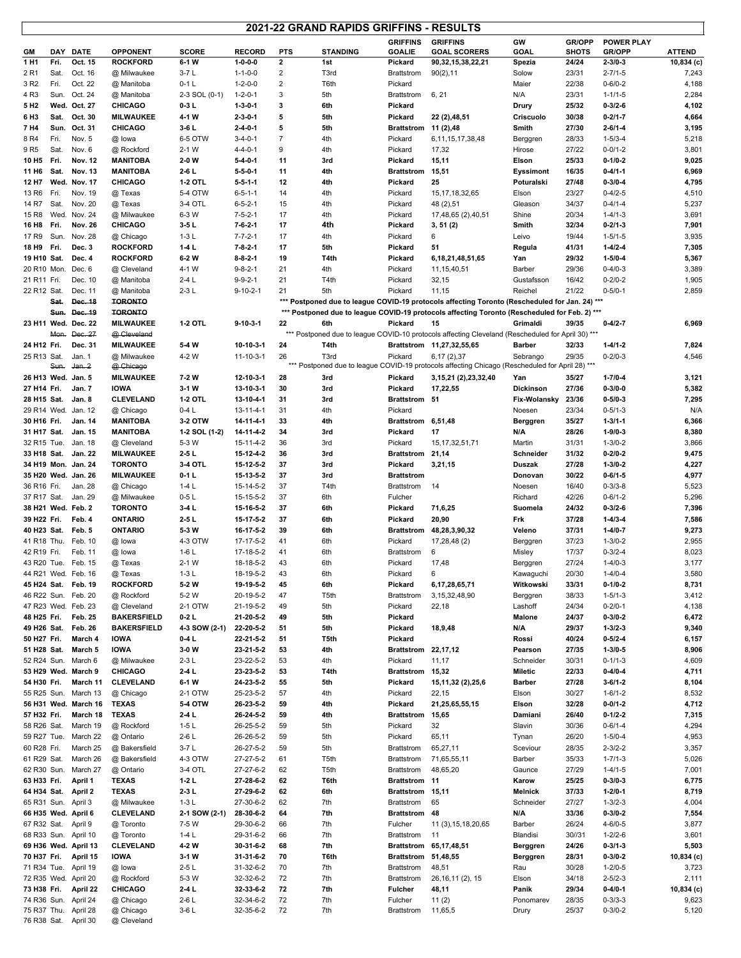#### **2021-22 GRAND RAPIDS GRIFFINS - RESULTS**

 $\mathsf{r}$ 

|                            | 2021-22 GRAND RAPIDS GRIFFINS - RESULTS                                                                                                                                                                                                                                                 |                                              |                                 |                        |                                    |                                  |                  |                                 |                                                                                                 |                        |                |                                |                |
|----------------------------|-----------------------------------------------------------------------------------------------------------------------------------------------------------------------------------------------------------------------------------------------------------------------------------------|----------------------------------------------|---------------------------------|------------------------|------------------------------------|----------------------------------|------------------|---------------------------------|-------------------------------------------------------------------------------------------------|------------------------|----------------|--------------------------------|----------------|
|                            |                                                                                                                                                                                                                                                                                         |                                              |                                 |                        |                                    |                                  |                  | <b>GRIFFINS</b>                 | <b>GRIFFINS</b>                                                                                 | GW                     | GR/OPP         | <b>POWER PLAY</b>              |                |
| GМ                         |                                                                                                                                                                                                                                                                                         | DAY DATE                                     | <b>OPPONENT</b>                 | <b>SCORE</b>           | <b>RECORD</b>                      | <b>PTS</b>                       | <b>STANDING</b>  | <b>GOALIE</b>                   | <b>GOAL SCORERS</b>                                                                             | GOAL                   | <b>SHOTS</b>   | <b>GR/OPP</b>                  | <b>ATTEND</b>  |
| 1 H <sub>1</sub>           | Fri.                                                                                                                                                                                                                                                                                    | Oct. 15                                      | <b>ROCKFORD</b>                 | 6-1 W                  | $1 - 0 - 0 - 0$                    | $\mathbf{2}$                     | 1st              | Pickard                         | 90,32,15,38,22,21                                                                               | Spezia                 | 24/24          | $2 - 3/0 - 3$                  | 10,834 (c)     |
| 2 R1<br>3 R <sub>2</sub>   | Sat.<br>Fri.                                                                                                                                                                                                                                                                            | Oct. 16<br>Oct. 22                           | @ Milwaukee<br>@ Manitoba       | $3-7L$<br>$0-1$ L      | $1 - 1 - 0 - 0$<br>$1 - 2 - 0 - 0$ | $\overline{c}$<br>$\overline{2}$ | T3rd<br>T6th     | <b>Brattstrom</b><br>Pickard    | 90(2), 11                                                                                       | Solow<br>Maier         | 23/31<br>22/38 | $2 - 7/1 - 5$<br>$0 - 6/0 - 2$ | 7,243<br>4,188 |
| 4 R3                       | Sun.                                                                                                                                                                                                                                                                                    | Oct. 24                                      | @ Manitoba                      | 2-3 SOL (0-1)          | $1 - 2 - 0 - 1$                    | 3                                | 5th              | Brattstrom                      | 6, 21                                                                                           | N/A                    | 23/31          | $1 - 1/1 - 5$                  | 2,284          |
| 5 H2                       |                                                                                                                                                                                                                                                                                         | Wed. Oct. 27                                 | CHICAGO                         | $0-3L$                 | $1-3-0-1$                          | 3                                | 6th              | Pickard                         |                                                                                                 | Drury                  | 25/32          | $0 - 3/2 - 6$                  | 4,102          |
| 6 H3                       | Sat.                                                                                                                                                                                                                                                                                    | Oct. 30                                      | <b>MILWAUKEE</b>                | 4-1 W                  | $2 - 3 - 0 - 1$                    | 5                                | 5th              | Pickard                         | 22 (2),48,51                                                                                    | Criscuolo              | 30/38          | $0 - 2/1 - 7$                  | 4,664          |
| 7 H4                       | Sun.                                                                                                                                                                                                                                                                                    | Oct. 31                                      | <b>CHICAGO</b>                  | 3-6 L                  | 2-4-0-1                            | 5                                | 5th              | <b>Brattstrom</b>               | 11 (2),48                                                                                       | Smith                  | 27/30          | $2 - 6/1 - 4$                  | 3,195          |
| 8 R4                       | Fri.                                                                                                                                                                                                                                                                                    | Nov. 5                                       | @ lowa                          | 6-5 OTW                | $3 - 4 - 0 - 1$                    | $\overline{7}$                   | 4th              | Pickard                         | 6, 11, 15, 17, 38, 48                                                                           | Berggren               | 28/33          | $1 - 5/3 - 4$                  | 5,218          |
| 9 R <sub>5</sub>           | Sat.                                                                                                                                                                                                                                                                                    | Nov. 6                                       | @ Rockford                      | 2-1 W                  | $4 - 4 - 0 - 1$                    | 9                                | 4th              | Pickard                         | 17,32                                                                                           | Hirose                 | 27/22          | $0 - 0/1 - 2$                  | 3,801          |
| 10 H <sub>5</sub>          | Fri.                                                                                                                                                                                                                                                                                    | <b>Nov. 12</b>                               | <b>MANITOBA</b>                 | 2-0 W                  | 5-4-0-1                            | 11                               | 3rd              | Pickard                         | 15,11                                                                                           | Elson                  | 25/33          | $0 - 1/0 - 2$                  | 9,025          |
| 11 H <sub>6</sub>          | Sat.                                                                                                                                                                                                                                                                                    | <b>Nov. 13</b>                               | <b>MANITOBA</b>                 | 2-6 L                  | $5-5-0-1$                          | 11                               | 4th              | <b>Brattstrom</b>               | 15,51                                                                                           | Eyssimont              | 16/35          | $0 - 4/1 - 1$                  | 6,969          |
| 12 H7                      |                                                                                                                                                                                                                                                                                         | Wed. Nov. 17                                 | <b>CHICAGO</b>                  | 1-2 OTL                | $5-5-1-1$                          | 12                               | 4th              | Pickard                         | 25                                                                                              | Poturalski             | 27/48          | $0 - 3/0 - 4$                  | 4,795          |
| 13 R <sub>6</sub>          | Fri.<br>Sat.                                                                                                                                                                                                                                                                            | Nov. 19                                      | @ Texas                         | 5-4 OTW                | $6 - 5 - 1 - 1$                    | 14<br>15                         | 4th<br>4th       | Pickard                         | 15, 17, 18, 32, 65                                                                              | Elson                  | 23/27<br>34/37 | $0 - 4/2 - 5$                  | 4,510<br>5,237 |
| 14 R7<br>15 R <sub>8</sub> |                                                                                                                                                                                                                                                                                         | Nov. 20<br>Wed. Nov. 24                      | @ Texas<br>@ Milwaukee          | 3-4 OTL<br>6-3 W       | $6 - 5 - 2 - 1$<br>$7 - 5 - 2 - 1$ | 17                               | 4th              | Pickard<br>Pickard              | 48 (2),51<br>17,48,65 (2),40,51                                                                 | Gleason<br>Shine       | 20/34          | $0 - 4/1 - 4$<br>$1 - 4/1 - 3$ | 3,691          |
| 16 H8                      | Fri.                                                                                                                                                                                                                                                                                    | <b>Nov. 26</b>                               | <b>CHICAGO</b>                  | $3-5$ L                | $7-6-2-1$                          | 17                               | 4th              | Pickard                         | 3, 51(2)                                                                                        | Smith                  | 32/34          | $0 - 2/1 - 3$                  | 7,901          |
| 17 R9                      | Sun.                                                                                                                                                                                                                                                                                    | Nov. 28                                      | @ Chicago                       | $1-3L$                 | $7 - 7 - 2 - 1$                    | 17                               | 4th              | Pickard                         | 6                                                                                               | Leivo                  | 19/44          | $1 - 5/1 - 5$                  | 3,935          |
| 18 H9                      | Fri.                                                                                                                                                                                                                                                                                    | Dec. 3                                       | <b>ROCKFORD</b>                 | $1-4L$                 | $7-8-2-1$                          | 17                               | 5th              | Pickard                         | 51                                                                                              | Regula                 | 41/31          | $1 - 4/2 - 4$                  | 7,305          |
| 19 H10 Sat.                |                                                                                                                                                                                                                                                                                         | Dec. 4                                       | <b>ROCKFORD</b>                 | 6-2 W                  | $8 - 8 - 2 - 1$                    | 19                               | T4th             | Pickard                         | 6, 18, 21, 48, 51, 65                                                                           | Yan                    | 29/32          | $1 - 5/0 - 4$                  | 5,367          |
| 20 R10 Mon.                |                                                                                                                                                                                                                                                                                         | Dec. 6                                       | @ Cleveland                     | 4-1 W                  | $9 - 8 - 2 - 1$                    | 21                               | 4th              | Pickard                         | 11, 15, 40, 51                                                                                  | Barber                 | 29/36          | $0 - 4/0 - 3$                  | 3,389          |
| 21 R11 Fri.                |                                                                                                                                                                                                                                                                                         | Dec. 10                                      | @ Manitoba                      | 2-4 L                  | 9-9-2-1                            | 21                               | T4th             | Pickard                         | 32,15                                                                                           | Gustafsson             | 16/42          | $0 - 2/0 - 2$                  | 1,905          |
| 22 R12 Sat.                |                                                                                                                                                                                                                                                                                         | Dec. 11                                      | @ Manitoba                      | 2-3 L                  | $9 - 10 - 2 - 1$                   | 21                               | 5th              | Pickard                         | 11,15                                                                                           | Reichel                | 21/22          | $0 - 5/0 - 1$                  | 2,859          |
|                            | Sat.                                                                                                                                                                                                                                                                                    | Dec. 18                                      | <b>TORONTO</b>                  |                        |                                    |                                  |                  |                                 | *** Postponed due to league COVID-19 protocols affecting Toronto (Rescheduled for Jan. 24) ***  |                        |                |                                |                |
|                            |                                                                                                                                                                                                                                                                                         | Sun. Dec. 19                                 | <b>TORONTO</b>                  |                        |                                    |                                  |                  |                                 | *** Postponed due to league COVID-19 protocols affecting Toronto (Rescheduled for Feb. 2) ***   |                        |                |                                |                |
|                            | 23 H11 Wed. Dec. 22<br><b>MILWAUKEE</b><br>1-2 OTL<br>$9 - 10 - 3 - 1$<br>22<br>6th<br>Pickard<br>15<br>Grimaldi<br>39/35<br>$0 - 4/2 - 7$<br>6,969<br>*** Postponed due to league COVID-10 protocols affecting Cleveland (Rescheduled for April 30) ***<br>Mon. Dec. 27<br>@ Cleveland |                                              |                                 |                        |                                    |                                  |                  |                                 |                                                                                                 |                        |                |                                |                |
| 24 H12 Fri.                |                                                                                                                                                                                                                                                                                         | Dec. 31                                      | <b>MILWAUKEE</b>                | 5-4 W                  | 10-10-3-1                          | 24                               | T4th             |                                 | Brattstrom 11,27,32,55,65                                                                       | <b>Barber</b>          | 32/33          | $1 - 4/1 - 2$                  | 7,824          |
| 25 R13 Sat.                |                                                                                                                                                                                                                                                                                         | Jan. 1                                       | @ Milwaukee                     | 4-2 W                  | $11 - 10 - 3 - 1$                  | 26                               | T3rd             | Pickard                         | 6, 17(2), 37                                                                                    | Sebrango               | 29/35          | $0 - 2/0 - 3$                  | 4,546          |
|                            | Sun.                                                                                                                                                                                                                                                                                    | Jan. 2                                       | @ Chicago                       |                        |                                    |                                  |                  |                                 | *** Postponed due to league COVID-19 protocols affecting Chicago (Rescheduled for April 28) *** |                        |                |                                |                |
|                            |                                                                                                                                                                                                                                                                                         | 26 H13 Wed. Jan. 5                           | <b>MILWAUKEE</b>                | 7-2 W                  | 12-10-3-1                          | 28                               | 3rd              | Pickard                         | 3, 15, 21 (2), 23, 32, 40                                                                       | Yan                    | 35/27          | $1 - 7/0 - 4$                  | 3,121          |
| 27 H14 Fri.                |                                                                                                                                                                                                                                                                                         | Jan. 7                                       | <b>IOWA</b>                     | $3 - 1$ W              | 13-10-3-1                          | 30                               | 3rd              | Pickard                         | 17,22,55                                                                                        | <b>Dickinson</b>       | 27/36          | $0 - 3/0 - 0$                  | 5,382          |
| 28 H15 Sat.                |                                                                                                                                                                                                                                                                                         | Jan. 8                                       | <b>CLEVELAND</b>                | <b>1-2 OTL</b>         | 13-10-4-1                          | 31                               | 3rd              | Brattstrom 51                   |                                                                                                 | Fix-Wolansky           | 23/36          | $0 - 5/0 - 3$                  | 7,295          |
| 29 R14 Wed.                |                                                                                                                                                                                                                                                                                         | Jan. 12                                      | @ Chicago                       | $0-4L$                 | $13 - 11 - 4 - 1$                  | 31                               | 4th              | Pickard                         |                                                                                                 | Noesen                 | 23/34          | $0 - 5/1 - 3$                  | N/A            |
| 30 H16 Fri.                |                                                                                                                                                                                                                                                                                         | Jan. 14                                      | <b>MANITOBA</b>                 | 3-2 OTW                | 14-11-4-1                          | 33                               | 4th              | Brattstrom 6,51,48              |                                                                                                 | Berggren               | 35/27          | $1 - 3/1 - 1$                  | 6,366          |
| 31 H17 Sat.                |                                                                                                                                                                                                                                                                                         | <b>Jan. 15</b>                               | <b>MANITOBA</b>                 | 1-2 SOL (1-2)<br>5-3 W | 14-11-4-2                          | 34<br>36                         | 3rd              | Pickard                         | 17                                                                                              | N/A<br>Martin          | 28/26<br>31/31 | $1 - 9/0 - 3$<br>$1 - 3/0 - 2$ | 8,380<br>3,866 |
| 32 R15 Tue.<br>33 H18 Sat. |                                                                                                                                                                                                                                                                                         | Jan. 18<br>Jan. 22                           | @ Cleveland<br><b>MILWAUKEE</b> | $2-5L$                 | 15-11-4-2<br>15-12-4-2             | 36                               | 3rd<br>3rd       | Pickard<br><b>Brattstrom</b>    | 15, 17, 32, 51, 71<br>21,14                                                                     | Schneider              | 31/32          | $0 - 2/0 - 2$                  | 9,475          |
|                            |                                                                                                                                                                                                                                                                                         | 34 H19 Mon. Jan. 24                          | <b>TORONTO</b>                  | 3-4 OTL                | 15-12-5-2                          | 37                               | 3rd              | Pickard                         | 3,21,15                                                                                         | <b>Duszak</b>          | 27/28          | $1 - 3/0 - 2$                  | 4,227          |
|                            |                                                                                                                                                                                                                                                                                         | 35 H20 Wed. Jan. 26                          | <b>MILWAUKEE</b>                | $0-1$ L                | 15-13-5-2                          | 37                               | 3rd              | <b>Brattstrom</b>               |                                                                                                 | Donovan                | 30/22          | $0 - 6/1 - 5$                  | 4,977          |
| 36 R16 Fri.                |                                                                                                                                                                                                                                                                                         | Jan. 28                                      | @ Chicago                       | $1-4L$                 | 15-14-5-2                          | 37                               | T4th             | Brattstrom                      | 14                                                                                              | Noesen                 | 16/40          | $0 - 3/3 - 8$                  | 5,523          |
| 37 R17 Sat.                |                                                                                                                                                                                                                                                                                         | Jan. 29                                      | @ Milwaukee                     | $0-5L$                 | 15-15-5-2                          | 37                               | 6th              | Fulcher                         |                                                                                                 | Richard                | 42/26          | $0 - 6/1 - 2$                  | 5,296          |
|                            |                                                                                                                                                                                                                                                                                         | 38 H21 Wed. Feb. 2                           | <b>TORONTO</b>                  | $3-4$ L                | 15-16-5-2                          | 37                               | 6th              | Pickard                         | 71,6,25                                                                                         | Suomela                | 24/32          | $0 - 3/2 - 6$                  | 7,396          |
| 39 H22 Fri.                |                                                                                                                                                                                                                                                                                         | Feb. 4                                       | <b>ONTARIO</b>                  | $2-5L$                 | 15-17-5-2                          | 37                               | 6th              | Pickard                         | 20,90                                                                                           | Frk                    | 37/28          | $1 - 4/3 - 4$                  | 7,586          |
| 40 H23 Sat.                |                                                                                                                                                                                                                                                                                         | Feb. 5                                       | <b>ONTARIO</b>                  | 5-3 W                  | 16-17-5-2                          | 39                               | 6th              | <b>Brattstrom</b>               | 48,28,3,90,32                                                                                   | Veleno                 | 37/31          | $1 - 4/0 - 7$                  | 9,273          |
| 41 R18 Thu.                |                                                                                                                                                                                                                                                                                         | Feb. 10                                      | @ lowa                          | 4-3 OTW                | 17-17-5-2                          | 41                               | 6th              | Pickard                         | 17,28,48 (2)                                                                                    | Berggren               | 37/23          | $1 - 3/0 - 2$                  | 2,955          |
| 42 R19 Fri.                |                                                                                                                                                                                                                                                                                         | Feb. 11<br>43 R20 Tue. Feb. 15               | @ lowa                          | $1-6L$<br>2-1 W        | 17-18-5-2<br>18-18-5-2             | 41<br>43                         | 6th              | Brattstrom<br>Pickard           | 6<br>17,48                                                                                      | Misley                 | 17/37<br>27/24 | $0 - 3/2 - 4$<br>$1 - 4/0 - 3$ | 8,023<br>3,177 |
|                            |                                                                                                                                                                                                                                                                                         | 44 R21 Wed. Feb. 16                          | @ Texas<br>@ Texas              | $1-3L$                 | 18-19-5-2                          | 43                               | 6th<br>6th       | Pickard                         | 6                                                                                               | Berggren<br>Kawaguchi  | 20/30          | $1 - 4/0 - 4$                  | 3,580          |
|                            |                                                                                                                                                                                                                                                                                         | 45 H24 Sat. Feb. 19                          | <b>ROCKFORD</b>                 | 5-2 W                  | 19-19-5-2                          | 45                               | 6th              | Pickard                         | 6,17,28,65,71                                                                                   | Witkowski              | 33/31          | $0 - 1/0 - 2$                  | 8,731          |
|                            |                                                                                                                                                                                                                                                                                         | 46 R22 Sun. Feb. 20                          | @ Rockford                      | 5-2 W                  | 20-19-5-2                          | 47                               | T <sub>5th</sub> | Brattstrom                      | 3, 15, 32, 48, 90                                                                               | Berggren               | 38/33          | $1 - 5/1 - 3$                  | 3,412          |
|                            |                                                                                                                                                                                                                                                                                         | 47 R23 Wed. Feb. 23                          | @ Cleveland                     | 2-1 OTW                | 21-19-5-2                          | 49                               | 5th              | Pickard                         | 22,18                                                                                           | Lashoff                | 24/34          | $0 - 2/0 - 1$                  | 4,138          |
| 48 H25 Fri.                |                                                                                                                                                                                                                                                                                         | Feb. 25                                      | <b>BAKERSFIELD</b>              | $0-2L$                 | 21-20-5-2                          | 49                               | 5th              | Pickard                         |                                                                                                 | Malone                 | 24/37          | $0 - 3/0 - 2$                  | 6,472          |
| 49 H26 Sat.                |                                                                                                                                                                                                                                                                                         | <b>Feb. 26</b>                               | <b>BAKERSFIELD</b>              | 4-3 SOW (2-1)          | 22-20-5-2                          | 51                               | 5th              | Pickard                         | 18,9,48                                                                                         | N/A                    | 29/37          | $1 - 3/2 - 3$                  | 9,340          |
| 50 H27 Fri.                |                                                                                                                                                                                                                                                                                         | March 4                                      | <b>IOWA</b>                     | $0-4L$                 | 22-21-5-2                          | 51                               | T5th             | Pickard                         |                                                                                                 | Rossi                  | 40/24          | $0 - 5/2 - 4$                  | 6,157          |
| 51 H28 Sat.                |                                                                                                                                                                                                                                                                                         | March 5                                      | <b>IOWA</b>                     | $3-0$ W                | 23-21-5-2                          | 53                               | 4th              | <b>Brattstrom</b>               | 22,17,12                                                                                        | Pearson                | 27/35          | $1 - 3/0 - 5$                  | 8,906          |
| 52 R24 Sun.                |                                                                                                                                                                                                                                                                                         | March 6                                      | @ Milwaukee                     | $2-3L$                 | 23-22-5-2                          | 53                               | 4th              | Pickard                         | 11,17                                                                                           | Schneider              | 30/31          | $0 - 1/1 - 3$                  | 4,609          |
| 54 H30 Fri.                |                                                                                                                                                                                                                                                                                         | 53 H29 Wed. March 9                          | CHICAGO<br><b>CLEVELAND</b>     | $2-4L$<br>$6-1$ W      | 23-23-5-2<br>24-23-5-2             | 53                               | T4th             | <b>Brattstrom</b>               | 15,32                                                                                           | <b>Miletic</b>         | 22/33<br>27/28 | $0 - 4/0 - 4$<br>$3 - 6/1 - 2$ | 4,711          |
| 55 R25 Sun.                |                                                                                                                                                                                                                                                                                         | March 11<br>March 13                         | @ Chicago                       | 2-1 OTW                | 25-23-5-2                          | 55<br>57                         | 5th<br>4th       | Pickard<br>Pickard              | 15, 11, 32 (2), 25, 6<br>22,15                                                                  | <b>Barber</b><br>Elson | 30/27          | $1 - 6/1 - 2$                  | 8,104<br>8,532 |
|                            |                                                                                                                                                                                                                                                                                         | 56 H31 Wed. March 16                         | <b>TEXAS</b>                    | 5-4 OTW                | 26-23-5-2                          | 59                               | 4th              | Pickard                         | 21,25,65,55,15                                                                                  | Elson                  | 32/28          | $0 - 0/1 - 2$                  | 4,712          |
| 57 H32 Fri.                |                                                                                                                                                                                                                                                                                         | March 18                                     | <b>TEXAS</b>                    | $2-4L$                 | 26-24-5-2                          | 59                               | 4th              | <b>Brattstrom</b>               | 15,65                                                                                           | Damiani                | 26/40          | $0 - 1/2 - 2$                  | 7,315          |
| 58 R26 Sat.                |                                                                                                                                                                                                                                                                                         | March 19                                     | @ Rockford                      | $1-5L$                 | 26-25-5-2                          | 59                               | 5th              | Pickard                         | 32                                                                                              | Slavin                 | 30/36          | $0 - 6/1 - 4$                  | 4,294          |
| 59 R27 Tue.                |                                                                                                                                                                                                                                                                                         | March 22                                     | @ Ontario                       | $2-6L$                 | 26-26-5-2                          | 59                               | 5th              | Pickard                         | 65,11                                                                                           | Tynan                  | 26/20          | $1 - 5/0 - 4$                  | 4,953          |
| 60 R28 Fri.                |                                                                                                                                                                                                                                                                                         | March 25                                     | @ Bakersfield                   | 3-7 L                  | 26-27-5-2                          | 59                               | 5th              | Brattstrom                      | 65,27,11                                                                                        | Sceviour               | 28/35          | $2 - 3/2 - 2$                  | 3,357          |
| 61 R29 Sat.                |                                                                                                                                                                                                                                                                                         | March 26                                     | @ Bakersfield                   | 4-3 OTW                | 27-27-5-2                          | 61                               | T <sub>5th</sub> | <b>Brattstrom</b>               | 71,65,55,11                                                                                     | Barber                 | 35/33          | $1 - 7/1 - 3$                  | 5,026          |
| 62 R30 Sun.                |                                                                                                                                                                                                                                                                                         | March 27                                     | @ Ontario                       | 3-4 OTL                | 27-27-6-2                          | 62                               | T5th             | <b>Brattstrom</b>               | 48,65,20                                                                                        | Gaunce                 | 27/29          | $1 - 4/1 - 5$                  | 7,001          |
| 63 H33 Fri.                |                                                                                                                                                                                                                                                                                         | April 1                                      | <b>TEXAS</b>                    | $1-2L$                 | 27-28-6-2                          | 62                               | T6th             | <b>Brattstrom</b>               | 11                                                                                              | Karow                  | 25/25          | $0 - 3/0 - 3$                  | 6,775          |
| 64 H34 Sat.                |                                                                                                                                                                                                                                                                                         | April 2<br>65 R31 Sun. April 3               | <b>TEXAS</b><br>@ Milwaukee     | $2-3L$<br>$1-3L$       | 27-29-6-2<br>27-30-6-2             | 62<br>62                         | 6th<br>7th       | <b>Brattstrom</b><br>Brattstrom | 15,11<br>65                                                                                     | Melnick<br>Schneider   | 37/33<br>27/27 | $1 - 2/0 - 1$<br>$1 - 3/2 - 3$ | 8,719<br>4,004 |
|                            |                                                                                                                                                                                                                                                                                         | 66 H35 Wed. April 6                          | <b>CLEVELAND</b>                | 2-1 SOW (2-1)          | 28-30-6-2                          | 64                               | 7th              | <b>Brattstrom</b>               | 48                                                                                              | N/A                    | 33/36          | $0 - 3/0 - 2$                  | 7,554          |
| 67 R32 Sat.                |                                                                                                                                                                                                                                                                                         | April 9                                      | @ Toronto                       | 7-5 W                  | 29-30-6-2                          | 66                               | 7th              | Fulcher                         | 11 (3), 15, 18, 20, 65                                                                          | Barber                 | 26/24          | $4 - 6/0 - 5$                  | 3,877          |
|                            |                                                                                                                                                                                                                                                                                         | 68 R33 Sun. April 10                         | @ Toronto                       | $1-4L$                 | 29-31-6-2                          | 66                               | 7th              | Brattstrom                      | 11                                                                                              | Blandisi               | 30//31         | $1 - 2/2 - 6$                  | 3,601          |
|                            |                                                                                                                                                                                                                                                                                         | 69 H36 Wed. April 13                         | CLEVELAND                       | 4-2 W                  | 30-31-6-2                          | 68                               | 7th              | <b>Brattstrom</b>               | 65, 17, 48, 51                                                                                  | Berggren               | 24/26          | $0 - 3/1 - 3$                  | 5,503          |
| 70 H37 Fri.                |                                                                                                                                                                                                                                                                                         | April 15                                     | <b>IOWA</b>                     | $3 - 1$ W              | 31-31-6-2                          | 70                               | T6th             | <b>Brattstrom</b>               | 51,48,55                                                                                        | Berggren               | 28/31          | $0 - 3/0 - 2$                  | 10,834 (c)     |
|                            |                                                                                                                                                                                                                                                                                         | 71 R34 Tue. April 19                         | @ lowa                          | $2-5L$                 | 31-32-6-2                          | 70                               | 7th              | <b>Brattstrom</b>               | 48,51                                                                                           | Rau                    | 30/28          | $1 - 2/0 - 5$                  | 3,723          |
|                            |                                                                                                                                                                                                                                                                                         | 72 R35 Wed. April 20                         | @ Rockford                      | 5-3 W                  | 32-32-6-2                          | 72                               | 7th              | <b>Brattstrom</b>               | 26, 16, 11 (2), 15                                                                              | Elson                  | 34/18          | $2 - 5/2 - 3$                  | 2,111          |
| 73 H38 Fri.                |                                                                                                                                                                                                                                                                                         | April 22                                     | CHICAGO                         | $2-4L$                 | 32-33-6-2                          | 72                               | 7th              | Fulcher                         | 48,11                                                                                           | Panik                  | 29/34          | $0 - 4/0 - 1$                  | 10,834 (c)     |
|                            |                                                                                                                                                                                                                                                                                         | 74 R36 Sun. April 24<br>75 R37 Thu. April 28 | @ Chicago<br>@ Chicago          | $2-6L$<br>3-6 L        | 32-34-6-2<br>32-35-6-2             | 72<br>72                         | 7th<br>7th       | Fulcher<br><b>Brattstrom</b>    | 11(2)<br>11,65,5                                                                                | Ponomarev<br>Drury     | 28/35<br>25/37 | $0 - 3/3 - 3$<br>$0 - 3/0 - 2$ | 9,623<br>5,120 |
|                            |                                                                                                                                                                                                                                                                                         | 76 R38 Sat. April 30                         | @ Cleveland                     |                        |                                    |                                  |                  |                                 |                                                                                                 |                        |                |                                |                |
|                            |                                                                                                                                                                                                                                                                                         |                                              |                                 |                        |                                    |                                  |                  |                                 |                                                                                                 |                        |                |                                |                |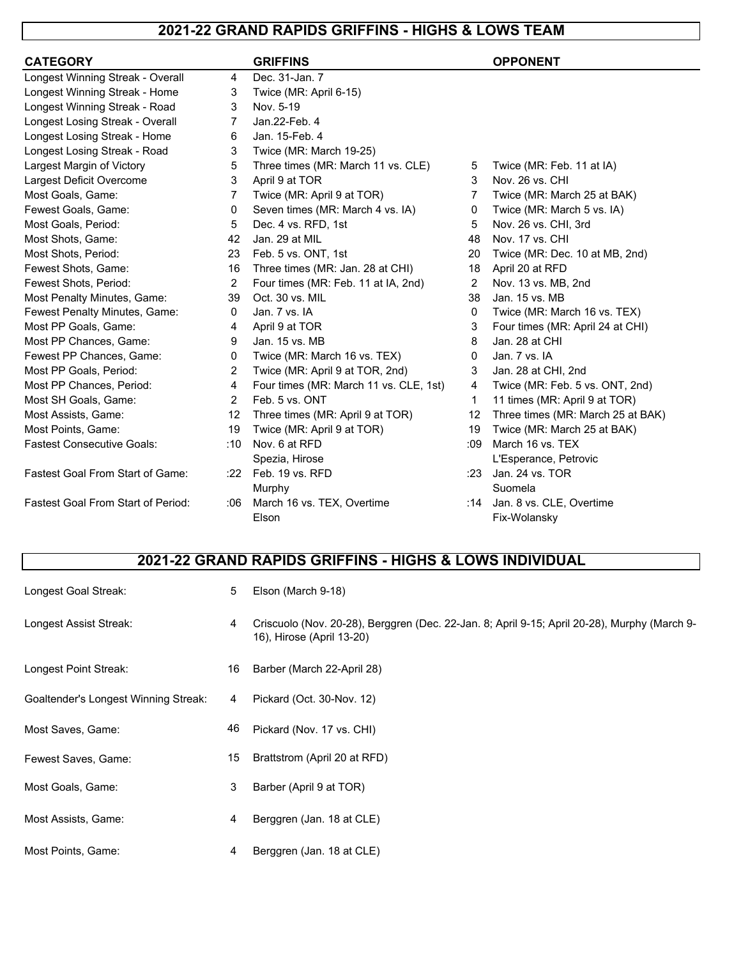### **2021-22 GRAND RAPIDS GRIFFINS - HIGHS & LOWS TEAM**

| <b>CATEGORY</b>                           |                | <b>GRIFFINS</b>                        |              | <b>OPPONENT</b>                   |
|-------------------------------------------|----------------|----------------------------------------|--------------|-----------------------------------|
| Longest Winning Streak - Overall          | 4              | Dec. 31-Jan. 7                         |              |                                   |
| Longest Winning Streak - Home             | 3              | Twice (MR: April 6-15)                 |              |                                   |
| Longest Winning Streak - Road             | 3              | Nov. 5-19                              |              |                                   |
| Longest Losing Streak - Overall           | 7              | Jan.22-Feb. 4                          |              |                                   |
| Longest Losing Streak - Home              | 6              | Jan. 15-Feb. 4                         |              |                                   |
| Longest Losing Streak - Road              | 3              | Twice (MR: March 19-25)                |              |                                   |
| Largest Margin of Victory                 | 5              | Three times (MR: March 11 vs. CLE)     | 5            | Twice (MR: Feb. 11 at IA)         |
| Largest Deficit Overcome                  | 3              | April 9 at TOR                         | 3            | Nov. 26 vs. CHI                   |
| Most Goals, Game:                         | 7              | Twice (MR: April 9 at TOR)             | 7            | Twice (MR: March 25 at BAK)       |
| Fewest Goals, Game:                       | 0              | Seven times (MR: March 4 vs. IA)       | 0            | Twice (MR: March 5 vs. IA)        |
| Most Goals, Period:                       | 5              | Dec. 4 vs. RFD, 1st                    | 5            | Nov. 26 vs. CHI, 3rd              |
| Most Shots, Game:                         | 42             | Jan. 29 at MIL                         | 48           | Nov. 17 vs. CHI                   |
| Most Shots, Period:                       | 23             | Feb. 5 vs. ONT, 1st                    | 20           | Twice (MR: Dec. 10 at MB, 2nd)    |
| Fewest Shots, Game:                       | 16             | Three times (MR: Jan. 28 at CHI)       | 18           | April 20 at RFD                   |
| Fewest Shots, Period:                     | 2              | Four times (MR: Feb. 11 at IA, 2nd)    | 2            | Nov. 13 vs. MB, 2nd               |
| Most Penalty Minutes, Game:               | 39             | Oct. 30 vs. MIL                        | 38           | Jan. 15 vs. MB                    |
| Fewest Penalty Minutes, Game:             | $\mathbf{0}$   | Jan. 7 vs. IA                          | $\mathbf{0}$ | Twice (MR: March 16 vs. TEX)      |
| Most PP Goals, Game:                      | 4              | April 9 at TOR                         | 3            | Four times (MR: April 24 at CHI)  |
| Most PP Chances, Game:                    | 9              | Jan. 15 vs. MB                         | 8            | Jan. 28 at CHI                    |
| Fewest PP Chances, Game:                  | 0              | Twice (MR: March 16 vs. TEX)           | $\mathbf{0}$ | Jan. 7 vs. IA                     |
| Most PP Goals, Period:                    | 2              | Twice (MR: April 9 at TOR, 2nd)        | 3            | Jan. 28 at CHI, 2nd               |
| Most PP Chances, Period:                  | 4              | Four times (MR: March 11 vs. CLE, 1st) | 4            | Twice (MR: Feb. 5 vs. ONT, 2nd)   |
| Most SH Goals, Game:                      | $\overline{2}$ | Feb. 5 vs. ONT                         | 1            | 11 times (MR: April 9 at TOR)     |
| Most Assists, Game:                       | 12             | Three times (MR: April 9 at TOR)       | 12           | Three times (MR: March 25 at BAK) |
| Most Points, Game:                        | 19             | Twice (MR: April 9 at TOR)             | 19           | Twice (MR: March 25 at BAK)       |
| <b>Fastest Consecutive Goals:</b>         | :10            | Nov. 6 at RFD                          | :09          | March 16 vs. TEX                  |
|                                           |                | Spezia, Hirose                         |              | L'Esperance, Petrovic             |
| <b>Fastest Goal From Start of Game:</b>   | :22            | Feb. 19 vs. RFD                        | :23          | Jan. 24 vs. TOR                   |
|                                           |                | Murphy                                 |              | Suomela                           |
| <b>Fastest Goal From Start of Period:</b> | :06            | March 16 vs. TEX, Overtime             |              | :14 Jan. 8 vs. CLE, Overtime      |
|                                           |                | Elson                                  |              | Fix-Wolansky                      |

### **2021-22 GRAND RAPIDS GRIFFINS - HIGHS & LOWS INDIVIDUAL**

| Longest Goal Streak:                 | 5  | Elson (March 9-18)                                                                                                        |
|--------------------------------------|----|---------------------------------------------------------------------------------------------------------------------------|
| Longest Assist Streak:               | 4  | Criscuolo (Nov. 20-28), Berggren (Dec. 22-Jan. 8; April 9-15; April 20-28), Murphy (March 9-<br>16), Hirose (April 13-20) |
| Longest Point Streak:                | 16 | Barber (March 22-April 28)                                                                                                |
| Goaltender's Longest Winning Streak: | 4  | Pickard (Oct. 30-Nov. 12)                                                                                                 |
| Most Saves, Game:                    | 46 | Pickard (Nov. 17 vs. CHI)                                                                                                 |
| Fewest Saves, Game:                  | 15 | Brattstrom (April 20 at RFD)                                                                                              |
| Most Goals, Game:                    | 3  | Barber (April 9 at TOR)                                                                                                   |
| Most Assists, Game:                  | 4  | Berggren (Jan. 18 at CLE)                                                                                                 |
| Most Points, Game:                   | 4  | Berggren (Jan. 18 at CLE)                                                                                                 |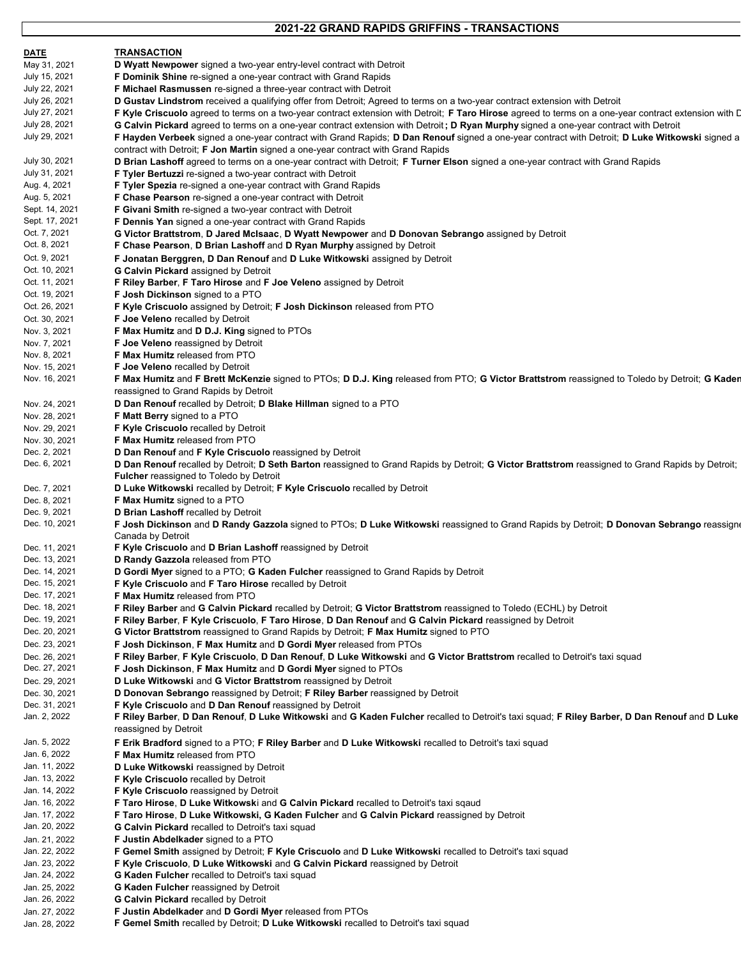#### **2021-22 GRAND RAPIDS GRIFFINS - TRANSACTIONS**

| <u>DATE</u>                   | <b>TRANSACTION</b>                                                                                                                                                                                      |
|-------------------------------|---------------------------------------------------------------------------------------------------------------------------------------------------------------------------------------------------------|
| May 31, 2021                  | <b>D Wyatt Newpower</b> signed a two-year entry-level contract with Detroit                                                                                                                             |
| July 15, 2021                 | F Dominik Shine re-signed a one-year contract with Grand Rapids                                                                                                                                         |
| July 22, 2021                 | F Michael Rasmussen re-signed a three-year contract with Detroit                                                                                                                                        |
| July 26, 2021                 | D Gustav Lindstrom received a qualifying offer from Detroit; Agreed to terms on a two-year contract extension with Detroit                                                                              |
| July 27, 2021                 | F Kyle Criscuolo agreed to terms on a two-year contract extension with Detroit; F Taro Hirose agreed to terms on a one-year contract extension with D                                                   |
| July 28, 2021                 | G Calvin Pickard agreed to terms on a one-year contract extension with Detroit; D Ryan Murphy signed a one-year contract with Detroit                                                                   |
| July 29, 2021                 | F Hayden Verbeek signed a one-year contract with Grand Rapids; D Dan Renouf signed a one-year contract with Detroit; D Luke Witkowski signed a                                                          |
|                               | contract with Detroit; F Jon Martin signed a one-year contract with Grand Rapids                                                                                                                        |
| July 30, 2021                 | D Brian Lashoff agreed to terms on a one-year contract with Detroit; F Turner Elson signed a one-year contract with Grand Rapids                                                                        |
| July 31, 2021                 | <b>F Tyler Bertuzzi</b> re-signed a two-year contract with Detroit                                                                                                                                      |
| Aug. 4, 2021                  | F Tyler Spezia re-signed a one-year contract with Grand Rapids                                                                                                                                          |
| Aug. 5, 2021                  | <b>F Chase Pearson</b> re-signed a one-year contract with Detroit                                                                                                                                       |
| Sept. 14, 2021                | F Givani Smith re-signed a two-year contract with Detroit                                                                                                                                               |
| Sept. 17, 2021                | <b>F Dennis Yan</b> signed a one-year contract with Grand Rapids                                                                                                                                        |
| Oct. 7, 2021                  | G Victor Brattstrom, D Jared McIsaac, D Wyatt Newpower and D Donovan Sebrango assigned by Detroit                                                                                                       |
| Oct. 8, 2021                  | <b>F Chase Pearson, D Brian Lashoff and D Ryan Murphy assigned by Detroit</b>                                                                                                                           |
| Oct. 9, 2021                  | F Jonatan Berggren, D Dan Renouf and D Luke Witkowski assigned by Detroit                                                                                                                               |
| Oct. 10, 2021                 | <b>G Calvin Pickard</b> assigned by Detroit                                                                                                                                                             |
| Oct. 11, 2021                 | F Riley Barber, F Taro Hirose and F Joe Veleno assigned by Detroit                                                                                                                                      |
| Oct. 19, 2021                 | <b>F Josh Dickinson</b> signed to a PTO                                                                                                                                                                 |
| Oct. 26, 2021                 | <b>F Kyle Criscuolo</b> assigned by Detroit; <b>F Josh Dickinson</b> released from PTO                                                                                                                  |
| Oct. 30, 2021                 | <b>F Joe Veleno</b> recalled by Detroit                                                                                                                                                                 |
| Nov. 3, 2021                  | F Max Humitz and D D.J. King signed to PTOs                                                                                                                                                             |
| Nov. 7, 2021                  | <b>F Joe Veleno</b> reassigned by Detroit                                                                                                                                                               |
| Nov. 8, 2021                  | <b>F Max Humitz released from PTO</b>                                                                                                                                                                   |
| Nov. 15, 2021                 | F Joe Veleno recalled by Detroit                                                                                                                                                                        |
| Nov. 16, 2021                 | F Max Humitz and F Brett McKenzie signed to PTOs; D D.J. King released from PTO; G Victor Brattstrom reassigned to Toledo by Detroit; G Kader                                                           |
|                               | reassigned to Grand Rapids by Detroit                                                                                                                                                                   |
| Nov. 24, 2021                 | D Dan Renouf recalled by Detroit; D Blake Hillman signed to a PTO                                                                                                                                       |
| Nov. 28, 2021                 | <b>F Matt Berry</b> signed to a PTO                                                                                                                                                                     |
| Nov. 29, 2021                 | <b>F Kyle Criscuolo</b> recalled by Detroit                                                                                                                                                             |
| Nov. 30, 2021                 | <b>F Max Humitz released from PTO</b>                                                                                                                                                                   |
| Dec. 2, 2021                  | <b>D Dan Renouf and F Kyle Criscuolo reassigned by Detroit</b>                                                                                                                                          |
| Dec. 6, 2021                  | D Dan Renouf recalled by Detroit; D Seth Barton reassigned to Grand Rapids by Detroit; G Victor Brattstrom reassigned to Grand Rapids by Detroit;                                                       |
|                               | <b>Fulcher</b> reassigned to Toledo by Detroit                                                                                                                                                          |
| Dec. 7, 2021                  | D Luke Witkowski recalled by Detroit; F Kyle Criscuolo recalled by Detroit                                                                                                                              |
| Dec. 8, 2021                  | F Max Humitz signed to a PTO                                                                                                                                                                            |
| Dec. 9, 2021                  | D Brian Lashoff recalled by Detroit                                                                                                                                                                     |
| Dec. 10, 2021                 | F Josh Dickinson and D Randy Gazzola signed to PTOs; D Luke Witkowski reassigned to Grand Rapids by Detroit; D Donovan Sebrango reassigne                                                               |
|                               | Canada by Detroit                                                                                                                                                                                       |
| Dec. 11, 2021                 | F Kyle Criscuolo and D Brian Lashoff reassigned by Detroit                                                                                                                                              |
| Dec. 13, 2021                 | D Randy Gazzola released from PTO                                                                                                                                                                       |
| Dec. 14, 2021                 | <b>D Gordi Myer</b> signed to a PTO; <b>G Kaden Fulcher</b> reassigned to Grand Rapids by Detroit                                                                                                       |
| Dec. 15, 2021                 | <b>F Kyle Criscuolo and F Taro Hirose recalled by Detroit</b>                                                                                                                                           |
| Dec. 17, 2021                 | <b>F Max Humitz released from PTO</b>                                                                                                                                                                   |
| Dec. 18, 2021                 | F Riley Barber and G Calvin Pickard recalled by Detroit; G Victor Brattstrom reassigned to Toledo (ECHL) by Detroit                                                                                     |
| Dec. 19, 2021                 | F Riley Barber, F Kyle Criscuolo, F Taro Hirose, D Dan Renouf and G Calvin Pickard reassigned by Detroit                                                                                                |
| Dec. 20, 2021                 | G Victor Brattstrom reassigned to Grand Rapids by Detroit; F Max Humitz signed to PTO                                                                                                                   |
| Dec. 23, 2021                 | F Josh Dickinson, F Max Humitz and D Gordi Myer released from PTOs                                                                                                                                      |
| Dec. 26, 2021                 | F Riley Barber, F Kyle Criscuolo, D Dan Renouf, D Luke Witkowski and G Victor Brattstrom recalled to Detroit's taxi squad                                                                               |
| Dec. 27, 2021                 | <b>F Josh Dickinson, F Max Humitz and D Gordi Myer signed to PTOs</b>                                                                                                                                   |
| Dec. 29, 2021                 | D Luke Witkowski and G Victor Brattstrom reassigned by Detroit                                                                                                                                          |
| Dec. 30, 2021                 | D Donovan Sebrango reassigned by Detroit; F Riley Barber reassigned by Detroit                                                                                                                          |
| Dec. 31, 2021<br>Jan. 2, 2022 | F Kyle Criscuolo and D Dan Renouf reassigned by Detroit<br>F Riley Barber, D Dan Renouf, D Luke Witkowski and G Kaden Fulcher recalled to Detroit's taxi squad; F Riley Barber, D Dan Renouf and D Luke |
|                               | reassigned by Detroit                                                                                                                                                                                   |
|                               |                                                                                                                                                                                                         |
| Jan. 5, 2022<br>Jan. 6, 2022  | <b>F Erik Bradford</b> signed to a PTO; <b>F Riley Barber</b> and <b>D Luke Witkowski</b> recalled to Detroit's taxi squad                                                                              |
| Jan. 11, 2022                 | <b>F Max Humitz released from PTO</b>                                                                                                                                                                   |
| Jan. 13, 2022                 | D Luke Witkowski reassigned by Detroit<br>F Kyle Criscuolo recalled by Detroit                                                                                                                          |
| Jan. 14, 2022                 | <b>F Kyle Criscuolo</b> reassigned by Detroit                                                                                                                                                           |
| Jan. 16, 2022                 |                                                                                                                                                                                                         |
| Jan. 17, 2022                 | <b>F Taro Hirose, D Luke Witkowski and G Calvin Pickard recalled to Detroit's taxi sqaud</b><br>F Taro Hirose, D Luke Witkowski, G Kaden Fulcher and G Calvin Pickard reassigned by Detroit             |
| Jan. 20, 2022                 | <b>G Calvin Pickard recalled to Detroit's taxi squad</b>                                                                                                                                                |
| Jan. 21, 2022                 | F Justin Abdelkader signed to a PTO                                                                                                                                                                     |
| Jan. 22, 2022                 | <b>F Gemel Smith</b> assigned by Detroit; <b>F Kyle Criscuolo</b> and <b>D Luke Witkowski</b> recalled to Detroit's taxi squad                                                                          |
| Jan. 23, 2022                 | F Kyle Criscuolo, D Luke Witkowski and G Calvin Pickard reassigned by Detroit                                                                                                                           |
| Jan. 24, 2022                 | <b>G Kaden Fulcher</b> recalled to Detroit's taxi squad                                                                                                                                                 |
| Jan. 25, 2022                 | <b>G Kaden Fulcher</b> reassigned by Detroit                                                                                                                                                            |
| Jan. 26, 2022                 | <b>G Calvin Pickard recalled by Detroit</b>                                                                                                                                                             |
| Jan. 27, 2022                 | F Justin Abdelkader and D Gordi Myer released from PTOs                                                                                                                                                 |
| Jan. 28, 2022                 | F Gemel Smith recalled by Detroit; D Luke Witkowski recalled to Detroit's taxi squad                                                                                                                    |
|                               |                                                                                                                                                                                                         |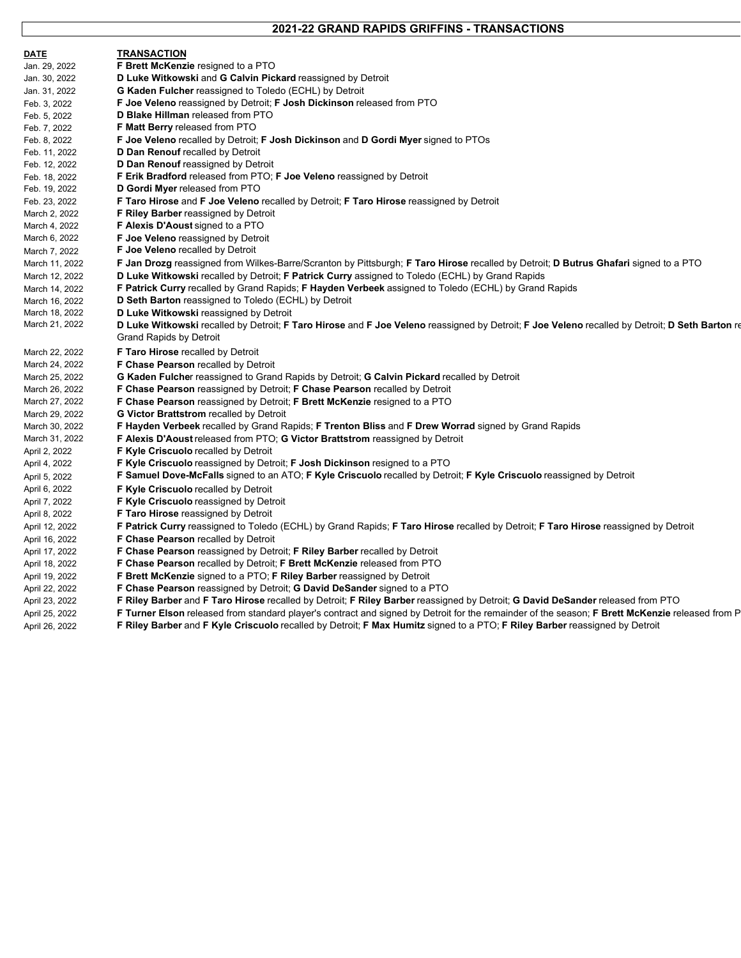#### **2021-22 GRAND RAPIDS GRIFFINS - TRANSACTIONS**

| <b>DATE</b>    | <b>TRANSACTION</b>                                                                                                                              |
|----------------|-------------------------------------------------------------------------------------------------------------------------------------------------|
| Jan. 29, 2022  | F Brett McKenzie resigned to a PTO                                                                                                              |
| Jan. 30, 2022  | D Luke Witkowski and G Calvin Pickard reassigned by Detroit                                                                                     |
| Jan. 31, 2022  | <b>G Kaden Fulcher reassigned to Toledo (ECHL) by Detroit</b>                                                                                   |
| Feb. 3, 2022   | <b>F Joe Veleno</b> reassigned by Detroit; <b>F Josh Dickinson</b> released from PTO                                                            |
| Feb. 5, 2022   | D Blake Hillman released from PTO                                                                                                               |
| Feb. 7, 2022   | <b>F Matt Berry released from PTO</b>                                                                                                           |
| Feb. 8, 2022   | <b>F Joe Veleno</b> recalled by Detroit; <b>F Josh Dickinson</b> and <b>D Gordi Myer</b> signed to PTOs                                         |
| Feb. 11, 2022  | D Dan Renouf recalled by Detroit                                                                                                                |
| Feb. 12, 2022  | <b>D Dan Renouf</b> reassigned by Detroit                                                                                                       |
| Feb. 18, 2022  | <b>F Erik Bradford released from PTO; F Joe Veleno reassigned by Detroit</b>                                                                    |
| Feb. 19, 2022  | D Gordi Myer released from PTO                                                                                                                  |
| Feb. 23, 2022  | <b>F Taro Hirose and F Joe Veleno recalled by Detroit: F Taro Hirose reassigned by Detroit</b>                                                  |
| March 2, 2022  | <b>F Riley Barber</b> reassigned by Detroit                                                                                                     |
| March 4, 2022  | F Alexis D'Aoust signed to a PTO                                                                                                                |
| March 6, 2022  | <b>F Joe Veleno</b> reassigned by Detroit                                                                                                       |
| March 7, 2022  | <b>F Joe Veleno</b> recalled by Detroit                                                                                                         |
| March 11, 2022 | F Jan Drozg reassigned from Wilkes-Barre/Scranton by Pittsburgh; F Taro Hirose recalled by Detroit; D Butrus Ghafari signed to a PTO            |
| March 12, 2022 | <b>D Luke Witkowski recalled by Detroit; F Patrick Curry assigned to Toledo (ECHL) by Grand Rapids</b>                                          |
| March 14, 2022 | <b>F Patrick Curry</b> recalled by Grand Rapids; <b>F Hayden Verbeek</b> assigned to Toledo (ECHL) by Grand Rapids                              |
| March 16, 2022 | D Seth Barton reassigned to Toledo (ECHL) by Detroit                                                                                            |
| March 18, 2022 | D Luke Witkowski reassigned by Detroit                                                                                                          |
| March 21, 2022 | D Luke Witkowski recalled by Detroit; F Taro Hirose and F Joe Veleno reassigned by Detroit; F Joe Veleno recalled by Detroit; D Seth Barton re  |
|                | Grand Rapids by Detroit                                                                                                                         |
| March 22, 2022 | <b>F Taro Hirose recalled by Detroit</b>                                                                                                        |
| March 24, 2022 | <b>F Chase Pearson recalled by Detroit</b>                                                                                                      |
| March 25, 2022 | <b>G Kaden Fulcher reassigned to Grand Rapids by Detroit; G Calvin Pickard recalled by Detroit</b>                                              |
| March 26, 2022 | <b>F Chase Pearson reassigned by Detroit; F Chase Pearson recalled by Detroit</b>                                                               |
| March 27, 2022 | F Chase Pearson reassigned by Detroit; F Brett McKenzie resigned to a PTO                                                                       |
| March 29, 2022 | <b>G Victor Brattstrom recalled by Detroit</b>                                                                                                  |
| March 30, 2022 | F Hayden Verbeek recalled by Grand Rapids; F Trenton Bliss and F Drew Worrad signed by Grand Rapids                                             |
| March 31, 2022 | <b>F Alexis D'Aoust released from PTO; G Victor Brattstrom reassigned by Detroit</b>                                                            |
| April 2, 2022  | <b>F Kyle Criscuolo</b> recalled by Detroit                                                                                                     |
| April 4, 2022  | <b>F Kyle Criscuolo</b> reassigned by Detroit; <b>F Josh Dickinson</b> resigned to a PTO                                                        |
| April 5, 2022  | <b>F Samuel Dove-McFalls</b> signed to an ATO; F Kyle Criscuolo recalled by Detroit; F Kyle Criscuolo reassigned by Detroit                     |
| April 6, 2022  | <b>F Kyle Criscuolo</b> recalled by Detroit                                                                                                     |
| April 7, 2022  | <b>F Kyle Criscuolo reassigned by Detroit</b>                                                                                                   |
| April 8, 2022  | <b>F Taro Hirose</b> reassigned by Detroit                                                                                                      |
| April 12, 2022 | F Patrick Curry reassigned to Toledo (ECHL) by Grand Rapids; F Taro Hirose recalled by Detroit; F Taro Hirose reassigned by Detroit             |
| April 16, 2022 | F Chase Pearson recalled by Detroit                                                                                                             |
| April 17, 2022 | F Chase Pearson reassigned by Detroit; F Riley Barber recalled by Detroit                                                                       |
| April 18, 2022 | <b>F Chase Pearson recalled by Detroit; F Brett McKenzie released from PTO</b>                                                                  |
| April 19, 2022 | <b>F Brett McKenzie</b> signed to a PTO; <b>F Riley Barber</b> reassigned by Detroit                                                            |
| April 22, 2022 | <b>F Chase Pearson</b> reassigned by Detroit; <b>G David DeSander</b> signed to a PTO                                                           |
| April 23, 2022 | F Riley Barber and F Taro Hirose recalled by Detroit; F Riley Barber reassigned by Detroit; G David DeSander released from PTO                  |
| April 25, 2022 | F Turner Elson released from standard player's contract and signed by Detroit for the remainder of the season; F Brett McKenzie released from P |
| April 26, 2022 | F Riley Barber and F Kyle Criscuolo recalled by Detroit; F Max Humitz signed to a PTO; F Riley Barber reassigned by Detroit                     |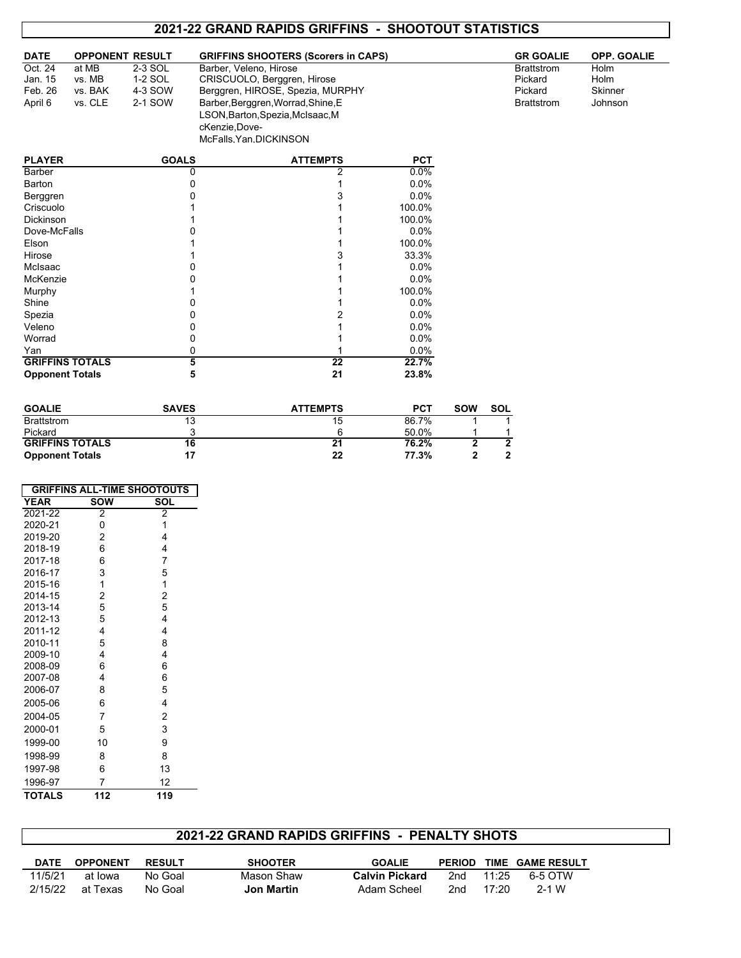### **2021-22 GRAND RAPIDS GRIFFINS - SHOOTOUT STATISTICS**

| <b>DATE</b> | <b>OPPONENT RESULT</b> |         | <b>GRIFFINS SHOOTERS (Scorers in CAPS)</b> | <b>GR GOALIE</b>  | <b>OPP. GOALIE</b> |
|-------------|------------------------|---------|--------------------------------------------|-------------------|--------------------|
| Oct. 24     | at MB                  | 2-3 SOL | Barber, Veleno, Hirose                     | <b>Brattstrom</b> | Holm               |
| Jan. 15     | vs. MB                 | 1-2 SOL | CRISCUOLO, Berggren, Hirose                | Pickard           | Holm               |
| Feb. 26     | vs. BAK                | 4-3 SOW | Berggren, HIROSE, Spezia, MURPHY           | Pickard           | Skinner            |
| April 6     | vs. CLE                | 2-1 SOW | Barber, Berggren, Worrad, Shine, E         | <b>Brattstrom</b> | Johnson            |
|             |                        |         | LSON, Barton, Spezia, McIsaac, M           |                   |                    |
|             |                        |         | cKenzie, Dove-                             |                   |                    |

| <b>PLAYER</b>          | <b>GOALS</b> | <b>ATTEMPTS</b> | <b>PCT</b> |
|------------------------|--------------|-----------------|------------|
| Barber                 |              | 2               | $0.0\%$    |
| Barton                 |              |                 | 0.0%       |
| Berggren               |              |                 | 0.0%       |
| Criscuolo              |              |                 | 100.0%     |
| <b>Dickinson</b>       |              |                 | 100.0%     |
| Dove-McFalls           |              |                 | $0.0\%$    |
| Elson                  |              |                 | 100.0%     |
| Hirose                 |              |                 | 33.3%      |
| McIsaac                |              |                 | 0.0%       |
| McKenzie               |              |                 | 0.0%       |
| Murphy                 |              |                 | 100.0%     |
| Shine                  |              |                 | 0.0%       |
| Spezia                 |              |                 | 0.0%       |
| Veleno                 |              |                 | 0.0%       |
| Worrad                 |              |                 | 0.0%       |
| Yan                    | 0            |                 | 0.0%       |
| <b>GRIFFINS TOTALS</b> | 5            | 22              | 22.7%      |
| <b>Opponent Totals</b> | 5            | 21              | 23.8%      |

McFalls,Yan,DICKINSON

| <b>GOALIE</b>          | <b>SAVES</b> | <b>ATTEMPTS</b> | PCT   | <b>SOW</b> | <b>SOL</b> |
|------------------------|--------------|-----------------|-------|------------|------------|
| <b>Brattstrom</b>      | 12           | 15              | 86.7% |            |            |
| Pickard                |              | 'n              | 50.0% |            |            |
| <b>GRIFFINS TOTALS</b> | 16           | 21              | 76.2% |            |            |
| <b>Opponent Totals</b> |              | 22              | 77.3% |            |            |

| <b>GRIFFINS ALL-TIME SHOOTOUTS</b> |            |                |  |  |  |  |
|------------------------------------|------------|----------------|--|--|--|--|
| <b>YEAR</b>                        | <b>SOW</b> | SOL            |  |  |  |  |
| $2021 - 22$                        | 2          | $\overline{2}$ |  |  |  |  |
| 2020-21                            | 0          | 1              |  |  |  |  |
| 2019-20                            | 2          | 4              |  |  |  |  |
| 2018-19                            | 6          | 4              |  |  |  |  |
| 2017-18                            | 6          | 7              |  |  |  |  |
| 2016-17                            | 3          | 5              |  |  |  |  |
| 2015-16                            | 1          | 1              |  |  |  |  |
| 2014-15                            | 2          | $\overline{c}$ |  |  |  |  |
| 2013-14                            | 5          | 5              |  |  |  |  |
| 2012-13                            | 5          | 4              |  |  |  |  |
| 2011-12                            | 4          | 4              |  |  |  |  |
| 2010-11                            | 5          | 8              |  |  |  |  |
| 2009-10                            | 4          | 4              |  |  |  |  |
| 2008-09                            | 6          | 6              |  |  |  |  |
| 2007-08                            | 4          | 6              |  |  |  |  |
| 2006-07                            | 8          | 5              |  |  |  |  |
| 2005-06                            | 6          | 4              |  |  |  |  |
| 2004-05                            | 7          | 2              |  |  |  |  |
| 2000-01                            | 5          | 3              |  |  |  |  |
| 1999-00                            | 10         | 9              |  |  |  |  |
| 1998-99                            | 8          | 8              |  |  |  |  |
| 1997-98                            | 6          | 13             |  |  |  |  |
| 1996-97                            | 7          | 12             |  |  |  |  |
| <b>TOTALS</b>                      | 112        | 119            |  |  |  |  |

### **2021-22 GRAND RAPIDS GRIFFINS - PENALTY SHOTS**

| DATE    | <b>OPPONENT</b> | <b>RESULT</b> | <b>SHOOTER</b> | <b>GOALIE</b>         | <b>PERIOD</b> |       | TIME GAME RESULT |
|---------|-----------------|---------------|----------------|-----------------------|---------------|-------|------------------|
| 11/5/21 | at Iowa         | No Goal       | Mason Shaw     | <b>Calvin Pickard</b> | 2nd           | 11.25 | 6-5 OTW          |
| 2/15/22 | at Texas        | No Goal       | Jon Martin     | Adam Scheel           | 2nd           | 17.20 | 2-1 W            |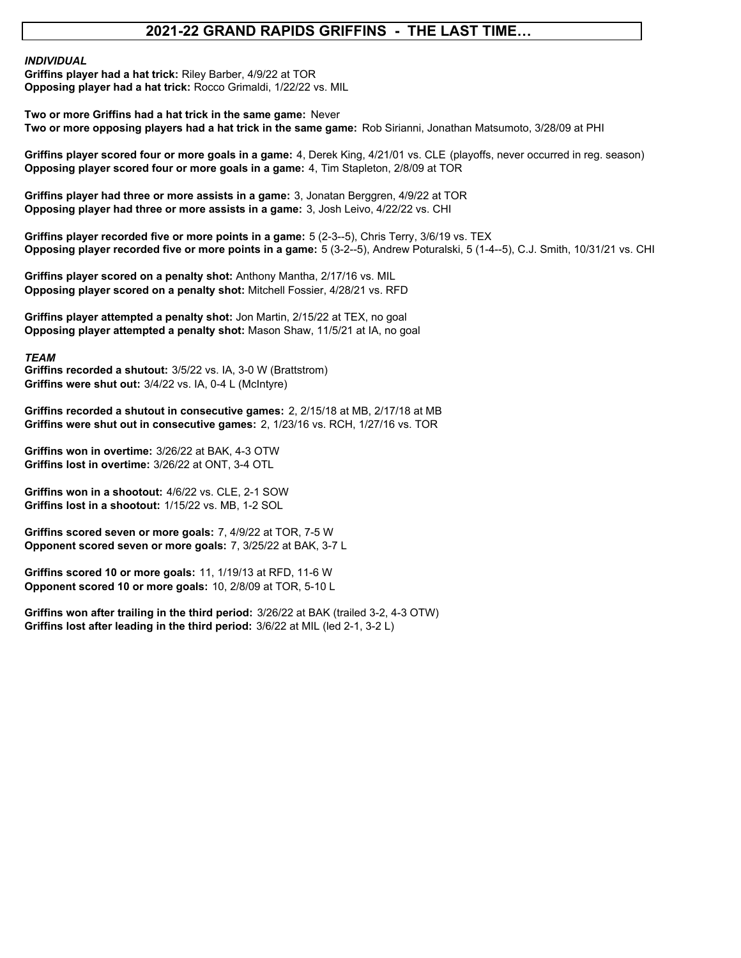#### **2021-22 GRAND RAPIDS GRIFFINS - THE LAST TIME…**

#### *INDIVIDUAL*

**Opposing player had a hat trick:** Rocco Grimaldi, 1/22/22 vs. MIL **Griffins player had a hat trick:** Riley Barber, 4/9/22 at TOR

**Two or more Griffins had a hat trick in the same game:** Never **Two or more opposing players had a hat trick in the same game:** Rob Sirianni, Jonathan Matsumoto, 3/28/09 at PHI

**Griffins player scored four or more goals in a game:** 4, Derek King, 4/21/01 vs. CLE (playoffs, never occurred in reg. season) **Opposing player scored four or more goals in a game:** 4, Tim Stapleton, 2/8/09 at TOR

**Griffins player had three or more assists in a game:** 3, Jonatan Berggren, 4/9/22 at TOR **Opposing player had three or more assists in a game:** 3, Josh Leivo, 4/22/22 vs. CHI

**Opposing player recorded five or more points in a game:** 5 (3-2--5), Andrew Poturalski, 5 (1-4--5), C.J. Smith, 10/31/21 vs. CHI **Griffins player recorded five or more points in a game:** 5 (2-3--5), Chris Terry, 3/6/19 vs. TEX

**Griffins player scored on a penalty shot:** Anthony Mantha, 2/17/16 vs. MIL **Opposing player scored on a penalty shot:** Mitchell Fossier, 4/28/21 vs. RFD

**Griffins player attempted a penalty shot:** Jon Martin, 2/15/22 at TEX, no goal **Opposing player attempted a penalty shot:** Mason Shaw, 11/5/21 at IA, no goal

*TEAM*

**Griffins recorded a shutout:** 3/5/22 vs. IA, 3-0 W (Brattstrom) **Griffins were shut out:** 3/4/22 vs. IA, 0-4 L (McIntyre)

**Griffins recorded a shutout in consecutive games:** 2, 2/15/18 at MB, 2/17/18 at MB **Griffins were shut out in consecutive games:** 2, 1/23/16 vs. RCH, 1/27/16 vs. TOR

**Griffins won in overtime:** 3/26/22 at BAK, 4-3 OTW **Griffins lost in overtime:** 3/26/22 at ONT, 3-4 OTL

**Griffins won in a shootout:** 4/6/22 vs. CLE, 2-1 SOW **Griffins lost in a shootout:** 1/15/22 vs. MB, 1-2 SOL

**Griffins scored seven or more goals:** 7, 4/9/22 at TOR, 7-5 W **Opponent scored seven or more goals:** 7, 3/25/22 at BAK, 3-7 L

**Griffins scored 10 or more goals:** 11, 1/19/13 at RFD, 11-6 W **Opponent scored 10 or more goals:** 10, 2/8/09 at TOR, 5-10 L

**Griffins won after trailing in the third period:** 3/26/22 at BAK (trailed 3-2, 4-3 OTW) **Griffins lost after leading in the third period:** 3/6/22 at MIL (led 2-1, 3-2 L)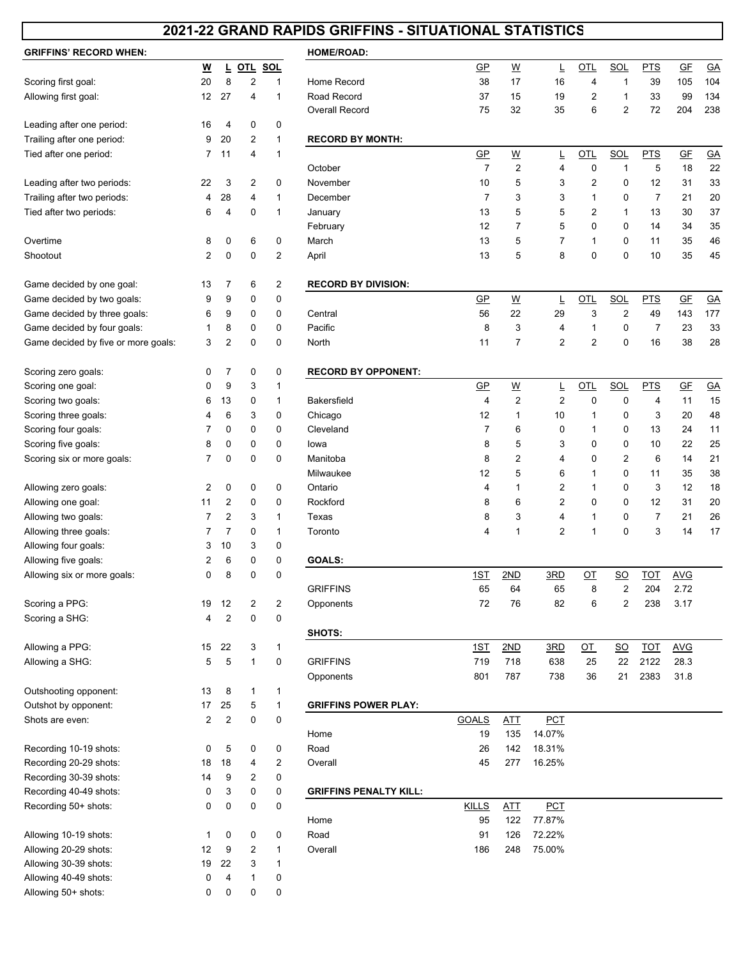### **2021-22 GRAND RAPIDS GRIFFINS - SITUATIONAL STATISTICS**

| <b>GRIFFINS' RECORD WHEN:</b>       |                |                |   |              | <b>HOME/ROAD:</b>             |                           |                          |                |
|-------------------------------------|----------------|----------------|---|--------------|-------------------------------|---------------------------|--------------------------|----------------|
|                                     | <u>w</u>       | L              |   | OTL SOL      |                               | $\overline{GP}$           | <u>W</u>                 | ╚              |
| Scoring first goal:                 | 20             | 8              | 2 | 1            | Home Record                   | 38                        | 17                       | 16             |
| Allowing first goal:                | 12             | 27             | 4 | 1            | Road Record                   | 37                        | 15                       | 19             |
|                                     |                |                |   |              | <b>Overall Record</b>         | 75                        | 32                       | 35             |
| Leading after one period:           | 16             | 4              | 0 | 0            |                               |                           |                          |                |
| Trailing after one period:          | 9              | 20             | 2 | 1            | <b>RECORD BY MONTH:</b>       |                           |                          |                |
| Tied after one period:              | 7              | 11             | 4 | 1            |                               | $\underline{\mathsf{GP}}$ | <u>W</u>                 | L              |
|                                     |                |                |   |              | October                       | $\overline{7}$            | 2                        | 4              |
| Leading after two periods:          | 22             | 3              | 2 | 0            | November                      | 10                        | 5                        | 3              |
| Trailing after two periods:         | 4              | 28             | 4 | 1            | December                      | $\overline{7}$            | 3                        | 3              |
| Tied after two periods:             | 6              | 4              | 0 | 1            | January                       | 13                        | 5                        | 5              |
|                                     |                |                |   |              | February                      | 12                        | 7                        | 5              |
| Overtime                            | 8              | 0              | 6 | 0            | March                         | 13                        | 5                        | 7              |
| Shootout                            | 2              | 0              | 0 | 2            | April                         | 13                        | 5                        | 8              |
| Game decided by one goal:           | 13             | 7              | 6 | 2            | <b>RECORD BY DIVISION:</b>    |                           |                          |                |
| Game decided by two goals:          | 9              | 9              | 0 | 0            |                               | $\overline{GP}$           | $\underline{\mathsf{W}}$ | L              |
| Game decided by three goals:        | 6              | 9              | 0 | 0            | Central                       | 56                        | 22                       | 29             |
| Game decided by four goals:         | 1              | 8              | 0 | 0            | Pacific                       | 8                         | 3                        | 4              |
| Game decided by five or more goals: | 3              | $\overline{2}$ | 0 | 0            | North                         | 11                        | 7                        | $\overline{c}$ |
| Scoring zero goals:                 | 0              | 7              | 0 | 0            | <b>RECORD BY OPPONENT:</b>    |                           |                          |                |
| Scoring one goal:                   | 0              | 9              | 3 | 1            |                               | $\overline{GP}$           | $\underline{\mathsf{W}}$ | L              |
| Scoring two goals:                  | 6              | 13             | 0 | 1            | Bakersfield                   | 4                         | $\overline{2}$           | 2              |
| Scoring three goals:                | 4              | 6              | 3 | 0            | Chicago                       | 12                        | 1                        | 10             |
| Scoring four goals:                 | 7              | 0              | 0 | 0            | Cleveland                     | 7                         | 6                        | 0              |
| Scoring five goals:                 | 8              | 0              | 0 | 0            | lowa                          | 8                         | 5                        | 3              |
| Scoring six or more goals:          | 7              | 0              | 0 | 0            | Manitoba                      | 8                         | 2                        | 4              |
|                                     |                |                |   |              | Milwaukee                     | 12                        | 5                        | 6              |
| Allowing zero goals:                | $\overline{2}$ | 0              | 0 | 0            | Ontario                       | 4                         | 1                        | 2              |
| Allowing one goal:                  | 11             | 2              | 0 | 0            | Rockford                      | 8                         | 6                        | 2              |
| Allowing two goals:                 | 7              | $\overline{2}$ | 3 | 1            | Texas                         | 8                         | 3                        | 4              |
| Allowing three goals:               | 7              | $\overline{7}$ | 0 | 1            | Toronto                       | 4                         | 1                        | $\overline{c}$ |
| Allowing four goals:                | 3              | 10             | 3 | 0            |                               |                           |                          |                |
| Allowing five goals:                | 2              | 6              | 0 | 0            | GOALS:                        |                           |                          |                |
| Allowing six or more goals:         | 0              | 8              | 0 | 0            |                               | <u>1ST</u>                | 2ND                      | 3RD            |
|                                     |                |                |   |              | <b>GRIFFINS</b>               | 65                        | 64                       | 65             |
| Scoring a PPG:                      | 19             | 12             | 2 | 2            | Opponents                     | 72                        | 76                       | 82             |
| Scoring a SHG:                      | 4              | $\overline{2}$ | 0 | 0            |                               |                           |                          |                |
|                                     |                |                |   |              | SHOTS:                        |                           |                          |                |
| Allowing a PPG:                     | 15             | 22             | 3 | 1            |                               | <u>1ST</u>                | 2ND                      | 3RD            |
| Allowing a SHG:                     | 5              | 5              | 1 | 0            | <b>GRIFFINS</b>               | 719                       | 718                      | 638            |
|                                     |                |                |   |              | Opponents                     | 801                       | 787                      | 738            |
| Outshooting opponent:               | 13             | 8              | 1 | 1            |                               |                           |                          |                |
| Outshot by opponent:                | 17             | 25             | 5 | $\mathbf{1}$ | <b>GRIFFINS POWER PLAY:</b>   |                           |                          |                |
| Shots are even:                     | 2              | $\overline{2}$ | 0 | 0            |                               | <b>GOALS</b>              | <u>ATT</u>               | <b>PCT</b>     |
|                                     |                |                |   |              | Home                          | 19                        | 135                      | 14.07%         |
| Recording 10-19 shots:              | 0              | 5              | 0 | 0            | Road                          | 26                        | 142                      | 18.31%         |
| Recording 20-29 shots:              | 18             | 18             | 4 | 2            | Overall                       | 45                        | 277                      | 16.25%         |
| Recording 30-39 shots:              | 14             | 9              | 2 | 0            |                               |                           |                          |                |
| Recording 40-49 shots:              | 0              | 3              | 0 | 0            | <b>GRIFFINS PENALTY KILL:</b> |                           |                          |                |
| Recording 50+ shots:                | 0              | $\pmb{0}$      | 0 | 0            |                               | <b>KILLS</b>              | <b>ATT</b>               | <b>PCT</b>     |
|                                     |                |                |   |              | Home                          | 95                        | 122                      | 77.87%         |
| Allowing 10-19 shots:               | 1              | 0              | 0 | 0            | Road                          | 91                        | 126                      | 72.22%         |
| Allowing 20-29 shots:               | 12             | 9              | 2 | 1            | Overall                       | 186                       | 248                      | 75.00%         |
| Allowing 30-39 shots:               | 19             | 22             | 3 | 1            |                               |                           |                          |                |
| Allowing 40-49 shots:               | 0              | 4              | 1 | 0            |                               |                           |                          |                |
| Allowing 50+ shots:                 | 0              | 0              | 0 | 0            |                               |                           |                          |                |

| GRIFFINS' RECORD WHEN:              |                |                |                |   | <b>HOME/ROAD:</b>             |                 |                          |                |                |                  |                |                           |           |
|-------------------------------------|----------------|----------------|----------------|---|-------------------------------|-----------------|--------------------------|----------------|----------------|------------------|----------------|---------------------------|-----------|
|                                     | W              | Ц              | OTL SOL        |   |                               | $GP$            | <u>W</u>                 | Ē              | OTL            | SOL              | <b>PTS</b>     | G E                       | G A       |
| Scoring first goal:                 | 20             | 8              | $\overline{2}$ | 1 | Home Record                   | 38              | 17                       | 16             | 4              | $\mathbf{1}$     | 39             | 105                       | 104       |
| Allowing first goal:                | 12             | 27             | 4              | 1 | Road Record                   | 37              | 15                       | 19             | 2              | 1                | 33             | 99                        | 134       |
|                                     |                |                |                |   | <b>Overall Record</b>         | 75              | 32                       | 35             | 6              | 2                | 72             | 204                       | 238       |
| Leading after one period:           | 16             | 4              | 0              | 0 |                               |                 |                          |                |                |                  |                |                           |           |
| Trailing after one period:          | 9              | 20             | 2              | 1 | <b>RECORD BY MONTH:</b>       |                 |                          |                |                |                  |                |                           |           |
| Tied after one period:              | 7              | 11             | 4              | 1 |                               | $\overline{GP}$ | $\underline{\mathsf{W}}$ | L              | <u>OTL</u>     | <b>SOL</b>       | <b>PTS</b>     | $G_{F}$                   | $G$ A     |
|                                     |                |                |                |   | October                       | $\overline{7}$  | $\overline{\mathbf{c}}$  | 4              | 0              | 1                | 5              | 18                        | 22        |
| Leading after two periods:          | 22             | 3              | 2              | 0 | November                      | 10              | 5                        | 3              | 2              | 0                | 12             | 31                        | 33        |
| Trailing after two periods:         | 4              | 28             | 4              | 1 | December                      | 7               | 3                        | 3              | 1              | 0                | $\overline{7}$ | 21                        | 20        |
| Tied after two periods:             | 6              | 4              | 0              | 1 | January                       | 13              | 5                        | 5              | 2              | $\mathbf{1}$     | 13             | 30                        | 37        |
|                                     |                |                |                |   | February                      | 12              | 7                        | 5              | 0              | 0                | 14             | 34                        | 35        |
| Overtime                            | 8              | 0              | 6              | 0 | March                         | 13              | 5                        | 7              | 1              | 0                | 11             | 35                        | 46        |
| Shootout                            | 2              | 0              | 0              | 2 | April                         | 13              | 5                        | 8              | 0              | 0                | 10             | 35                        | 45        |
|                                     |                |                |                |   |                               |                 |                          |                |                |                  |                |                           |           |
| Game decided by one goal:           | 13             | 7              | 6              | 2 | <b>RECORD BY DIVISION:</b>    |                 |                          |                |                |                  |                |                           |           |
| Game decided by two goals:          | 9              | 9              | 0              | 0 |                               | $\overline{GP}$ | $\underline{\mathsf{W}}$ | Ţ              | OTL            | <b>SOL</b>       | <b>PTS</b>     | GF                        | $G$ A     |
| Game decided by three goals:        | 6              | 9              | 0              | 0 | Central                       | 56              | 22                       | 29             | 3              | $\overline{2}$   | 49             | 143                       | 177       |
| Game decided by four goals:         | 1              | 8              | 0              | 0 | Pacific                       | 8               | 3                        | 4              | 1              | 0                | 7              | 23                        | 33        |
| Game decided by five or more goals: | 3              | 2              | 0              | 0 | North                         | 11              | 7                        | $\overline{2}$ | $\overline{c}$ | 0                | 16             | 38                        | 28        |
|                                     |                |                |                |   |                               |                 |                          |                |                |                  |                |                           |           |
| Scoring zero goals:                 | 0              | 7              | 0              | 0 | <b>RECORD BY OPPONENT:</b>    |                 |                          |                |                |                  |                |                           |           |
| Scoring one goal:                   | 0              | 9              | 3              | 1 |                               | $\overline{GP}$ | $\underline{\mathsf{W}}$ | L              | OTL            | <b>SOL</b>       | <b>PTS</b>     | $\underline{\mathsf{GE}}$ | <u>GA</u> |
| Scoring two goals:                  | 6              | 13             | 0              | 1 | <b>Bakersfield</b>            | 4               | $\overline{2}$           | $\overline{c}$ | 0              | 0                | 4              | 11                        | 15        |
| Scoring three goals:                | 4              | 6              | 3              | 0 | Chicago                       | 12              | 1                        | 10             | 1              | 0                | 3              | 20                        | 48        |
| Scoring four goals:                 | 7              | 0              | 0              | 0 | Cleveland                     | 7               | 6                        | 0              | 1              | 0                | 13             | 24                        | 11        |
| Scoring five goals:                 | 8              | 0              | 0              | 0 | lowa                          | 8               | 5                        | 3              | 0              | 0                | 10             | 22                        | 25        |
| Scoring six or more goals:          | 7              | 0              | 0              | 0 | Manitoba                      | 8               | $\overline{c}$           | 4              | 0              | 2                | 6              | 14                        | 21        |
|                                     |                |                |                |   | Milwaukee                     | 12              | 5                        | 6              | 1              | 0                | 11             | 35                        | 38        |
| Allowing zero goals:                | 2              | 0              | 0              | 0 | Ontario                       | 4               | 1                        | 2              | 1              | 0                | 3              | 12                        | 18        |
| Allowing one goal:                  | 11             | 2              | 0              | 0 | Rockford                      | 8               | 6                        | 2              | 0              | 0                | 12             | 31                        | 20        |
| Allowing two goals:                 | 7              | 2              | 3              | 1 | Texas                         | 8               | 3                        | 4              | 1              | 0                | 7              | 21                        | 26        |
| Allowing three goals:               | 7              | 7              | 0              | 1 | Toronto                       | 4               | $\overline{1}$           | 2              | 1              | 0                | 3              | 14                        | 17        |
| Allowing four goals:                | 3              | 10             | 3              | 0 |                               |                 |                          |                |                |                  |                |                           |           |
| Allowing five goals:                | 2              | 6              | 0              | 0 | <b>GOALS:</b>                 |                 |                          |                |                |                  |                |                           |           |
| Allowing six or more goals:         | 0              | 8              | 0              | 0 |                               | <u>1ST</u>      | 2ND                      | 3RD            | QT             | $\underline{SO}$ | <b>TOT</b>     | <b>AVG</b>                |           |
|                                     |                |                |                |   | <b>GRIFFINS</b>               | 65              | 64                       | 65             | 8              | 2                | 204            | 2.72                      |           |
| Scoring a PPG:                      | 19             | 12             | $\overline{c}$ | 2 | Opponents                     | 72              | 76                       | 82             | 6              | 2                | 238            | 3.17                      |           |
| Scoring a SHG:                      | 4              | $\overline{2}$ | 0              | 0 |                               |                 |                          |                |                |                  |                |                           |           |
|                                     |                |                |                |   | SHOTS:                        |                 |                          |                |                |                  |                |                           |           |
| Allowing a PPG:                     | 15             | 22             | 3              | 1 |                               | 1ST             | 2ND                      | 3RD            | <u>ОТ</u>      | $\underline{SO}$ | <b>TOT</b>     | <b>AVG</b>                |           |
| Allowing a SHG:                     | 5              | 5              | 1              | 0 | <b>GRIFFINS</b>               | 719             | 718                      | 638            | 25             | 22               | 2122           | 28.3                      |           |
|                                     |                |                |                |   | Opponents                     | 801             | 787                      | 738            | 36             | 21               | 2383           | 31.8                      |           |
| Outshooting opponent:               | 13             | 8              | 1              | 1 |                               |                 |                          |                |                |                  |                |                           |           |
| Outshot by opponent:                | 17             | 25             | 5              | 1 | <b>GRIFFINS POWER PLAY:</b>   |                 |                          |                |                |                  |                |                           |           |
| Shots are even:                     | $\overline{2}$ | $\overline{2}$ | 0              | 0 |                               | <b>GOALS</b>    | ATT                      | <b>PCT</b>     |                |                  |                |                           |           |
|                                     |                |                |                |   | Home                          | 19              | 135                      | 14.07%         |                |                  |                |                           |           |
| Recording 10-19 shots:              | 0              | 5              | 0              | 0 | Road                          | 26              | 142                      | 18.31%         |                |                  |                |                           |           |
| Recording 20-29 shots:              | 18             | 18             | 4              | 2 | Overall                       | 45              | 277                      | 16.25%         |                |                  |                |                           |           |
| Recording 30-39 shots:              | 14             | 9              | 2              | 0 |                               |                 |                          |                |                |                  |                |                           |           |
| Recording 40-49 shots:              | 0              | 3              | 0              | 0 | <b>GRIFFINS PENALTY KILL:</b> |                 |                          |                |                |                  |                |                           |           |
| Recording 50+ shots:                | 0              | 0              | 0              | 0 |                               | <b>KILLS</b>    | <u>ATT</u>               | <b>PCT</b>     |                |                  |                |                           |           |
|                                     |                |                |                |   | Home                          | 95              | 122                      | 77.87%         |                |                  |                |                           |           |
| Allowing 10-19 shots:               | 1              | 0              | 0              | 0 | Road                          | 91              | 126                      | 72.22%         |                |                  |                |                           |           |
| Allowing 20-29 shots:               | 12             | 9              | 2              | 1 | Overall                       | 186             | 248                      | 75.00%         |                |                  |                |                           |           |
| Allowing 30-39 shots:               | 19             | 22             | 3              | 1 |                               |                 |                          |                |                |                  |                |                           |           |
| Allowing 40-49 shots:               | 0              | 4              | 1              | 0 |                               |                 |                          |                |                |                  |                |                           |           |
| Allowing 50+ shots:                 | 0              | 0              | 0              | 0 |                               |                 |                          |                |                |                  |                |                           |           |
|                                     |                |                |                |   |                               |                 |                          |                |                |                  |                |                           |           |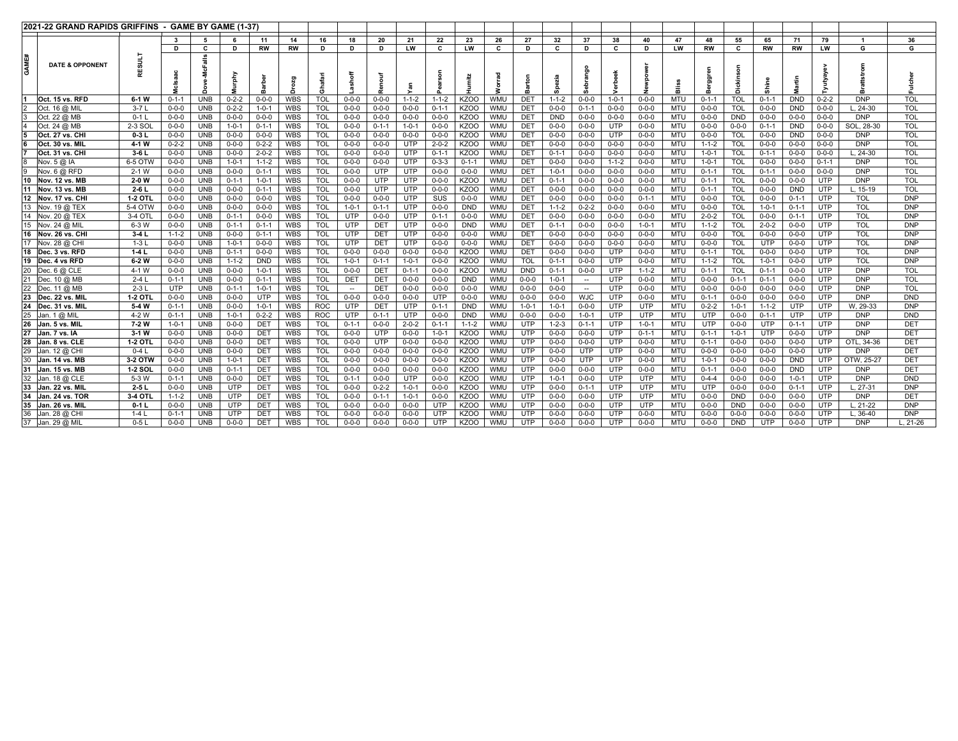| <b>2021-22 GRAND RAPIDS GRIFFINS</b> |                |             | GAME BY GAME (1-37) |             |             |            |            |                          |               |             |             |                  |            |                 |             |                          |             |             |            |             |             |             |             |             |            |                 |
|--------------------------------------|----------------|-------------|---------------------|-------------|-------------|------------|------------|--------------------------|---------------|-------------|-------------|------------------|------------|-----------------|-------------|--------------------------|-------------|-------------|------------|-------------|-------------|-------------|-------------|-------------|------------|-----------------|
|                                      |                |             | 5                   |             | 11          | 14         | 16         | 18                       | 20            | 21          | 22          | 23               | 26         | 27              | 32          | 37                       | 38          | 40          | 47         | 48          | 55          | 65          | 71          | 79          |            | 36              |
|                                      |                | D           | c                   | D           | RW          | <b>RW</b>  | D          | D                        | D             | <b>LW</b>   | C           | LW               | c          | D               |             | D                        | C           | D           | LW         | <b>RW</b>   | C           | <b>RW</b>   | RW          | LW          | G          | G               |
| GAME#<br><b>DATE &amp; OPPONENT</b>  |                |             | ゠                   | urphy       |             | Drozg      | Ghaf       |                          | ъ<br>eno<br>Ñ |             |             |                  |            |                 |             | $\circ$                  |             |             |            | œ           | z           | Shine       | 들           |             |            |                 |
| Oct. 15 vs. RFD                      | $6-1$ W        | $0 - 1 - 1$ | <b>UNB</b>          | $0 - 2 - 2$ | $0 - 0 - 0$ | <b>WBS</b> | <b>TOL</b> | $0 - 0 - 0$              | $0 - 0 - 0$   | $1 - 1 - 2$ | $1 - 1 - 2$ | KZO <sub>O</sub> | <b>WMU</b> | DE <sub>1</sub> | $1 - 1 - 2$ | $0 - 0 - 0$              | $1 - 0 - 1$ | $0 - 0 - 0$ | <b>MTU</b> | $0 - 1 - 1$ | <b>TOL</b>  | $0 - 1 - 1$ | <b>DND</b>  | $0 - 2 - 2$ | <b>DNP</b> | <b>TOL</b>      |
| Oct. 16 @ MIL                        | $3-7L$         | $0 - 0 - 0$ | <b>UNB</b>          | $0 - 2 - 2$ | $1 - 0 - 1$ | <b>WBS</b> | <b>TOL</b> | $0 - 0 - 0$              | $0 - 0 - 0$   | $0 - 0 - 0$ | $0 - 1 - 1$ | KZOO             | <b>WMU</b> | DET             | $0 - 0 - 0$ | $0 - 1 - 1$              | $0 - 0 - 0$ | $0 - 0 - 0$ | <b>MTU</b> | $0 - 0 - 0$ | <b>TOL</b>  | $0 - 0 - 0$ | <b>DND</b>  | $0 - 0 - 0$ | $L, 24-30$ | <b>TOL</b>      |
| Oct. 22 @ MB                         | $0 - 11$       | $0 - 0 - 0$ | <b>UNB</b>          | $0 - 0 - 0$ | $0 - 0 - 0$ | WBS        | <b>TOL</b> | $0 - 0 - 0$              | $0 - 0 - 0$   | $0 - 0 - 0$ | $0 - 0 - 0$ | KZO <sub>O</sub> | <b>WMU</b> | <b>DET</b>      | <b>DND</b>  | $0 - 0 - 0$              | $0 - 0 - 0$ | $0 - 0 - 0$ | <b>MTU</b> | $0 - 0 - 0$ | <b>DND</b>  | $0 - 0 - 0$ | $0 - 0 - 0$ | $0 - 0 - 0$ | <b>DNP</b> | <b>TOL</b>      |
| Oct. 24 @ MB                         | 2-3 SOI        | $0 - 0 - 0$ | <b>UNB</b>          | $1 - 0 - 1$ | $0 - 1 - 1$ | <b>WBS</b> | <b>TOL</b> | $0 - 0 - 0$              | $0 - 1 - 1$   | $1 - 0 - 1$ | $0 - 0 - 0$ | KZOO             | <b>WMU</b> | <b>DET</b>      | $0 - 0 - 0$ | $0 - 0 - 0$              | UTP         | $0 - 0 - 0$ | <b>MTU</b> | $0 - 0 - 0$ | $0 - 0 - 0$ | $0 - 1 - 1$ | <b>DND</b>  | $0 - 0 - 0$ | SOL, 28-30 | <b>TOL</b>      |
| Oct. 27 vs. CH                       | $0-3L$         | $0 - 0 - 0$ | <b>UNB</b>          | $0 - 0 - 0$ | $0 - 0 - 0$ | WBS        | <b>TOL</b> | $0 - 0 - 0$              | $0 - 0 - 0$   | $0 - 0 - 0$ | $0 - 0 - 0$ | KZO <sub>O</sub> | <b>WMU</b> | <b>DET</b>      | $0 - 0 - 0$ | $0 - 0 - 0$              | <b>UTP</b>  | $0 - 0 - 0$ | MTU        | $0 - 0 - 0$ | <b>TOL</b>  | $0 - 0 - 0$ | <b>DND</b>  | $0 - 0 - 0$ | <b>DNP</b> | <b>TOL</b>      |
| Oct. 30 vs. MIL                      | 4-1 W          | $0 - 2 - 2$ | <b>UNB</b>          | $0 - 0 - 0$ | $0 - 2 - 2$ | <b>WBS</b> | <b>TOL</b> | $0 - 0 - 0$              | $0 - 0 - 0$   | <b>UTP</b>  | $2 - 0 - 2$ | <b>KZOO</b>      | WMU        | DET             | $0 - 0 - 0$ | $0 - 0 - 0$              | $0 - 0 - 0$ | $0 - 0 - 0$ | <b>MTU</b> | $1 - 1 - 2$ | <b>TOL</b>  | $0 - 0 - 0$ | $0 - 0 - 0$ | $0 - 0 - 0$ | <b>DNP</b> | <b>TOL</b>      |
| Oct. 31 vs. CHI                      | $3-6L$         | $0 - 0 - 0$ | <b>UNB</b>          | $0 - 0 - 0$ | $2 - 0 - 2$ | <b>WBS</b> | <b>TOL</b> | $0 - 0 - 0$              | $0 - 0 - 0$   | <b>UTP</b>  | $0 - 1 - 1$ | KZOO             | <b>WMU</b> | <b>DET</b>      | $0 - 1 - 1$ | $0 - 0 - 0$              | $0 - 0 - 0$ | $0 - 0 - 0$ | <b>MTU</b> | $1 - 0 - 1$ | <b>TOL</b>  | $0 - 1 - 1$ | $0 - 0 - 0$ | $0 - 0 - 0$ | $.24 - 30$ | <b>TOL</b>      |
| Nov. 5 @ IA                          | 6-5 OTW        | $0 - 0 - 0$ | <b>UNB</b>          | $1 - 0 - 1$ | $1 - 1 - 2$ | <b>WBS</b> | <b>TOL</b> | $0 - 0 - 0$              | $0 - 0 - 0$   | <b>UTP</b>  | $0 - 3 - 3$ | $0 - 1 - 1$      | <b>WMU</b> | <b>DET</b>      | $0 - 0 - 0$ | $0 - 0 - 0$              | $1 - 1 - 2$ | $0 - 0 - 0$ | <b>MTU</b> | $1 - 0 - 1$ | <b>TOL</b>  | $0 - 0 - 0$ | $0 - 0 - 0$ | $0 - 1 - 1$ | <b>DNP</b> | <b>TOL</b>      |
| Nov. 6 @ RFD                         | $2 - 1$ W      | $0 - 0 - 0$ | <b>UNB</b>          | $0 - 0 - 0$ | $0 - 1 - 1$ | <b>WBS</b> | <b>TOL</b> | $0 - 0 - 0$              | <b>UTP</b>    | <b>UTP</b>  | $0 - 0 - 0$ | $0 - 0 - 0$      | <b>WMU</b> | DET             | $1 - 0 - 1$ | $0 - 0 - 0$              | $0 - 0 - 0$ | $0 - 0 - 0$ | <b>MTU</b> | $0 - 1 - 1$ | <b>TOL</b>  | $0 - 1 - 1$ | $0 - 0 - 0$ | $0 - 0 - 0$ | <b>DNP</b> | <b>TOL</b>      |
| 10<br>Nov. 12 vs. MB                 | $2-0$ W        | $0 - 0 - 0$ | <b>UNB</b>          | $0 - 1 - 1$ | $1 - 0 - 1$ | WBS        | <b>TOL</b> | $0 - 0 - 0$              | <b>UTP</b>    | <b>UTP</b>  | $0 - 0 - 0$ | <b>KZOO</b>      | <b>WMU</b> | DET             | $0 - 1 - 1$ | $0 - 0 - 0$              | $0 - 0 - 0$ | $0 - 0 - 0$ | <b>MTU</b> | $0 - 1 - 1$ | <b>TOL</b>  | $0 - 0 - 0$ | $0 - 0 - 0$ | <b>UTP</b>  | <b>DNP</b> | <b>TOL</b>      |
| 11<br><b>Nov. 13 vs. MB</b>          | $2-6L$         | $0 - 0 - 0$ | <b>UNB</b>          | $0 - 0 - 0$ | $0 - 1 - 1$ | <b>WBS</b> | <b>TOL</b> | $0 - 0 - 0$              | UTP           | <b>UTP</b>  | $0 - 0 - 0$ | <b>KZOO</b>      | <b>WMU</b> | <b>DET</b>      | $0 - 0 - 0$ | $0 - 0 - 0$              | $0 - 0 - 0$ | $0 - 0 - 0$ | <b>MTU</b> | $0 - 1 - 1$ | <b>TOL</b>  | $0 - 0 - 0$ | <b>DND</b>  | <b>UTP</b>  | $.15-19$   | <b>TOL</b>      |
| 12<br>Nov. 17 vs. CHI                | 1-2 OTI        | $0 - 0 - 0$ | <b>UNB</b>          | $0 - 0 - 0$ | $0 - 0 - 0$ | <b>WBS</b> | <b>TOL</b> | $0 - 0 - 0$              | $0 - 0 - 0$   | UTP         | SUS         | $0 - 0 - 0$      | <b>WMU</b> | DET             | $0 - 0 - 0$ | $0 - 0 - 0$              | $0 - 0 - 0$ | $0 - 1 - 1$ | <b>MTU</b> | $0 - 0 - 0$ | <b>TOL</b>  | $0 - 0 - 0$ | $0 - 1 - 1$ | <b>UTP</b>  | TOL        | <b>DNP</b>      |
| Nov. 19 @ TEX                        | 5-4 OTW        | $0 - 0 - 0$ | <b>UNB</b>          | $0 - 0 - 0$ | $0 - 0 - 0$ | <b>WBS</b> | <b>TOL</b> | $1 - 0 - 1$              | $0 - 1 - 1$   | <b>UTP</b>  | $0 - 0 - 0$ | <b>DND</b>       | WMU        | <b>DET</b>      | $1 - 1 - 2$ | $0 - 2 - 2$              | $0 - 0 - 0$ | $0 - 0 - 0$ | <b>MTU</b> | $0 - 0 - 0$ | <b>TOL</b>  | $1 - 0 - 1$ | $0 - 1 - 1$ | <b>UTP</b>  | <b>TOL</b> | <b>DNP</b>      |
| 14<br>Nov. 20 @ TEX                  | 3-4 OTI        | $0 - 0 - 0$ | <b>UNB</b>          | $0 - 1 - 1$ | $0 - 0 - 0$ | WBS        | <b>TOL</b> | UTP                      | $0 - 0 - 0$   | <b>UTP</b>  | $0 - 1 - 1$ | $0 - 0 - 0$      | <b>WMU</b> | DE <sub>1</sub> | $0 - 0 - 0$ | $0 - 0 - 0$              | $0 - 0 - 0$ | $0 - 0 - 0$ | <b>MTU</b> | $2 - 0 - 2$ | <b>TOL</b>  | $0 - 0 - 0$ | $0 - 1 - 1$ | <b>UTP</b>  | <b>TOL</b> | <b>DNP</b>      |
| 15<br>Nov. 24 @ MIL                  | 6-3 W          | $0 - 0 - 0$ | <b>UNB</b>          | $0 - 1 - 1$ | $0 - 1 - 1$ | <b>WBS</b> | <b>TOL</b> | UTP                      | DET           | <b>UTP</b>  | $0 - 0 - 0$ | <b>DND</b>       | <b>WMU</b> | DET             | $0 - 1 - 1$ | $0 - 0 - 0$              | $0 - 0 - 0$ | $1 - 0 - 1$ | MTU        | $1 - 1 - 2$ | <b>TOL</b>  | $2 - 0 - 2$ | $0 - 0 - 0$ | <b>UTP</b>  | TOL        | <b>DNP</b>      |
| 16<br><b>Nov. 26 vs. CH</b>          | $3-4L$         | $1 - 1 - 2$ | <b>UNB</b>          | $0 - 0 - 0$ | $0 - 1 - 1$ | <b>WBS</b> | <b>TOL</b> | UTP                      | DET           | <b>UTP</b>  | $0 - 0 - 0$ | $0 - 0 - 0$      | WMU        | DET             | $0 - 0 - 0$ | $0 - 0 - 0$              | $0 - 0 - 0$ | $0 - 0 - 0$ | <b>MTU</b> | $0 - 0 - 0$ | <b>TOL</b>  | $0 - 0 - 0$ | $0 - 0 - 0$ | <b>UTP</b>  | <b>TOL</b> | <b>DNP</b>      |
| 17<br>Nov. 28 @ CHI                  | $1-3L$         | $0 - 0 - 0$ | <b>UNB</b>          | $1 - 0 - 1$ | $0 - 0 - 0$ | <b>WBS</b> | <b>TOL</b> | UTP                      | DET           | <b>UTP</b>  | $0 - 0 - 0$ | $0 - 0 - 0$      | <b>WMU</b> | DE <sub>1</sub> | $0 - 0 - 0$ | $0 - 0 - 0$              | $0 - 0 - 0$ | $0 - 0 - 0$ | MTU        | $0 - 0 - 0$ | <b>TOL</b>  | <b>UTP</b>  | $0 - 0 - 0$ | <b>UTP</b>  | TOL        | <b>DNP</b>      |
| 18<br>Dec. 3 vs. RFD                 | $1-4L$         | $0 - 0 - 0$ | <b>UNB</b>          | $0 - 1 - 1$ | $0 - 0 - 0$ | <b>WBS</b> | <b>TOL</b> | $0 - 0 - 0$              | $0 - 0 - 0$   | $0 - 0 - 0$ | $0 - 0 - 0$ | <b>KZOO</b>      | <b>WMU</b> | DET             | $0 - 0 - 0$ | $0 - 0 - 0$              | <b>UTP</b>  | $0 - 0 - 0$ | <b>MTU</b> | $0 - 1 - 1$ | <b>TOL</b>  | $0 - 0 - 0$ | $0 - 0 - 0$ | <b>UTP</b>  | TOL        | <b>DNP</b>      |
| 19<br>Dec. 4 vs RFD                  | $6-2W$         | $0 - 0 - 0$ | <b>UNB</b>          | $1 - 1 - 2$ | <b>DND</b>  | <b>WBS</b> | <b>TOL</b> | $1 - 0 - 1$              | $0 - 1 - 1$   | $1 - 0 - 1$ | $0 - 0 - 0$ | <b>KZOO</b>      | <b>WMU</b> | <b>TOL</b>      | $0 - 1 - 1$ | $0 - 0 - 0$              | <b>UTP</b>  | $0 - 0 - 0$ | <b>MTU</b> | $1 - 1 - 2$ | <b>TOL</b>  | $1 - 0 - 1$ | $0 - 0 - 0$ | <b>UTP</b>  | <b>TOL</b> | <b>DNP</b>      |
| 20<br>Dec. 6 @ CLE                   | 4-1 W          | $0 - 0 - 0$ | <b>UNB</b>          | $0 - 0 - 0$ | $1 - 0 - 1$ | WBS        | <b>TOL</b> | $0 - 0 - 0$              | DET           | $0 - 1 - 1$ | $0 - 0 - 0$ | <b>KZOO</b>      | <b>WMU</b> | <b>DND</b>      | $0 - 1 - 1$ | $0 - 0 - 0$              | UTP         | $1 - 1 - 2$ | <b>MTU</b> | $0 - 1 - 1$ | <b>TOL</b>  | $0 - 1 - 1$ | $0 - 0 - 0$ | <b>UTP</b>  | <b>DNP</b> | TOL             |
| Dec. 10 @ MB<br>21                   | $2-4L$         | $0 - 1 - 1$ | <b>UNB</b>          | $0 - 0 - 0$ | $0 - 1 - 1$ | <b>WBS</b> | <b>TOL</b> | DET                      | DET           | $0 - 0 - 0$ | $0 - 0 - 0$ | <b>DND</b>       | <b>WMU</b> | $0 - 0 - 0$     | $1 - 0 - 1$ | $\overline{\phantom{a}}$ | UTP         | $0 - 0 - 0$ | <b>MTU</b> | $0 - 0 - 0$ | $0 - 1 - 1$ | $0 - 1 - 1$ | $0 - 0 - 0$ | <b>UTP</b>  | <b>DNP</b> | <b>TOL</b>      |
| 22<br>Dec. 11 @ MB                   | $2-3L$         | <b>UTP</b>  | <b>UNB</b>          | $0 - 1 - 1$ | $1 - 0 - 1$ | <b>WBS</b> | <b>TOL</b> | $\overline{\phantom{a}}$ | DET           | $0 - 0 - 0$ | $0 - 0 - 0$ | $0 - 0 - 0$      | <b>WMU</b> | $0 - 0 - 0$     | $0 - 0 - 0$ | $\sim$                   | <b>UTP</b>  | $0 - 0 - 0$ | MTU        | $0 - 0 - 0$ | $0 - 0 - 0$ | $0 - 0 - 0$ | $0 - 0 - 0$ | <b>UTP</b>  | <b>DNP</b> | <b>TOL</b>      |
| 23<br>Dec. 22 vs. MII                | 1-2 OTI        | $0 - 0 - 0$ | <b>UNB</b>          | $0 - 0 - 0$ | <b>UTP</b>  | <b>WBS</b> | <b>TOL</b> | $0 - 0 - 0$              | $0 - 0 - 0$   | $0 - 0 - 0$ | <b>UTP</b>  | $0 - 0 - 0$      | <b>WMU</b> | $0 - 0 - 0$     | $0 - 0 - 0$ | <b>WJC</b>               | <b>UTP</b>  | $0 - 0 - 0$ | <b>MTU</b> | $0 - 1 - 1$ | $0 - 0 - 0$ | $0 - 0 - 0$ | $0 - 0 - 0$ | <b>UTP</b>  | <b>DNP</b> | <b>DND</b>      |
| 24<br>Dec. 31 vs. Mil                | 5-4 W          | $0 - 1 - 1$ | <b>UNB</b>          | $0 - 0 - 0$ | $1 - 0 - 1$ | <b>WBS</b> | <b>ROC</b> | UTP                      | <b>DET</b>    | <b>UTP</b>  | $0 - 1 - 1$ | <b>DND</b>       | WMU        | $1 - 0 - 1$     | $1 - 0 - 1$ | $0 - 0 - 0$              | <b>UTP</b>  | <b>UTP</b>  | <b>MTU</b> | $0 - 2 - 2$ | $1 - 0 - 1$ | $1 - 1 - 2$ | <b>UTP</b>  | <b>UTP</b>  | W. 29-33   | <b>DNP</b>      |
| 25<br>၊ @ MIL<br>Jan. 1              | 4-2 W          | $0 - 1 - 1$ | <b>UNB</b>          | $1 - 0 - 1$ | $0 - 2 - 2$ | WBS        | <b>ROC</b> | UTP                      | $0 - 1 - 1$   | <b>UTP</b>  | $0 - 0 - 0$ | <b>DND</b>       | WMU        | $0 - 0 - 0$     | $0 - 0 - 0$ | $1 - 0 - 1$              | <b>UTP</b>  | <b>UTP</b>  | <b>MTU</b> | <b>UTP</b>  | $0 - 0 - 0$ | $0 - 1 - 1$ | <b>UTP</b>  | <b>UTP</b>  | <b>DNP</b> | <b>DND</b>      |
| 26<br>Jan. 5 vs. Mil                 | 7-2 W          | $1 - 0 - 1$ | <b>UNB</b>          | $0 - 0 - 0$ | <b>DET</b>  | <b>WBS</b> | <b>TOL</b> | $0 - 1 - 1$              | $0 - 0 - 0$   | $2 - 0 - 2$ | $0 - 1 - 1$ | $1 - 1 - 2$      | <b>WMU</b> | UTP             | $1 - 2 - 3$ | $0 - 1 - 1$              | <b>UTP</b>  | $1 - 0 - 1$ | <b>MTU</b> | <b>UTP</b>  | $0 - 0 - 0$ | UTP         | $0 - 1 - 1$ | <b>UTP</b>  | <b>DNP</b> | DE <sub>1</sub> |
| 27<br>Jan. 7 vs. IA                  | $3-1$ W        | $0 - 0 - 0$ | <b>UNB</b>          | $0 - 0 - 0$ | DET         | WBS        | <b>TOL</b> | $0 - 0 - 0$              | UTP           | $0 - 0 - 0$ | $1 - 0 - 1$ | <b>KZOO</b>      | WMU        | UTP             | $0 - 0 - 0$ | $0 - 0 - 0$              | UTP         | $0 - 1 - 1$ | <b>MTU</b> | $0 - 1 - 1$ | $1 - 0 - 1$ | <b>UTP</b>  | $0 - 0 - 0$ | <b>UTP</b>  | <b>DNP</b> | <b>DET</b>      |
| 28<br>Jan. 8 vs. CLE                 | 1-2 OTI        | $0 - 0 - 0$ | <b>UNB</b>          | $0 - 0 - 0$ | <b>DET</b>  | <b>WBS</b> | <b>TOL</b> | $0 - 0 - 0$              | <b>UTP</b>    | $0 - 0 - 0$ | $0 - 0 - 0$ | <b>KZOO</b>      | <b>WMU</b> | UTP             | $0 - 0 - 0$ | $0 - 0 - 0$              | <b>UTP</b>  | $0 - 0 - 0$ | <b>MTU</b> | $0 - 1 - 1$ | $0 - 0 - 0$ | $0 - 0 - 0$ | $0 - 0 - 0$ | <b>UTP</b>  | OTL. 34-36 | DE <sub>1</sub> |
| 29<br>Jan. 12 @ CHI                  | $0-4L$         | $0 - 0 - 0$ | <b>UNB</b>          | $0 - 0 - 0$ | <b>DET</b>  | <b>WBS</b> | <b>TOL</b> | $0 - 0 - 0$              | $0 - 0 - 0$   | $0 - 0 - 0$ | $0 - 0 - 0$ | <b>KZOO</b>      | <b>WMU</b> | UTP             | $0 - 0 - 0$ | <b>UTP</b>               | <b>UTP</b>  | $0 - 0 - 0$ | MTU        | $0 - 0 - 0$ | $0 - 0 - 0$ | $0 - 0 - 0$ | $0 - 0 - 0$ | <b>UTP</b>  | <b>DNP</b> | DET             |
| 30<br>Jan. 14 vs. MB                 | 3-2 OTW        | $0 - 0 - 0$ | <b>UNB</b>          | $1 - 0 - 1$ | <b>DET</b>  | <b>WBS</b> | <b>TOL</b> | $0 - 0 - 0$              | $0 - 0 - 0$   | $0 - 0 - 0$ | $0 - 0 - 0$ | <b>KZOO</b>      | <b>WMU</b> | UTP             | $0 - 0 - 0$ | UTP                      | UTP         | $0 - 0 - 0$ | <b>MTU</b> | $1 - 0 - 1$ | $0 - 0 - 0$ | $0 - 0 - 0$ | <b>DND</b>  | <b>UTP</b>  | OTW. 25-27 | DET             |
| 31<br>Jan. 15 vs. MB                 | <b>1-2 SOL</b> | $0 - 0 - 0$ | <b>UNB</b>          | $0 - 1 - 1$ | <b>DET</b>  | <b>WBS</b> | <b>TOL</b> | $0 - 0 - 0$              | $0 - 0 - 0$   | $0 - 0 - 0$ | $0 - 0 - 0$ | <b>KZOO</b>      | WMU        | <b>UTP</b>      | $0 - 0 - 0$ | $0 - 0 - 0$              | UTP         | $0 - 0 - 0$ | <b>MTU</b> | $0 - 1 - 1$ | $0 - 0 - 0$ | $0 - 0 - 0$ | <b>DND</b>  | <b>UTP</b>  | <b>DNP</b> | DET             |
| 32<br>Jan. 18 @ CLE                  | 5-3 W          | $0 - 1 - 1$ | <b>UNB</b>          | $0 - 0 - 0$ | DET         | <b>WBS</b> | <b>TOL</b> | $0 - 1 - 1$              | $0 - 0 - 0$   | UTP         | $0 - 0 - 0$ | KZOO             | <b>WMU</b> | <b>UTP</b>      | $1 - 0 - 1$ | $0 - 0 - 0$              | <b>UTP</b>  | <b>UTP</b>  | <b>MTU</b> | $0 - 4 - 4$ | $0 - 0 - 0$ | $0 - 0 - 0$ | $1 - 0 - 1$ | <b>UTP</b>  | <b>DNP</b> | <b>DND</b>      |
| 33<br>Jan. 22 vs. MIL                | $2-5L$         | $0 - 0 - 0$ | <b>UNB</b>          | UTP         | <b>DET</b>  | <b>WBS</b> | <b>TOL</b> | $0 - 0 - 0$              | $0 - 2 - 2$   | $1 - 0 - 1$ | $0 - 0 - 0$ | KZO <sub>O</sub> | <b>WMU</b> | UTP             | $0 - 0 - 0$ | $0 - 1 - 1$              | <b>UTP</b>  | UTP         | <b>MTU</b> | <b>UTP</b>  | $0 - 0 - 0$ | $0 - 0 - 0$ | $0 - 1 - 1$ | <b>UTP</b>  | $.27 - 31$ | <b>DNP</b>      |
| 34<br>Jan. 24 vs. TOR                | 3-4 OTI        | $1 - 1 - 2$ | <b>UNB</b>          | <b>UTP</b>  | DET         | WBS        | <b>TOL</b> | $0 - 0 - 0$              | $0 - 1 - 1$   | $1 - 0 - 1$ | $0 - 0 - 0$ | <b>KZOO</b>      | WMU        | UTP             | $0 - 0 - 0$ | $0 - 0 - 0$              | <b>UTP</b>  | UTP         | <b>MTU</b> | $0 - 0 - 0$ | <b>DND</b>  | $0 - 0 - 0$ | $0 - 0 - 0$ | <b>UTP</b>  | <b>DNP</b> | <b>DET</b>      |
| Jan. 26 vs. MIL<br>35                | $0-1L$         | $0 - 0 - 0$ | <b>UNB</b>          | UTP         | <b>DET</b>  | WBS        | <b>TOL</b> | $0 - 0 - 0$              | $0 - 0 - 0$   | $0 - 0 - 0$ | UTP         | KZOO             | WMU        | UTP             | $0 - 0 - 0$ | $0 - 0 - 0$              | UTP         | UTP         | <b>MTU</b> | $0 - 0 - 0$ | <b>DND</b>  | $0 - 0 - 0$ | $0 - 0 - 0$ | <b>UTP</b>  | $L. 21-22$ | <b>DNP</b>      |
| 36<br>Jan. 28 @ CH                   | $1-4L$         | $0 - 1 - 1$ | <b>UNB</b>          | <b>UTP</b>  | DET         | WBS        | TOL        | $0 - 0 - 0$              | $0 - 0 - 0$   | $0 - 0 - 0$ | UTP         | <b>KZOC</b>      | WMU        | <b>UTP</b>      | $0 - 0 - 0$ | $0 - 0 - 0$              | UTP         | $0 - 0 - 0$ | <b>MTU</b> | $0 - 0 - 0$ | $0 - 0 - 0$ | $0 - 0 - 0$ | $0 - 0 - 0$ | <b>UTP</b>  | L. 36-40   | <b>DNP</b>      |
| 37 Jan. 29 @ MII                     | $0-5L$         | $0 - 0 - 0$ | <b>UNB</b>          | $0 - 0 - 0$ | DET         | <b>WBS</b> | <b>TOL</b> | $0 - 0 - 0$              | $0 - 0 - 0$   | $0 - 0 - 0$ | <b>UTP</b>  | KZ <sub>OO</sub> | WMU        | <b>UTP</b>      | $0 - 0 - 0$ | $0 - 0 - 0$              | UTP         | $0 - 0 - 0$ | MTU        | $0 - 0 - 0$ | <b>DND</b>  | UTP         | $0 - 0 - 0$ | <b>UTP</b>  | <b>DNP</b> | L. 21-26        |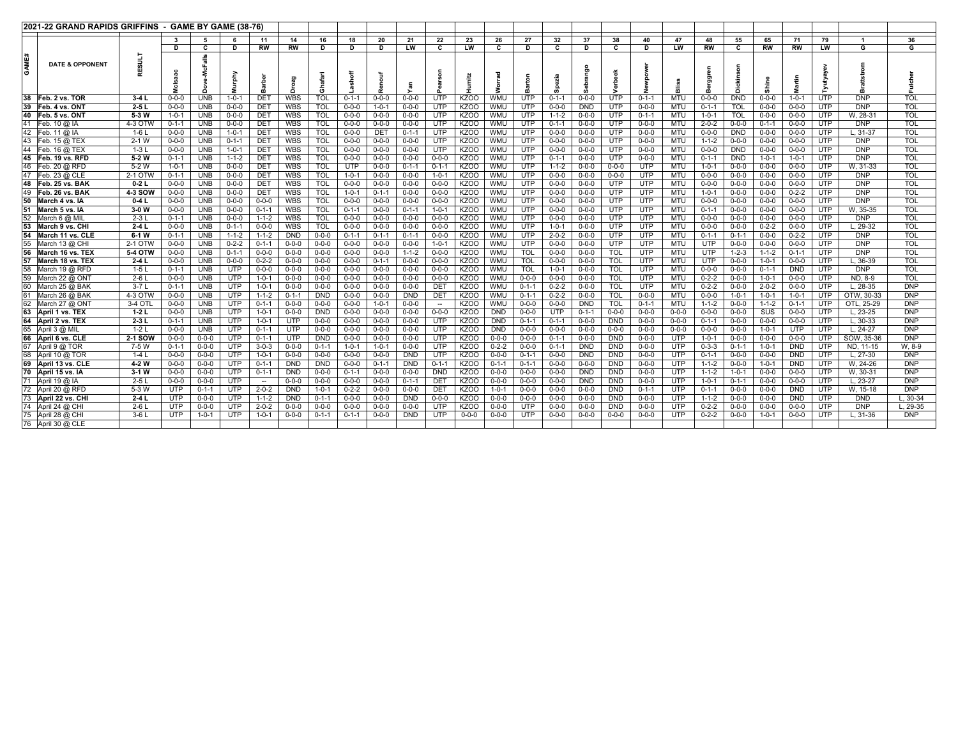|    | 2021-22 GRAND RAPIDS GRIFFINS - GAME BY GAME (38-76) |                   |                            |                          |                            |                            |                            |                           |                            |                            |                            |                           |                  |                   |                            |                            |                            |                           |                            |                          |                            |                            |                            |                            |                          |                          |                          |
|----|------------------------------------------------------|-------------------|----------------------------|--------------------------|----------------------------|----------------------------|----------------------------|---------------------------|----------------------------|----------------------------|----------------------------|---------------------------|------------------|-------------------|----------------------------|----------------------------|----------------------------|---------------------------|----------------------------|--------------------------|----------------------------|----------------------------|----------------------------|----------------------------|--------------------------|--------------------------|--------------------------|
|    |                                                      |                   | 3                          | 5                        |                            | 11                         | 14                         | 16                        | 18                         | 20                         | 21                         | 22                        | 23               | 26                | 27                         | 32                         | 37                         | 38                        | 40                         | 47                       | 48                         | 55                         | 65                         | 71                         | 79                       | -1                       | 36                       |
|    |                                                      |                   | n                          | C                        | D                          | RW                         | RW                         | D                         | Ð                          | n                          | <b>LW</b>                  | C                         | LW               | C.                | D                          |                            | D                          | c                         | D                          | LW                       | <b>RW</b>                  | c                          | <b>RW</b>                  | <b>RW</b>                  | LW                       | G                        | G                        |
| ĀΜ | <b>DATE &amp; OPPONENT</b>                           | ESII              |                            |                          | urphy                      |                            |                            | 혈<br>$\overline{c}$       |                            |                            |                            |                           | Ē                | 등                 |                            |                            | 유                          |                           |                            | ᇑ                        | m                          | ᅔ                          | a<br>Shin                  | 뒽                          |                          |                          |                          |
| 38 | Feb. 2 vs. TOR                                       | $3-4L$            | $0 - 0 - 0$                | UNB                      | $1 - 0 - 1$                | DET                        | <b>WBS</b>                 | <b>TOL</b>                | $0 - 1 - 1$                | $0 - 0 - 0$                | $0 - 0 - 0$                | <b>UTP</b>                | KZOO             | WMU               | <b>UTP</b>                 | $0 - 1 - 1$                | $0 - 0 - 0$                | <b>UTP</b>                | $0 - 1 - 1$                | <b>MTU</b>               | $0 - 0 - 0$                | <b>DND</b>                 | $0 - 0 - 0$                | $1 - 0 - 1$                | <b>UTP</b>               | <b>DNP</b>               | <b>TOL</b>               |
| 39 | Feb. 4 vs. ONT                                       | $2-5L$            | $0 - 0 - 0$                | <b>UNB</b>               | $0 - 0 - 0$                | DET                        | <b>WBS</b>                 | <b>TOL</b>                | $0 - 0 - 0$                | $1 - 0 - 1$                | $0 - 0 - 0$                | <b>UTP</b>                | KZOO             | WMU               | <b>UTP</b>                 | $0 - 0 - 0$                | <b>DND</b>                 | <b>UTP</b>                | $0 - 0 - 0$                | <b>MTU</b>               | $0 - 1 - 1$                | <b>TOL</b>                 | $0 - 0 - 0$                | $0 - 0 - 0$                | <b>UTP</b>               | <b>DNP</b>               | <b>TOL</b>               |
| 40 | Feb. 5 vs. ONT                                       | 5-3 W             | $1 - 0 - 1$                | <b>UNB</b>               | $0 - 0 - 0$                | DET                        | <b>WBS</b>                 | <b>TOL</b>                | $0 - 0 - 0$                | $0 - 0 - 0$                | $0 - 0 - 0$                | <b>UTP</b>                | KZOO             | <b>WMU</b>        | <b>UTP</b>                 | $1 - 1 - 2$                | $0 - 0 - 0$                | <b>UTP</b>                | $0 - 1 - 1$                | <b>MTU</b>               | $1 - 0 - 1$                | <b>TOL</b>                 | $0 - 0 - 0$                | $0 - 0 - 0$                | <b>UTP</b>               | W. 28-31                 | <b>TOL</b>               |
|    | Feb. $10 \omega$ IA                                  | 4-3 OTW           | $0 - 1 - 1$                | <b>UNB</b>               | $0 - 0 - 0$                | <b>DET</b>                 | <b>WBS</b>                 | <b>TOL</b>                | $0 - 0 - 0$                | $0 - 0 - 0$                | $0 - 0 - 0$                | <b>UTP</b>                | KZOO             | WMU               | <b>UTP</b>                 | $0 - 1 - 1$                | $0 - 0 - 0$                | <b>UTP</b>                | $0 - 0 - 0$                | <b>MTU</b>               | $2 - 0 - 2$                | $0 - 0 - 0$                | $0 - 1 - 1$                | $0 - 0 - 0$                | <b>UTP</b>               | <b>DNP</b>               | <b>TOL</b>               |
| 42 | Feb. 11 @ IA                                         | 1-6 L             | $0 - 0 - 0$                | <b>UNB</b>               | $1 - 0 - 1$                | DET                        | WBS                        | <b>TOL</b>                | $0 - 0 - 0$                | DET                        | $0 - 1 - 1$                | <b>UTP</b>                | KZOO             | WMU               | <b>UTP</b>                 | $0 - 0 - 0$                | $0 - 0 - 0$                | <b>UTP</b>                | $0 - 0 - 0$                | <b>MTU</b>               | $0 - 0 - 0$                | <b>DND</b>                 | $0 - 0 - 0$                | $0 - 0 - 0$                | <b>UTP</b>               | $L.31-37$                | <b>TOL</b>               |
| 43 | Feb. 15 @ TEX                                        | $2-1$ W           | $0 - 0 - 0$                | <b>UNB</b>               | $0 - 1 - 1$                | DET                        | WBS                        | <b>TOL</b>                | $0 - 0 - 0$                | $0 - 0 - 0$                | $0 - 0 - 0$                | <b>UTP</b>                | KZ00             | WMU               | <b>UTP</b>                 | $0 - 0 - 0$                | $0 - 0 - 0$                | <b>UTP</b>                | $0 - 0 - 0$                | <b>MTU</b>               | $1 - 1 - 2$                | $0 - 0 - 0$                | $0 - 0 - 0$                | $0 - 0 - 0$                | <b>UTP</b>               | <b>DNP</b>               | <b>TOL</b>               |
|    | 44 Feb. 16 @ TEX<br>45 Feb. 19 vs. RFD               | $1-3L$<br>5-2 W   | $0 - 0 - 0$<br>$0 - 1 - 1$ | UNB<br>UNB               | $1 - 0 - 1$<br>$1 - 1 - 2$ | DET<br>DET                 | WBS<br><b>WBS</b>          | <b>TOL</b><br><b>TOL</b>  | $0 - 0 - 0$<br>$0 - 0 - 0$ | $0 - 0 - 0$<br>$0 - 0 - 0$ | $0 - 0 - 0$<br>$0 - 0 - 0$ | <b>UTP</b><br>$0 - 0 - 0$ | KZ00<br>KZ00     | WMU<br>WMU        | <b>UTP</b><br><b>UTP</b>   | $0 - 0 - 0$<br>$0 - 1 - 1$ | $0 - 0 - 0$<br>$0 - 0 - 0$ | <b>UTP</b><br><b>UTP</b>  | $0 - 0 - 0$<br>$0 - 0 - 0$ | <b>MTU</b><br><b>MTU</b> | $0 - 0 - 0$<br>$0 - 1 - 1$ | <b>DND</b><br><b>DND</b>   | $0 - 0 - 0$<br>$1 - 0 - 1$ | $0 - 0 - 0$<br>$1 - 0 - 1$ | <b>UTP</b><br><b>UTP</b> | <b>DNP</b><br><b>DNP</b> | <b>TOL</b><br><b>TOL</b> |
|    | 46   Feb. 20 @ RFD                                   | 5-2 W             | $1 - 0 - 1$                | UNB                      | $0 - 0 - 0$                | DET                        | <b>WBS</b>                 | <b>TOL</b>                | UTP                        | $0 - 0 - 0$                | $0 - 1 - 1$                | $0 - 1 - 1$               | <b>KZOO</b>      | WMU               | <b>UTP</b>                 | $1 - 1 - 2$                | $0 - 0 - 0$                | $0 - 0 - 0$               | UTP                        | <b>MTU</b>               | $1 - 0 - 1$                | $0 - 0 - 0$                | $0 - 0 - 0$                | $0 - 0 - 0$                | <b>UTP</b>               | W. 31-33                 | <b>TOL</b>               |
|    | Feb. 23 @ CLE                                        | 2-1 OTW           | $0 - 1 - 1$                | UNB.                     | $0 - 0 - 0$                | DET                        | <b>WBS</b>                 | <b>TOL</b>                | $1 - 0 - 1$                | $0 - 0 - 0$                | $0 - 0 - 0$                | $1 - 0 - 1$               | KZOO             | WMU               | <b>UTP</b>                 | $0 - 0 - 0$                | $0 - 0 - 0$                | $0 - 0 - 0$               | <b>UTP</b>                 | <b>MTU</b>               | $0 - 0 - 0$                | $0 - 0 - 0$                | $0 - 0 - 0$                | $0 - 0 - 0$                | <b>UTP</b>               | <b>DNP</b>               | <b>TOL</b>               |
| 48 | Feb. 25 vs. BAK                                      | $0-2L$            | $0 - 0 - 0$                | UNB                      | $0 - 0 - 0$                | DET                        | <b>WBS</b>                 | <b>TOL</b>                | $0 - 0 - 0$                | $0 - 0 - 0$                | $0 - 0 - 0$                | $0 - 0 - 0$               | KZO <sub>O</sub> | WMU               | <b>UTP</b>                 | $0 - 0 - 0$                | $0 - 0 - 0$                | <b>UTP</b>                | <b>UTP</b>                 | <b>MTU</b>               | $0 - 0 - 0$                | $0 - 0 - 0$                | $0 - 0 - 0$                | $0 - 0 - 0$                | <b>UTP</b>               | <b>DNP</b>               | <b>TOL</b>               |
| 49 | Feb. 26 vs. BAK                                      | 4-3 SOW           | $0 - 0 - 0$                | <b>UNB</b>               | $0 - 0 - 0$                | DET                        | <b>WBS</b>                 | <b>TOL</b>                | $1 - 0 - 1$                | $0 - 1 - 1$                | $0 - 0 - 0$                | $0 - 0 - 0$               | KZOO             | WMU               | <b>UTP</b>                 | $0 - 0 - 0$                | $0 - 0 - 0$                | <b>UTP</b>                | <b>UTP</b>                 | <b>MTU</b>               | $1 - 0 - 1$                | $0 - 0 - 0$                | $0 - 0 - 0$                | $0 - 2 - 2$                | <b>UTP</b>               | <b>DNP</b>               | <b>TOL</b>               |
| 50 | March 4 vs. IA                                       | $0-4L$            | $0 - 0 - 0$                | UNB.                     | $0 - 0 - 0$                | $0 - 0 - 0$                | <b>WBS</b>                 | <b>TOL</b>                | $0 - 0 - 0$                | $0 - 0 - 0$                | $0 - 0 - 0$                | $0 - 0 - 0$               | KZO <sub>O</sub> | <b>WMU</b>        | UTP                        | $0 - 0 - 0$                | $0 - 0 - 0$                | <b>UTP</b>                | <b>UTP</b>                 | <b>MTU</b>               | $0 - 0 - 0$                | $0 - 0 - 0$                | $0 - 0 - 0$                | $0 - 0 - 0$                | <b>UTP</b>               | <b>DNP</b>               | <b>TOL</b>               |
| 51 | March 5 vs. IA                                       | $3-0$ W           | $0 - 0 - 0$                | <b>UNB</b>               | $0 - 0 - 0$                | $0 - 1 - 1$                | <b>WBS</b>                 | <b>TOL</b>                | $0 - 1 - 1$                | $0 - 0 - 0$                | $0 - 1 - 1$                | $1 - 0 - 1$               | KZOO             | <b>WMU</b>        | <b>UTP</b>                 | $0 - 0 - 0$                | $0 - 0 - 0$                | <b>UTP</b>                | UTP                        | <b>MTU</b>               | $0 - 1 - 1$                | $0 - 0 - 0$                | $0 - 0 - 0$                | $0 - 0 - 0$                | <b>UTP</b>               | W. 35-35                 | <b>TOL</b>               |
| 52 | March 6 @ MII                                        | $2-3L$            | $0 - 1 - 1$                | <b>UNB</b>               | $0 - 0 - 0$                | $1 - 1 - 2$                | WBS                        | <b>TOL</b>                | $0 - 0 - 0$                | $0 - 0 - 0$                | $0 - 0 - 0$                | $0 - 0 - 0$               | KZOO             | <b>WMU</b>        | <b>UTP</b>                 | $0 - 0 - 0$                | $0 - 0 - 0$                | <b>UTP</b>                | UTP                        | <b>MTU</b>               | $0 - 0 - 0$                | $0 - 0 - 0$                | $0 - 0 - 0$                | $0 - 0 - 0$                | <b>UTP</b>               | <b>DNP</b>               | <b>TOL</b>               |
| 53 | March 9 vs. CH                                       | $2-4L$            | $0 - 0 - 0$                | <b>UNB</b>               | $0 - 1 - 1$                | $0 - 0 - 0$                | WBS                        | <b>TOL</b>                | $0 - 0 - 0$                | $0 - 0 - 0$                | $0 - 0 - 0$                | $0 - 0 - 0$               | KZO <sub>O</sub> | <b>WMU</b>        | UTP                        | $1 - 0 - 1$                | $0 - 0 - 0$                | <b>UTP</b>                | <b>UTP</b>                 | <b>MTU</b>               | $0 - 0 - 0$                | $0 - 0 - 0$                | $0 - 2 - 2$                | $0 - 0 - 0$                | <b>UTP</b>               | L. 29-32                 | <b>TOL</b>               |
| 54 | March 11 vs. CLE                                     | $6-1$ W           | $0 - 1 - 1$                | UNB                      | $1 - 1 - 2$                | $1 - 1 - 2$                | <b>DND</b>                 | $0 - 0 - 0$               | $0 - 1 - 1$                | $0 - 1 - 1$                | $0 - 1 - 1$                | $0 - 0 - 0$               | KZOO             | <b>WMU</b>        | UTP                        | $2 - 0 - 2$                | $0 - 0 - 0$                | UTP                       | <b>UTP</b>                 | <b>MTU</b>               | $0 - 1 - 1$                | $0 - 1 - 1$                | $0 - 0 - 0$                | $0 - 2 - 2$                | <b>UTP</b>               | <b>DNP</b>               | <b>TOL</b>               |
| 55 | March 13 @ CHI                                       | 2-1 OTW           | $0 - 0 - 0$                | UNB                      | $0 - 2 - 2$                | $0 - 1 - 1$                | $0 - 0 - 0$                | $0 - 0 - 0$               | $0 - 0 - 0$                | $0 - 0 - 0$                | $0 - 0 - 0$                | $1 - 0 - 1$               | <b>KZOO</b>      | WMU               | <b>UTP</b>                 | $0 - 0 - 0$                | $0 - 0 - 0$                | <b>UTP</b>                | UTP                        | <b>MTU</b>               | <b>UTP</b>                 | $0 - 0 - 0$                | $0 - 0 - 0$                | $0 - 0 - 0$                | <b>UTP</b>               | <b>DNP</b>               | <b>TOL</b>               |
| 56 | March 16 vs. TEX                                     | 5-4 OTW           | $0 - 0 - 0$                | UNB                      | $0 - 1 - 1$                | $0 - 0 - 0$                | $0 - 0 - 0$                | $0 - 0 - 0$               | $0 - 0 - 0$                | $0 - 0 - 0$                | $1 - 1 - 2$                | $0 - 0 - 0$               | KZOO             | <b>WMU</b>        | <b>TOL</b>                 | $0 - 0 - 0$                | $0 - 0 - 0$                | <b>TOL</b>                | <b>UTP</b>                 | <b>MTU</b>               | <b>UTP</b>                 | $1 - 2 - 3$                | $1 - 1 - 2$                | $0 - 1 - 1$                | <b>UTP</b>               | <b>DNP</b>               | <b>TOL</b>               |
| 57 | March 18 vs. TEX                                     | $2-4L$            | $0 - 0 - 0$                | <b>UNB</b>               | $0 - 0 - 0$                | $0 - 2 - 2$                | $0 - 0 - 0$                | $0 - 0 - 0$               | $0 - 0 - 0$                | $0 - 1 - 1$                | $0 - 0 - 0$                | $0 - 0 - 0$               | KZOO             | <b>WMU</b>        | <b>TOL</b>                 | $0 - 0 - 0$                | $0 - 0 - 0$                | <b>TOL</b>                | <b>UTP</b>                 | <b>MTU</b>               | <b>UTP</b>                 | $0 - 0 - 0$                | $1 - 0 - 1$                | $0 - 0 - 0$                | <b>UTP</b>               | L. 36-39                 | <b>TOL</b>               |
| 58 | March 19 @ RFD                                       | $1-5L$            | $0 - 1 - 1$                | UNB                      | <b>UTP</b>                 | $0 - 0 - 0$                | $0 - 0 - 0$                | $0 - 0 - 0$               | $0 - 0 - 0$                | $0 - 0 - 0$                | $0 - 0 - 0$                | $0 - 0 - 0$               | KZOO             | WMU               | <b>TOL</b>                 | $1 - 0 - 1$                | $0 - 0 - 0$                | <b>TOL</b>                | <b>UTP</b>                 | <b>MTU</b>               | $0 - 0 - 0$                | $0 - 0 - 0$                | $0 - 1 - 1$                | <b>DND</b>                 | <b>UTP</b>               | <b>DNP</b>               | <b>TOL</b>               |
|    | 59 March 22 @ ONT                                    | $2-6L$            | $0 - 0 - 0$                | <b>UNB</b>               | <b>UTP</b>                 | $1 - 0 - 1$                | $0 - 0 - 0$                | $0 - 0 - 0$               | $0 - 0 - 0$                | $0 - 0 - 0$                | $0 - 0 - 0$                | $0 - 0 - 0$               | KZOO             | WMU               | $0 - 0 - 0$                | $0 - 0 - 0$                | $0 - 0 - 0$                | <b>TOL</b>                | <b>UTP</b>                 | <b>MTU</b>               | $0 - 2 - 2$                | $0 - 0 - 0$                | $1 - 0 - 1$                | $0 - 0 - 0$                | <b>UTP</b>               | ND, 8-9                  | <b>TOL</b>               |
| 60 | March 25 @ BAK                                       | $3-7L$            | $0 - 1 - 1$                | UNB.                     | <b>UTP</b>                 | $1 - 0 - 1$                | $0 - 0 - 0$                | $0 - 0 - 0$               | $0 - 0 - 0$                | $0 - 0 - 0$                | $0 - 0 - 0$                | DET                       | KZOO             | WMU               | $0 - 1 - 1$                | $0 - 2 - 2$                | $0 - 0 - 0$                | <b>TOL</b>                | UTP                        | <b>MTU</b>               | $0 - 2 - 2$                | $0 - 0 - 0$                | $2 - 0 - 2$                | $0 - 0 - 0$                | <b>UTP</b>               | L, 28-35                 | <b>DNP</b>               |
| 62 | March 26 @ BAK                                       | 4-3 OTW           | $0 - 0 - 0$                | <b>UNB</b>               | <b>UTP</b><br><b>UTP</b>   | $1 - 1 - 2$                | $0 - 1 - 1$                | <b>DND</b>                | $0 - 0 - 0$<br>$0 - 0 - 0$ | $0 - 0 - 0$                | <b>DND</b><br>$0 - 0 - 0$  | DET                       | <b>KZOO</b>      | <b>WMU</b>        | $0 - 1 - 1$<br>$0 - 0 - 0$ | $0 - 2 - 2$<br>$0 - 0 - 0$ | $0 - 0 - 0$                | <b>TOL</b>                | $0 - 0 - 0$                | MTU                      | $0 - 0 - 0$                | $1 - 0 - 1$<br>$0 - 0 - 0$ | $1 - 0 - 1$                | $1 - 0 - 1$<br>$0 - 1 - 1$ | <b>UTP</b>               | OTW. 30-33               | <b>DNP</b><br><b>DNP</b> |
| 63 | March 27 @ ON1<br>April 1 vs. TEX                    | 3-4 OTI<br>$1-2L$ | $0 - 0 - 0$<br>$0 - 0 - 0$ | <b>UNB</b><br><b>UNB</b> | UTP                        | $0 - 1 - 1$<br>$1 - 0 - 1$ | $0 - 0 - 0$<br>$0 - 0 - 0$ | $0 - 0 - 0$<br><b>DND</b> | $0 - 0 - 0$                | $1 - 0 - 1$<br>$0 - 0 - 0$ | $0 - 0 - 0$                | $\sim$<br>$0 - 0 - 0$     | KZ00<br>KZOO     | WMU<br><b>DND</b> | $0 - 0 - 0$                | UTP                        | <b>DND</b><br>$0 - 1 - 1$  | <b>TOL</b><br>$0 - 0 - 0$ | $0 - 1 - 1$<br>$0 - 0 - 0$ | MTU<br>$0 - 0 - 0$       | $1 - 1 - 2$<br>$0 - 0 - 0$ | $0 - 0 - 0$                | $1 - 1 - 2$<br>SUS         | $0 - 0 - 0$                | <b>UTP</b><br>UTP        | OTL, 25-29<br>L. 23-25   | <b>DNP</b>               |
| 64 | April 2 vs. TEX                                      | $2-3L$            | $0 - 1 - 1$                | UNB                      | <b>UTP</b>                 | $1 - 0 - 1$                | UTP                        | $0 - 0 - 0$               | $0 - 0 - 0$                | $0 - 0 - 0$                | $0 - 0 - 0$                | UTP                       | KZOO             | <b>DND</b>        | $0 - 1 - 1$                | $0 - 1 - 1$                | $0 - 0 - 0$                | <b>DND</b>                | $0 - 0 - 0$                | $0 - 0 - 0$              | $0 - 1 - 1$                | $0 - 0 - 0$                | $0 - 0 - 0$                | $0 - 0 - 0$                | <b>UTP</b>               | L, 30-33                 | <b>DNP</b>               |
| 65 | April 3 @ MIL                                        | $1-2L$            | $0 - 0 - 0$                | UNB                      | <b>UTP</b>                 | $0 - 1 - 1$                | UTP                        | $0 - 0 - 0$               | $0 - 0 - 0$                | $0 - 0 - 0$                | $0 - 0 - 0$                | <b>UTP</b>                | KZOO             | <b>DND</b>        | $0 - 0 - 0$                | $0 - 0 - 0$                | $0 - 0 - 0$                | $0 - 0 - 0$               | $0 - 0 - 0$                | $0 - 0 - 0$              | $0 - 0 - 0$                | $0 - 0 - 0$                | $1 - 0 - 1$                | <b>UTP</b>                 | <b>UTP</b>               | L, 24-27                 | <b>DNP</b>               |
|    | 66 April 6 vs. CLE                                   | <b>2-1 SOW</b>    | $0 - 0 - 0$                | $0 - 0 - 0$              | <b>UTP</b>                 | $0 - 1 - 1$                | UTP                        | <b>DND</b>                | $0 - 0 - 0$                | $0 - 0 - 0$                | $0 - 0 - 0$                | <b>UTP</b>                | KZO <sub>O</sub> | $0 - 0 - 0$       | $0 - 0 - 0$                | $0 - 1 - 1$                | $0 - 0 - 0$                | <b>DND</b>                | $0 - 0 - 0$                | <b>UTP</b>               | $1 - 0 - 1$                | $0 - 0 - 0$                | $0 - 0 - 0$                | $0 - 0 - 0$                | <b>UTP</b>               | SOW. 35-36               | <b>DNP</b>               |
| 67 | April 9 @ TOR                                        | 7-5 W             | $0 - 1 - 1$                | $0 - 0 - 0$              | <b>UTP</b>                 | $3 - 0 - 3$                | $0 - 0 - 0$                | $0 - 1 - 1$               | $1 - 0 - 1$                | $1 - 0 - 1$                | $0 - 0 - 0$                | <b>UTP</b>                | <b>KZOO</b>      | $0 - 2 - 2$       | $0 - 0 - 0$                | $0 - 1 - 1$                | <b>DND</b>                 | <b>DND</b>                | $0 - 0 - 0$                | <b>UTP</b>               | $0 - 3 - 3$                | $0 - 1 - 1$                | $1 - 0 - 1$                | <b>DND</b>                 | <b>UTP</b>               | ND. 11-15                | W. 8-9                   |
|    | 68 April 10 @ TOR                                    | $1-4L$            | $0 - 0 - 0$                | $0 - 0 - 0$              | <b>UTP</b>                 | $1 - 0 - 1$                | $0 - 0 - 0$                | $0 - 0 - 0$               | $0 - 0 - 0$                | $0 - 0 - 0$                | <b>DND</b>                 | <b>UTP</b>                | KZOO             | $0 - 0 - 0$       | $0 - 1 - 1$                | $0 - 0 - 0$                | <b>DND</b>                 | <b>DND</b>                | $0 - 0 - 0$                | <b>UTP</b>               | $0 - 1 - 1$                | $0 - 0 - 0$                | $0 - 0 - 0$                | <b>DND</b>                 | <b>UTP</b>               | $L.27-30$                | <b>DNP</b>               |
|    | 69 April 13 vs. CLE                                  | 4-2 W             | $0 - 0 - 0$                | $0 - 0 - 0$              | <b>UTP</b>                 | $0 - 1 - 1$                | <b>DND</b>                 | <b>DND</b>                | $0 - 0 - 0$                | $0 - 1 - 1$                | <b>DND</b>                 | $0 - 1 - 1$               | KZOO             | $0 - 1 - 1$       | $0 - 1 - 1$                | $0 - 0 - 0$                | $0 - 0 - 0$                | <b>DND</b>                | $0 - 0 - 0$                | <b>UTP</b>               | $1 - 1 - 2$                | $0 - 0 - 0$                | $1 - 0 - 1$                | <b>DND</b>                 | <b>UTP</b>               | W. 24-26                 | <b>DNP</b>               |
|    | 70 April 15 vs. IA                                   | $3-1$ W           | $0 - 0 - 0$                | $0 - 0 - 0$              | <b>UTP</b>                 | $0 - 1 - 1$                | <b>DND</b>                 | $0 - 0 - 0$               | $0 - 1 - 1$                | $0 - 0 - 0$                | $0 - 0 - 0$                | <b>DND</b>                | KZO <sub>O</sub> | $0 - 0 - 0$       | $0 - 0 - 0$                | $0 - 0 - 0$                | <b>DND</b>                 | <b>DND</b>                | $0 - 0 - 0$                | <b>UTP</b>               | $1 - 1 - 2$                | $1 - 0 - 1$                | $0 - 0 - 0$                | $0 - 0 - 0$                | <b>UTP</b>               | W. 30-31                 | <b>DNP</b>               |
| 71 | April 19 @ IA                                        | $2-5L$            | $0 - 0 - 0$                | $0 - 0 - 0$              | <b>UTP</b>                 |                            | $0 - 0 - 0$                | $0 - 0 - 0$               | $0 - 0 - 0$                | $0 - 0 - 0$                | $0 - 1 - 1$                | DET                       | KZO <sub>O</sub> | $0 - 0 - 0$       | $0 - 0 - 0$                | $0 - 0 - 0$                | <b>DND</b>                 | <b>DND</b>                | $0 - 0 - 0$                | <b>UTP</b>               | $1 - 0 - 1$                | $0 - 1 - 1$                | $0 - 0 - 0$                | $0 - 0 - 0$                | <b>UTP</b>               | $L. 23-27$               | <b>DNP</b>               |
|    | 72 April 20 @ RFD                                    | 5-3 W             | <b>UTP</b>                 | $0 - 1 - 1$              | <b>UTP</b>                 | $2 - 0 - 2$                | <b>DND</b>                 | $1 - 0 - 1$               | $0 - 2 - 2$                | $0 - 0 - 0$                | $0 - 0 - 0$                | DET                       | KZOO             | $1 - 0 - 1$       | $0 - 0 - 0$                | $0 - 0 - 0$                | $0 - 0 - 0$                | <b>DND</b>                | $0 - 1 - 1$                | <b>UTP</b>               | $0 - 1 - 1$                | $0 - 0 - 0$                | $0 - 0 - 0$                | <b>DND</b>                 | <b>UTP</b>               | W. 15-18                 | <b>DNP</b>               |
| 73 | April 22 vs. CH                                      | $2-4L$            | <b>UTP</b>                 | $0 - 0 - 0$              | <b>UTP</b>                 | $1 - 1 - 2$                | <b>DND</b>                 | $0 - 1 - 1$               | $0 - 0 - 0$                | $0 - 0 - 0$                | <b>DND</b>                 | $0 - 0 - 0$               | KZOO             | $0 - 0 - 0$       | $0 - 0 - 0$                | $0 - 0 - 0$                | $0 - 0 - 0$                | <b>DND</b>                | $0 - 0 - 0$                | <b>UTP</b>               | $1 - 1 - 2$                | $0 - 0 - 0$                | $0 - 0 - 0$                | <b>DND</b>                 | <b>UTP</b>               | <b>DND</b>               | $L.30-34$                |
|    | 74 April 24 @ CH                                     | $2-6L$            | UTP                        | $0 - 0 - 0$              | UTP                        | $2 - 0 - 2$                | $0 - 0 - 0$                | $0 - 0 - 0$               | $0 - 0 - 0$                | $0 - 0 - 0$                | $0 - 0 - 0$                | <b>UTP</b>                | KZOO             | $0 - 0 - 0$       | <b>UTP</b>                 | $0 - 0 - 0$                | $0 - 0 - 0$                | <b>DND</b>                | $0 - 0 - 0$                | <b>UTP</b>               | $0 - 2 - 2$                | $0 - 0 - 0$                | $0 - 0 - 0$                | $0 - 0 - 0$                | <b>UTP</b>               | <b>DNP</b>               | L. 29-35                 |
|    | 75 April 28 @ CHI                                    | $3-6L$            | <b>UTP</b>                 | $1 - 0 - 1$              | <b>UTP</b>                 | $1 - 0 - 1$                | $0 - 0 - 0$                | $0 - 1 - 1$               | $0 - 1 - 1$                | $0 - 0 - 0$                | <b>DND</b>                 | <b>UTP</b>                | $0 - 0 - 0$      | $0 - 0 - 0$       | <b>UTP</b>                 | $0 - 0 - 0$                | $0 - 0 - 0$                | $0 - 0 - 0$               | $0 - 0 - 0$                | <b>UTP</b>               | $0 - 2 - 2$                | $0 - 0 - 0$                | $1 - 0 - 1$                | $0 - 0 - 0$                | <b>UTP</b>               | L. 31-36                 | <b>DNP</b>               |
|    | 76 April 30 @ CLE                                    |                   |                            |                          |                            |                            |                            |                           |                            |                            |                            |                           |                  |                   |                            |                            |                            |                           |                            |                          |                            |                            |                            |                            |                          |                          |                          |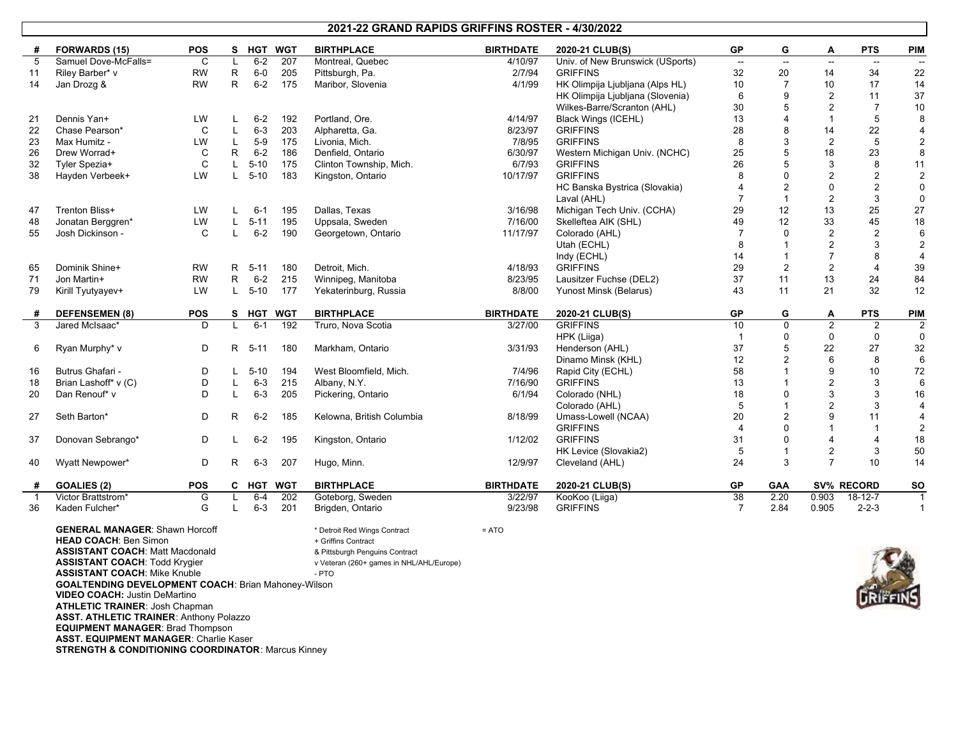#### **2021-22 GRAND RAPIDS GRIFFINS ROSTER - 4/30/2022**

|     | <b>FORWARDS (15)</b>  | <b>POS</b> | s            | <b>HGT</b> | <b>WGT</b> | <b>BIRTHPLACE</b>         | <b>BIRTHDATE</b> | 2020-21 CLUB(S)                  | <b>GP</b>                | G                        | Α              | <b>PTS</b>               | <b>PIM</b>     |
|-----|-----------------------|------------|--------------|------------|------------|---------------------------|------------------|----------------------------------|--------------------------|--------------------------|----------------|--------------------------|----------------|
| 5   | Samuel Dove-McFalls=  | C          | L            | $6 - 2$    | 207        | Montreal, Quebec          | 4/10/97          | Univ. of New Brunswick (USports) | $\overline{\phantom{a}}$ | $\overline{\phantom{a}}$ | $\sim$         | $\overline{\phantom{a}}$ | $\sim$         |
| -11 | Riley Barber* v       | <b>RW</b>  | $\mathsf{R}$ | $6-0$      | 205        | Pittsburgh, Pa.           | 2/7/94           | <b>GRIFFINS</b>                  | 32                       | 20                       | 14             | 34                       | 22             |
| 14  | Jan Drozg &           | <b>RW</b>  | R            | $6 - 2$    | 175        | Maribor, Slovenia         | 4/1/99           | HK Olimpija Ljubljana (Alps HL)  | 10                       | $\overline{7}$           | 10             | 17                       | 14             |
|     |                       |            |              |            |            |                           |                  | HK Olimpija Ljubljana (Slovenia) | 6                        | 9                        | $\overline{2}$ | 11                       | 37             |
|     |                       |            |              |            |            |                           |                  | Wilkes-Barre/Scranton (AHL)      | 30                       | 5                        | $\overline{2}$ | $\overline{7}$           | 10             |
| 21  | Dennis Yan+           | LW         | L            | $6-2$      | 192        | Portland, Ore.            | 4/14/97          | Black Wings (ICEHL)              | 13                       | $\overline{4}$           |                | 5                        | 8              |
| 22  | Chase Pearson*        | C          | L            | $6 - 3$    | 203        | Alpharetta, Ga.           | 8/23/97          | <b>GRIFFINS</b>                  | 28                       | 8                        | 14             | 22                       | $\overline{4}$ |
| 23  | Max Humitz -          | LW         | L            | $5-9$      | 175        | Livonia, Mich.            | 7/8/95           | <b>GRIFFINS</b>                  | 8                        | 3                        | $\overline{2}$ | 5                        | $\overline{2}$ |
| 26  | Drew Worrad+          | C          | R.           | $6-2$      | 186        | Denfield, Ontario         | 6/30/97          | Western Michigan Univ. (NCHC)    | 25                       | 5                        | 18             | 23                       | 8              |
| 32  | Tyler Spezia+         | C          | L            | $5 - 10$   | 175        | Clinton Township, Mich.   | 6/7/93           | <b>GRIFFINS</b>                  | 26                       | 5                        | 3              | 8                        | 11             |
| 38  | Hayden Verbeek+       | LW         |              | $5 - 10$   | 183        | Kingston, Ontario         | 10/17/97         | <b>GRIFFINS</b>                  | 8                        | $\Omega$                 | $\overline{2}$ | $\overline{c}$           | $\overline{2}$ |
|     |                       |            |              |            |            |                           |                  | HC Banska Bystrica (Slovakia)    |                          | $\overline{2}$           | $\Omega$       | $\boldsymbol{2}$         | $\Omega$       |
|     |                       |            |              |            |            |                           |                  | Laval (AHL)                      |                          |                          | $\overline{2}$ | $\mathbf{3}$             | $\Omega$       |
| 47  | Trenton Bliss+        | LW         | L            | $6 - 1$    | 195        | Dallas, Texas             | 3/16/98          | Michigan Tech Univ. (CCHA)       | 29                       | 12                       | 13             | 25                       | 27             |
| 48  | Jonatan Berggren*     | LW         | L            | $5 - 11$   | 195        | Uppsala, Sweden           | 7/16/00          | Skelleftea AIK (SHL)             | 49                       | 12                       | 33             | 45                       | 18             |
| 55  | Josh Dickinson -      | C          |              | $6 - 2$    | 190        | Georgetown, Ontario       | 11/17/97         | Colorado (AHL)                   |                          | $\Omega$                 | $\overline{2}$ | $\overline{\mathbf{c}}$  | 6              |
|     |                       |            |              |            |            |                           |                  | Utah (ECHL)                      |                          |                          | $\overline{2}$ | 3                        | $\overline{2}$ |
|     |                       |            |              |            |            |                           |                  | Indy (ECHL)                      | 14                       |                          | $\overline{7}$ | 8                        | $\overline{4}$ |
| 65  | Dominik Shine+        | <b>RW</b>  | R            | $5 - 11$   | 180        | Detroit, Mich.            | 4/18/93          | <b>GRIFFINS</b>                  | 29                       | $\overline{2}$           | $\overline{2}$ | $\overline{4}$           | 39             |
| 71  | Jon Martin+           | <b>RW</b>  | R.           | $6 - 2$    | 215        | Winnipeg, Manitoba        | 8/23/95          | Lausitzer Fuchse (DEL2)          | 37                       | 11                       | 13             | 24                       | 84             |
| 79  | Kirill Tyutyayev+     | LW         |              | $5 - 10$   | 177        | Yekaterinburg, Russia     | 8/8/00           | Yunost Minsk (Belarus)           | 43                       | 11                       | 21             | 32                       | 12             |
| #   | <b>DEFENSEMEN (8)</b> | <b>POS</b> | s            | <b>HGT</b> | <b>WGT</b> | <b>BIRTHPLACE</b>         | <b>BIRTHDATE</b> | 2020-21 CLUB(S)                  | <b>GP</b>                | G                        | Α              | <b>PTS</b>               | PIM            |
| 3   | Jared McIsaac*        | D          |              | $6 - 1$    | 192        | Truro, Nova Scotia        | 3/27/00          | <b>GRIFFINS</b>                  | 10                       | $\overline{0}$           | $\overline{2}$ | $\overline{2}$           | $\overline{2}$ |
|     |                       |            |              |            |            |                           |                  | HPK (Liiga)                      |                          | $\Omega$                 | $\mathbf 0$    | $\mathbf 0$              | $\Omega$       |
| 6   | Ryan Murphy* v        | D          | R            | $5 - 11$   | 180        | Markham, Ontario          | 3/31/93          | Henderson (AHL)                  | 37                       | 5                        | 22             | 27                       | 32             |
|     |                       |            |              |            |            |                           |                  | Dinamo Minsk (KHL)               | 12                       | $\overline{2}$           | 6              | 8                        | 6              |
| 16  | Butrus Ghafari -      | D          | L.           | $5 - 10$   | 194        | West Bloomfield, Mich.    | 7/4/96           | Rapid City (ECHL)                | 58                       |                          | 9              | 10                       | 72             |
| 18  | Brian Lashoff* v (C)  | D          |              | $6 - 3$    | 215        | Albany, N.Y.              | 7/16/90          | <b>GRIFFINS</b>                  | 13                       |                          | $\overline{2}$ | 3                        | 6              |
| 20  | Dan Renouf* v         | D          |              | $6-3$      | 205        | Pickering, Ontario        | 6/1/94           | Colorado (NHL)                   | 18                       | $\Omega$                 | 3              | 3                        | 16             |
|     |                       |            |              |            |            |                           |                  | Colorado (AHL)                   | 5                        |                          | $\overline{2}$ | 3                        | $\overline{4}$ |
| 27  | Seth Barton*          | D          | R            | $6 - 2$    | 185        | Kelowna, British Columbia | 8/18/99          | Umass-Lowell (NCAA)              | 20                       | $\overline{2}$           | 9              | 11                       | $\overline{4}$ |
|     |                       |            |              |            |            |                           |                  | <b>GRIFFINS</b>                  | $\Delta$                 | $\Omega$                 |                | $\mathbf{1}$             | $\overline{2}$ |
| 37  | Donovan Sebrango*     | D          |              | $6-2$      | 195        | Kingston, Ontario         | 1/12/02          | <b>GRIFFINS</b>                  | 31                       | $\Omega$                 | $\overline{4}$ | $\overline{4}$           | 18             |
|     |                       |            |              |            |            |                           |                  | HK Levice (Slovakia2)            | 5                        |                          | $\overline{2}$ | 3                        | 50             |
| 40  | Wyatt Newpower*       | D          | R.           | $6-3$      | 207        | Hugo, Minn.               | 12/9/97          | Cleveland (AHL)                  | 24                       | 3                        | $\overline{7}$ | 10                       | 14             |
| #   | <b>GOALIES (2)</b>    | <b>POS</b> | C            | <b>HGT</b> | <b>WGT</b> | <b>BIRTHPLACE</b>         | <b>BIRTHDATE</b> | 2020-21 CLUB(S)                  | <b>GP</b>                | <b>GAA</b>               |                | <b>SV% RECORD</b>        | <b>SO</b>      |
|     | Victor Brattstrom*    | G          |              | $6 - 4$    | 202        | Goteborg, Sweden          | 3/22/97          | KooKoo (Liiga)                   | 38                       | 2.20                     | 0.903          | $18 - 12 - 7$            |                |
| 36  | Kaden Fulcher*        | G          |              | $6-3$      | 201        | Brigden, Ontario          | 9/23/98          | <b>GRIFFINS</b>                  | $\overline{7}$           | 2.84                     | 0.905          | $2 - 2 - 3$              | $\mathbf{1}$   |
|     |                       |            |              |            |            |                           |                  |                                  |                          |                          |                |                          |                |

\* Detroit Red Wings Contract = ATO + Griffins Contract & Pittsburgh Penguins Contract v Veteran (260+ games in NHL/AHL/Europe) - PTO **VIDEO COACH:** Justin DeMartino **STRENGTH & CONDITIONING COORDINATOR**: Marcus Kinney **ASSISTANT COACH**: Mike Knuble **ASSISTANT COACH**: Todd Krygier **GENERAL MANAGER**: Shawn Horcoff **HEAD COACH**: Ben Simon **ASSISTANT COACH**: Matt Macdonald **GOALTENDING DEVELOPMENT COACH**: Brian Mahoney-Wilson **ATHLETIC TRAINER**: Josh Chapman **ASST. ATHLETIC TRAINER**: Anthony Polazzo **EQUIPMENT MANAGER**: Brad Thompson **ASST. EQUIPMENT MANAGER**: Charlie Kaser

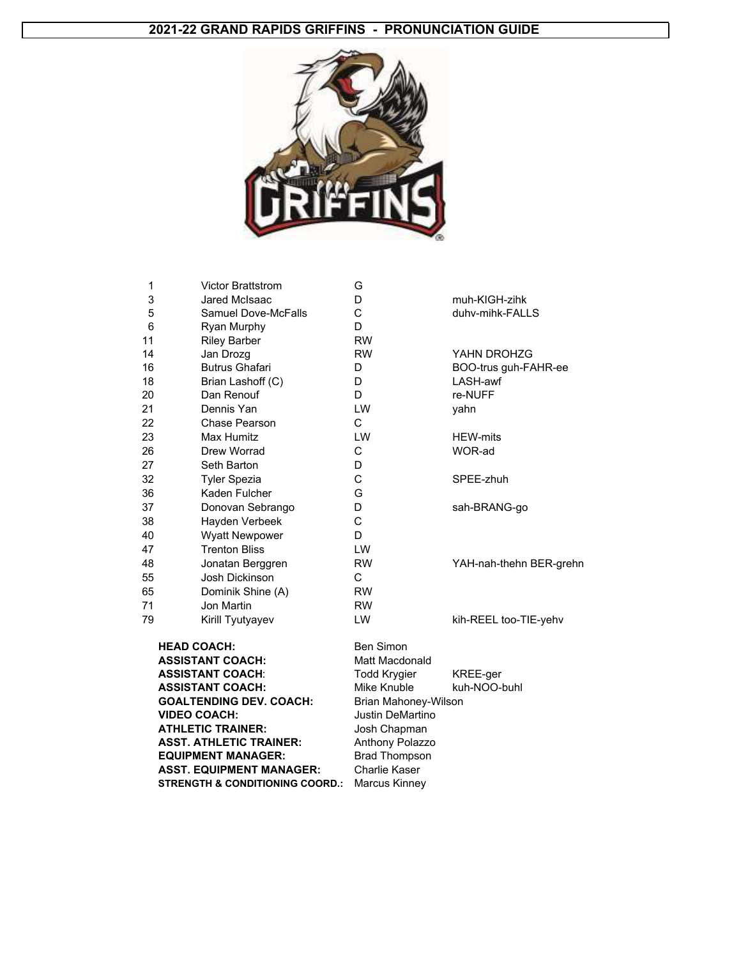#### **2021-22 GRAND RAPIDS GRIFFINS - PRONUNCIATION GUIDE**



| 1  | <b>Victor Brattstrom</b>        | G                           |                         |
|----|---------------------------------|-----------------------------|-------------------------|
| 3  | Jared McIsaac                   | D                           | muh-KIGH-zihk           |
| 5  | <b>Samuel Dove-McFalls</b>      | C                           | duhv-mihk-FALLS         |
| 6  | Ryan Murphy                     | D                           |                         |
| 11 | <b>Riley Barber</b>             | <b>RW</b>                   |                         |
| 14 | Jan Drozg                       | <b>RW</b>                   | YAHN DROHZG             |
| 16 | <b>Butrus Ghafari</b>           | D                           | BOO-trus guh-FAHR-ee    |
| 18 | Brian Lashoff (C)               | D                           | LASH-awf                |
| 20 | Dan Renouf                      | D.                          | re-NUFF                 |
| 21 | Dennis Yan                      | <b>LW</b>                   | yahn                    |
| 22 | Chase Pearson                   | $\mathsf{C}$                |                         |
| 23 | Max Humitz                      | <b>LW</b>                   | <b>HEW-mits</b>         |
| 26 | Drew Worrad                     | C                           | WOR-ad                  |
| 27 | Seth Barton                     | D                           |                         |
| 32 | <b>Tyler Spezia</b>             | C                           | SPEE-zhuh               |
| 36 | Kaden Fulcher                   | G                           |                         |
| 37 | Donovan Sebrango                | D                           | sah-BRANG-go            |
| 38 | Hayden Verbeek                  | C                           |                         |
| 40 | <b>Wyatt Newpower</b>           | D                           |                         |
| 47 | <b>Trenton Bliss</b>            | LW                          |                         |
| 48 | Jonatan Berggren                | <b>RW</b>                   | YAH-nah-thehn BER-grehn |
| 55 | <b>Josh Dickinson</b>           | C                           |                         |
| 65 | Dominik Shine (A)               | <b>RW</b>                   |                         |
| 71 | Jon Martin                      | <b>RW</b>                   |                         |
| 79 | Kirill Tyutyayev                | LW                          | kih-REEL too-TIE-yehv   |
|    | <b>HEAD COACH:</b>              | <b>Ben Simon</b>            |                         |
|    | <b>ASSISTANT COACH:</b>         | Matt Macdonald              |                         |
|    | <b>ASSISTANT COACH:</b>         | <b>Todd Krygier</b>         | KREE-ger                |
|    | <b>ASSISTANT COACH:</b>         | Mike Knuble                 | kuh-NOO-buhl            |
|    | <b>GOALTENDING DEV. COACH:</b>  | <b>Brian Mahoney-Wilson</b> |                         |
|    | <b>VIDEO COACH:</b>             | <b>Justin DeMartino</b>     |                         |
|    | <b>ATHLETIC TRAINER:</b>        | Josh Chapman                |                         |
|    | <b>ASST. ATHLETIC TRAINER:</b>  | Anthony Polazzo             |                         |
|    | <b>EQUIPMENT MANAGER:</b>       | <b>Brad Thompson</b>        |                         |
|    | <b>ASST. EQUIPMENT MANAGER:</b> | Charlie Kaser               |                         |

**STRENGTH & CONDITIONING COORD.: Marcus Kinney**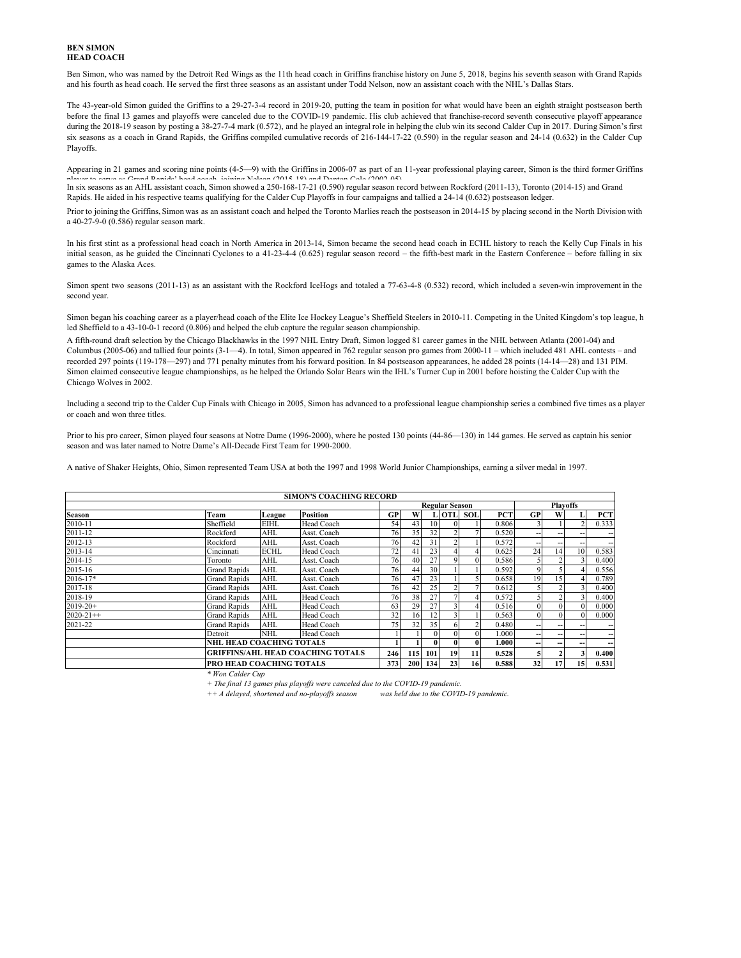#### **BEN SIMON HEAD COACH**

Ben Simon, who was named by the Detroit Red Wings as the 11th head coach in Griffins franchise history on June 5, 2018, begins his seventh season with Grand Rapids and his fourth as head coach. He served the first three seasons as an assistant under Todd Nelson, now an assistant coach with the NHL's Dallas Stars.

The 43-year-old Simon guided the Griffins to a 29-27-3-4 record in 2019-20, putting the team in position for what would have been an eighth straight postseason berth before the final 13 games and playoffs were canceled due to the COVID-19 pandemic. His club achieved that franchise-record seventh consecutive playoff appearance during the 2018-19 season by posting a 38-27-7-4 mark (0.572), and he played an integral role in helping the club win its second Calder Cup in 2017. During Simon's first six seasons as a coach in Grand Rapids, the Griffins compiled cumulative records of 216-144-17-22 (0.590) in the regular season and 24-14 (0.632) in the Calder Cup Playoffs.

Appearing in 21 games and scoring nine points (4-5—9) with the Griffins in 2006-07 as part of an 11-year professional playing career, Simon is the third former Griffins In six seasons as an AHL assistant coach, Simon showed a 250-168-17-21 (0.590) regular season record between Rockford (2011-13), Toronto (2014-15) and Grand

Rapids. He aided in his respective teams qualifying for the Calder Cup Playoffs in four campaigns and tallied a 24-14 (0.632) postseason ledger.

Prior to joining the Griffins, Simon was as an assistant coach and helped the Toronto Marlies reach the postseason in 2014-15 by placing second in the North Division with a 40-27-9-0 (0.586) regular season mark.

In his first stint as a professional head coach in North America in 2013-14, Simon became the second head coach in ECHL history to reach the Kelly Cup Finals in his initial season, as he guided the Cincinnati Cyclones to a 41-23-4-4 (0.625) regular season record – the fifth-best mark in the Eastern Conference – before falling in six games to the Alaska Aces.

Simon spent two seasons (2011-13) as an assistant with the Rockford IceHogs and totaled a 77-63-4-8 (0.532) record, which included a seven-win improvement in the second year.

Simon began his coaching career as a player/head coach of the Elite Ice Hockey League's Sheffield Steelers in 2010-11. Competing in the United Kingdom's top league, h led Sheffield to a 43-10-0-1 record (0.806) and helped the club capture the regular season championship.

A fifth-round draft selection by the Chicago Blackhawks in the 1997 NHL Entry Draft, Simon logged 81 career games in the NHL between Atlanta (2001-04) and Columbus (2005-06) and tallied four points (3-1—4). In total, Simon appeared in 762 regular season pro games from 2000-11 – which included 481 AHL contests – and recorded 297 points (119-178—297) and 771 penalty minutes from his forward position. In 84 postseason appearances, he added 28 points (14-14—28) and 131 PIM. Simon claimed consecutive league championships, as he helped the Orlando Solar Bears win the IHL's Turner Cup in 2001 before hoisting the Calder Cup with the Chicago Wolves in 2002.

Including a second trip to the Calder Cup Finals with Chicago in 2005, Simon has advanced to a professional league championship series a combined five times as a player or coach and won three titles.

Prior to his pro career, Simon played four seasons at Notre Dame (1996-2000), where he posted 130 points (44-86—130) in 144 games. He served as captain his senior season and was later named to Notre Dame's All-Decade First Team for 1990-2000.

A native of Shaker Heights, Ohio, Simon represented Team USA at both the 1997 and 1998 World Junior Championships, earning a silver medal in 1997.

|                 |                                  |                                          | <b>SIMON'S COACHING RECORD</b>           |           |     |                 |                       |            |            |                          |    |                          |                     |
|-----------------|----------------------------------|------------------------------------------|------------------------------------------|-----------|-----|-----------------|-----------------------|------------|------------|--------------------------|----|--------------------------|---------------------|
|                 |                                  |                                          |                                          |           |     |                 | <b>Regular Season</b> |            |            |                          |    | <b>Playoffs</b>          |                     |
| Season          | Team                             | League                                   | <b>Position</b>                          | <b>GP</b> | W   |                 | L OTL                 | <b>SOL</b> | <b>PCT</b> | GP                       | w  |                          | <b>PCT</b>          |
| 2010-11         | Sheffield                        | <b>EIHL</b>                              | Head Coach                               | 54        | 43  | 10 <sup>1</sup> |                       |            | 0.806      |                          |    |                          | 0.333               |
| 2011-12         | Rockford                         | AHL                                      | Asst. Coach                              | 76        | 35  | 32              |                       |            | 0.520      | $\overline{\phantom{a}}$ | -- | $\overline{\phantom{m}}$ | --                  |
| 2012-13         | Rockford                         | AHL                                      | Asst. Coach                              | 76        | 42  | 31              |                       |            | 0.572      | $\overline{\phantom{a}}$ |    | $\overline{\phantom{m}}$ | $\hspace{0.05cm} -$ |
| 2013-14         | Cincinnati                       | <b>ECHL</b>                              | Head Coach                               | 72        | 41  | 23              |                       |            | 0.625      | 24                       | 14 | 10                       | 0.583               |
| 2014-15         | Toronto                          | Asst. Coach<br>AHL<br>AHL<br>Asst. Coach |                                          |           |     | 27              |                       | 01         | 0.586      |                          |    |                          | 0.400               |
| 2015-16         | <b>Grand Rapids</b>              |                                          |                                          |           |     | 30              |                       |            | 0.592      | 9                        |    |                          | 0.556               |
| 2016-17*        | <b>Grand Rapids</b>              | AHL<br>Asst. Coach                       |                                          |           |     | 23              |                       |            | 0.658      | 19                       | 15 |                          | 0.789               |
| 2017-18         | <b>Grand Rapids</b>              | AHL                                      | Asst. Coach                              | 76        | 42  | 25              |                       |            | 0.612      |                          |    |                          | 0.400               |
| 2018-19         | <b>Grand Rapids</b>              | AHL                                      | Head Coach                               | 76        | 38  | 27              |                       |            | 0.572      |                          |    |                          | 0.400               |
| $2019 - 20 +$   | <b>Grand Rapids</b>              | <b>AHL</b>                               | Head Coach                               | 63        | 29  | 27              |                       |            | 0.516      | $\Omega$                 |    | $\Omega$                 | 0.000               |
| $2020 - 21 + +$ | <b>Grand Rapids</b>              | <b>AHL</b>                               | Head Coach                               | 32        | 16  | 12              |                       |            | 0.563      | $\Omega$                 |    | $\Omega$                 | 0.000               |
| 2021-22         | <b>Grand Rapids</b>              | <b>AHL</b>                               | Head Coach                               | 75        | 32  | 35              |                       |            | 0.480      | $\overline{\phantom{a}}$ |    |                          | $- -$               |
|                 | Detroit                          | <b>NHL</b>                               | Head Coach                               |           |     | $\Omega$        |                       |            | 1.000      | $\overline{\phantom{a}}$ | -- | $\overline{\phantom{a}}$ | --                  |
|                 | <b>INHL HEAD COACHING TOTALS</b> |                                          |                                          |           |     | $\bf{0}$        |                       |            | 1.000      | --                       | -- | --                       | --                  |
|                 |                                  |                                          | <b>GRIFFINS/AHL HEAD COACHING TOTALS</b> | 246       | 115 | 101             | 19                    | 11         | 0.528      |                          |    | 3                        | 0.400               |
|                 | <b>PRO HEAD COACHING TOTALS</b>  |                                          |                                          | 373       | 200 | 134             | 23                    | 16         | 0.588      | 32                       | 17 | 15                       | 0.531               |

*\* Won Calder Cup*

*+ The final 13 games plus playoffs were canceled due to the COVID-19 pandemic.*

*was held due to the COVID-19 pandemic. ++ A delayed, shortened and no-playoffs season*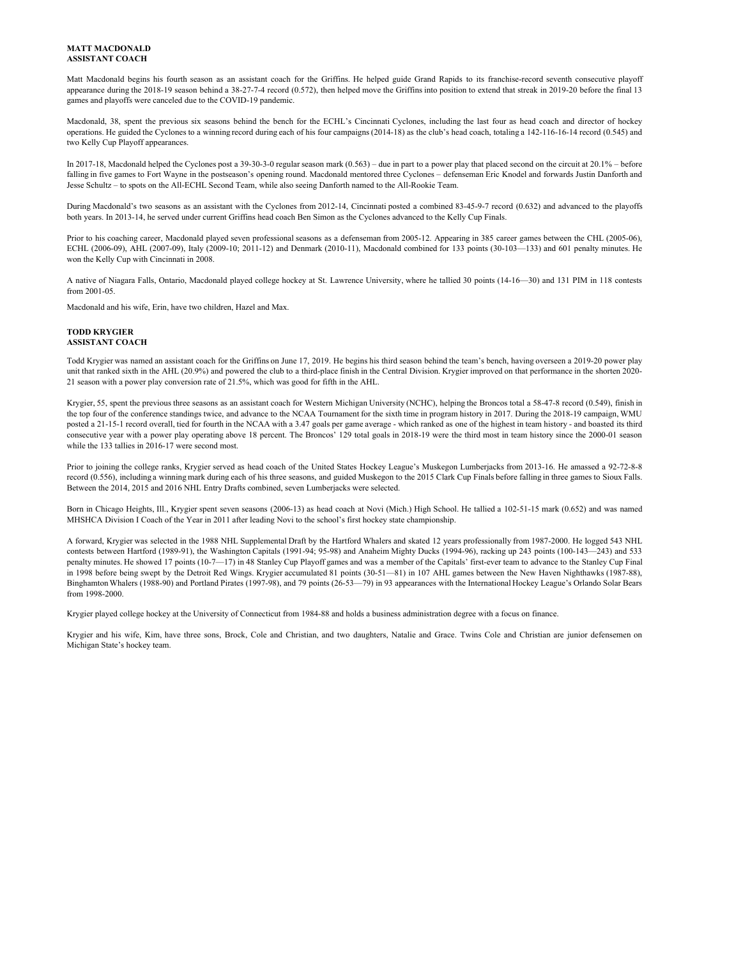#### **MATT MACDONALD ASSISTANT COACH**

Matt Macdonald begins his fourth season as an assistant coach for the Griffins. He helped guide Grand Rapids to its franchise-record seventh consecutive playoff appearance during the 2018-19 season behind a 38-27-7-4 record (0.572), then helped move the Griffins into position to extend that streak in 2019-20 before the final 13 games and playoffs were canceled due to the COVID-19 pandemic.

Macdonald, 38, spent the previous six seasons behind the bench for the ECHL's Cincinnati Cyclones, including the last four as head coach and director of hockey operations. He guided the Cyclones to a winning record during each of his four campaigns (2014-18) as the club's head coach, totaling a 142-116-16-14 record (0.545) and two Kelly Cup Playoff appearances.

In 2017-18, Macdonald helped the Cyclones post a 39-30-3-0 regular season mark (0.563) – due in part to a power play that placed second on the circuit at 20.1% – before falling in five games to Fort Wayne in the postseason's opening round. Macdonald mentored three Cyclones – defenseman Eric Knodel and forwards Justin Danforth and Jesse Schultz – to spots on the All-ECHL Second Team, while also seeing Danforth named to the All-Rookie Team.

During Macdonald's two seasons as an assistant with the Cyclones from 2012-14, Cincinnati posted a combined 83-45-9-7 record (0.632) and advanced to the playoffs both years. In 2013-14, he served under current Griffins head coach Ben Simon as the Cyclones advanced to the Kelly Cup Finals.

Prior to his coaching career, Macdonald played seven professional seasons as a defenseman from 2005-12. Appearing in 385 career games between the CHL (2005-06), ECHL (2006-09), AHL (2007-09), Italy (2009-10; 2011-12) and Denmark (2010-11), Macdonald combined for 133 points (30-103—133) and 601 penalty minutes. He won the Kelly Cup with Cincinnati in 2008.

A native of Niagara Falls, Ontario, Macdonald played college hockey at St. Lawrence University, where he tallied 30 points (14-16—30) and 131 PIM in 118 contests from 2001-05.

Macdonald and his wife, Erin, have two children, Hazel and Max.

#### **TODD KRYGIER ASSISTANT COACH**

Todd Krygier was named an assistant coach for the Griffins on June 17, 2019. He begins his third season behind the team's bench, having overseen a 2019-20 power play unit that ranked sixth in the AHL (20.9%) and powered the club to a third-place finish in the Central Division. Krygier improved on that performance in the shorten 2020-21 season with a power play conversion rate of 21.5%, which was good for fifth in the AHL.

Krygier, 55, spent the previous three seasons as an assistant coach for Western Michigan University (NCHC), helping the Broncos total a 58-47-8 record (0.549), finish in the top four of the conference standings twice, and advance to the NCAA Tournament for the sixth time in program history in 2017. During the 2018-19 campaign, WMU posted a 21-15-1 record overall, tied for fourth in the NCAA with a 3.47 goals per game average - which ranked as one of the highest in team history - and boasted its third consecutive year with a power play operating above 18 percent. The Broncos' 129 total goals in 2018-19 were the third most in team history since the 2000-01 season while the 133 tallies in 2016-17 were second most.

Prior to joining the college ranks, Krygier served as head coach of the United States Hockey League's Muskegon Lumberjacks from 2013-16. He amassed a 92-72-8-8 record (0.556), including a winning mark during each of his three seasons, and guided Muskegon to the 2015 Clark Cup Finals before falling in three games to Sioux Falls. Between the 2014, 2015 and 2016 NHL Entry Drafts combined, seven Lumberjacks were selected.

Born in Chicago Heights, Ill., Krygier spent seven seasons (2006-13) as head coach at Novi (Mich.) High School. He tallied a 102-51-15 mark (0.652) and was named MHSHCA Division I Coach of the Year in 2011 after leading Novi to the school's first hockey state championship.

A forward, Krygier was selected in the 1988 NHL Supplemental Draft by the Hartford Whalers and skated 12 years professionally from 1987-2000. He logged 543 NHL contests between Hartford (1989-91), the Washington Capitals (1991-94; 95-98) and Anaheim Mighty Ducks (1994-96), racking up 243 points (100-143—243) and 533 penalty minutes. He showed 17 points (10-7—17) in 48 Stanley Cup Playoff games and was a member of the Capitals' first-ever team to advance to the Stanley Cup Final in 1998 before being swept by the Detroit Red Wings. Krygier accumulated 81 points (30-51—81) in 107 AHL games between the New Haven Nighthawks (1987-88), Binghamton Whalers (1988-90) and Portland Pirates (1997-98), and 79 points (26-53—79) in 93 appearances with the International Hockey League's Orlando Solar Bears from 1998-2000.

Krygier played college hockey at the University of Connecticut from 1984-88 and holds a business administration degree with a focus on finance.

Krygier and his wife, Kim, have three sons, Brock, Cole and Christian, and two daughters, Natalie and Grace. Twins Cole and Christian are junior defensemen on Michigan State's hockey team.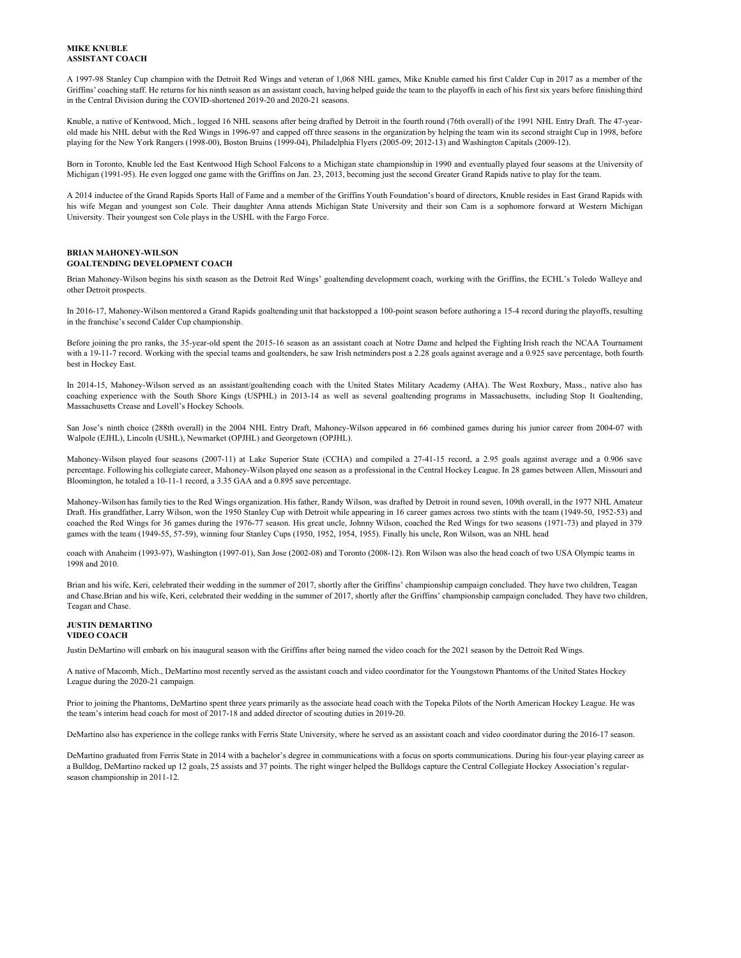#### **MIKE KNUBLE ASSISTANT COACH**

A 1997-98 Stanley Cup champion with the Detroit Red Wings and veteran of 1,068 NHL games, Mike Knuble earned his first Calder Cup in 2017 as a member of the Griffins' coaching staff. He returns for his ninth season as an assistant coach, having helped guide the team to the playoffs in each of his first six years before finishing third in the Central Division during the COVID-shortened 2019-20 and 2020-21 seasons.

Knuble, a native of Kentwood, Mich., logged 16 NHL seasons after being drafted by Detroit in the fourth round (76th overall) of the 1991 NHL Entry Draft. The 47-yearold made his NHL debut with the Red Wings in 1996-97 and capped off three seasons in the organization by helping the team win its second straight Cup in 1998, before playing for the New York Rangers (1998-00), Boston Bruins (1999-04), Philadelphia Flyers (2005-09; 2012-13) and Washington Capitals (2009-12).

Born in Toronto, Knuble led the East Kentwood High School Falcons to a Michigan state championship in 1990 and eventually played four seasons at the University of Michigan (1991-95). He even logged one game with the Griffins on Jan. 23, 2013, becoming just the second Greater Grand Rapids native to play for the team.

A 2014 inductee of the Grand Rapids Sports Hall of Fame and a member of the Griffins Youth Foundation's board of directors, Knuble resides in East Grand Rapids with his wife Megan and youngest son Cole. Their daughter Anna attends Michigan State University and their son Cam is a sophomore forward at Western Michigan University. Their youngest son Cole plays in the USHL with the Fargo Force.

#### **GOALTENDING DEVELOPMENT COACH BRIAN MAHONEY-WILSON**

Brian Mahoney-Wilson begins his sixth season as the Detroit Red Wings' goaltending development coach, working with the Griffins, the ECHL's Toledo Walleye and other Detroit prospects.

In 2016-17, Mahoney-Wilson mentored a Grand Rapids goaltending unit that backstopped a 100-point season before authoring a 15-4 record during the playoffs, resulting in the franchise's second Calder Cup championship.

Before joining the pro ranks, the 35-year-old spent the 2015-16 season as an assistant coach at Notre Dame and helped the Fighting Irish reach the NCAA Tournament with a 19-11-7 record. Working with the special teams and goaltenders, he saw Irish netminders post a 2.28 goals against average and a 0.925 save percentage, both fourthbest in Hockey East.

In 2014-15, Mahoney-Wilson served as an assistant/goaltending coach with the United States Military Academy (AHA). The West Roxbury, Mass., native also has coaching experience with the South Shore Kings (USPHL) in 2013-14 as well as several goaltending programs in Massachusetts, including Stop It Goaltending, Massachusetts Crease and Lovell's Hockey Schools.

San Jose's ninth choice (288th overall) in the 2004 NHL Entry Draft, Mahoney-Wilson appeared in 66 combined games during his junior career from 2004-07 with Walpole (EJHL), Lincoln (USHL), Newmarket (OPJHL) and Georgetown (OPJHL).

Mahoney-Wilson played four seasons (2007-11) at Lake Superior State (CCHA) and compiled a 27-41-15 record, a 2.95 goals against average and a 0.906 save percentage. Following his collegiate career, Mahoney-Wilson played one season as a professional in the Central Hockey League. In 28 games between Allen, Missouri and Bloomington, he totaled a 10-11-1 record, a 3.35 GAA and a 0.895 save percentage.

Mahoney-Wilson has family ties to the Red Wings organization. His father, Randy Wilson, was drafted by Detroit in round seven, 109th overall, in the 1977 NHL Amateur Draft. His grandfather, Larry Wilson, won the 1950 Stanley Cup with Detroit while appearing in 16 career games across two stints with the team (1949-50, 1952-53) and coached the Red Wings for 36 games during the 1976-77 season. His great uncle, Johnny Wilson, coached the Red Wings for two seasons (1971-73) and played in 379 games with the team (1949-55, 57-59), winning four Stanley Cups (1950, 1952, 1954, 1955). Finally his uncle, Ron Wilson, was an NHL head

coach with Anaheim (1993-97), Washington (1997-01), San Jose (2002-08) and Toronto (2008-12). Ron Wilson was also the head coach of two USA Olympic teams in 1998 and 2010.

Brian and his wife, Keri, celebrated their wedding in the summer of 2017, shortly after the Griffins' championship campaign concluded. They have two children, Teagan and Chase.Brian and his wife, Keri, celebrated their wedding in the summer of 2017, shortly after the Griffins' championship campaign concluded. They have two children, Teagan and Chase.

#### **JUSTIN DEMARTINO**

#### **VIDEO COACH**

Justin DeMartino will embark on his inaugural season with the Griffins after being named the video coach for the 2021 season by the Detroit Red Wings.

A native of Macomb, Mich., DeMartino most recently served as the assistant coach and video coordinator for the Youngstown Phantoms of the United States Hockey League during the 2020-21 campaign.

Prior to joining the Phantoms, DeMartino spent three years primarily as the associate head coach with the Topeka Pilots of the North American Hockey League. He was the team's interim head coach for most of 2017-18 and added director of scouting duties in 2019-20.

DeMartino also has experience in the college ranks with Ferris State University, where he served as an assistant coach and video coordinator during the 2016-17 season.

DeMartino graduated from Ferris State in 2014 with a bachelor's degree in communications with a focus on sports communications. During his four-year playing career as a Bulldog, DeMartino racked up 12 goals, 25 assists and 37 points. The right winger helped the Bulldogs capture the Central Collegiate Hockey Association's regularseason championship in 2011-12.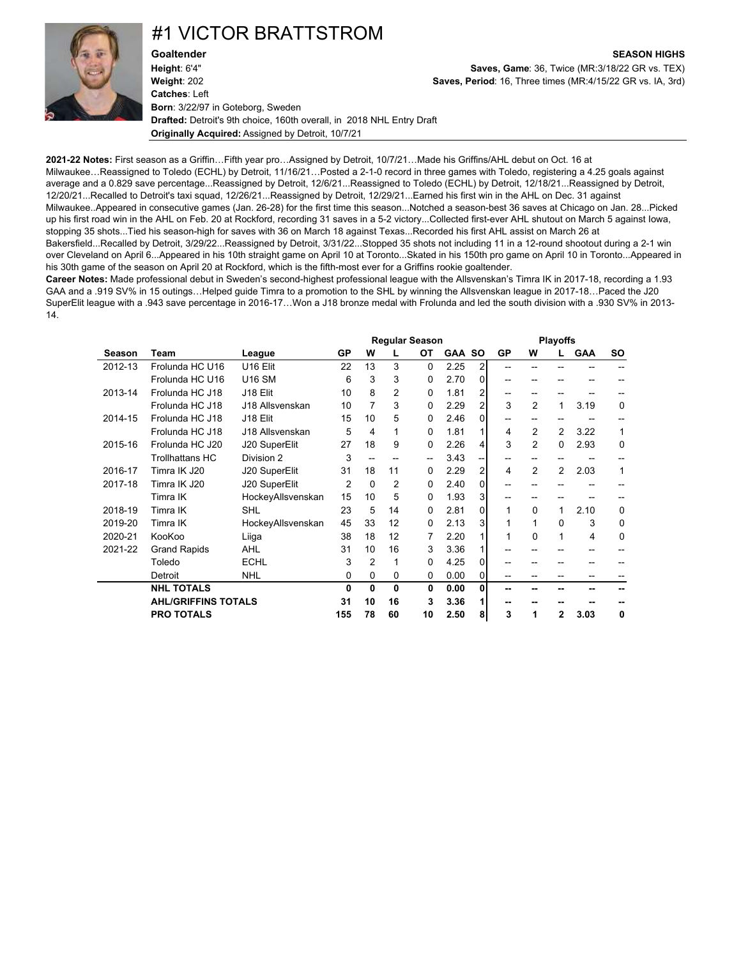### #1 VICTOR BRATTSTROM



**Goaltender SEASON HIGHS Height**: 6'4" **Saves, Game**: 36, Twice (MR:3/18/22 GR vs. TEX) **Weight**: 202 **Saves, Period**: 16, Three times (MR:4/15/22 GR vs. IA, 3rd) **Catches**: Left **Born**: 3/22/97 in Goteborg, Sweden **Drafted:** Detroit's 9th choice, 160th overall, in 2018 NHL Entry Draft **Originally Acquired:** Assigned by Detroit, 10/7/21

**2021-22 Notes:** First season as a Griffin…Fifth year pro…Assigned by Detroit, 10/7/21…Made his Griffins/AHL debut on Oct. 16 at Milwaukee…Reassigned to Toledo (ECHL) by Detroit, 11/16/21…Posted a 2-1-0 record in three games with Toledo, registering a 4.25 goals against average and a 0.829 save percentage...Reassigned by Detroit, 12/6/21...Reassigned to Toledo (ECHL) by Detroit, 12/18/21...Reassigned by Detroit, 12/20/21...Recalled to Detroit's taxi squad, 12/26/21...Reassigned by Detroit, 12/29/21...Earned his first win in the AHL on Dec. 31 against Milwaukee..Appeared in consecutive games (Jan. 26-28) for the first time this season...Notched a season-best 36 saves at Chicago on Jan. 28...Picked up his first road win in the AHL on Feb. 20 at Rockford, recording 31 saves in a 5-2 victory...Collected first-ever AHL shutout on March 5 against Iowa, stopping 35 shots...Tied his season-high for saves with 36 on March 18 against Texas...Recorded his first AHL assist on March 26 at Bakersfield...Recalled by Detroit, 3/29/22...Reassigned by Detroit, 3/31/22...Stopped 35 shots not including 11 in a 12-round shootout during a 2-1 win over Cleveland on April 6...Appeared in his 10th straight game on April 10 at Toronto...Skated in his 150th pro game on April 10 in Toronto...Appeared in his 30th game of the season on April 20 at Rockford, which is the fifth-most ever for a Griffins rookie goaltender.

**Career Notes:** Made professional debut in Sweden's second-highest professional league with the Allsvenskan's Timra IK in 2017-18, recording a 1.93 GAA and a .919 SV% in 15 outings…Helped guide Timra to a promotion to the SHL by winning the Allsvenskan league in 2017-18…Paced the J20 SuperElit league with a .943 save percentage in 2016-17…Won a J18 bronze medal with Frolunda and led the south division with a .930 SV% in 2013- 14.

|         |                            |                      |     |          |    | <b>Regular Season</b> |               |                |       |              | <b>Playoffs</b> |            |             |
|---------|----------------------------|----------------------|-----|----------|----|-----------------------|---------------|----------------|-------|--------------|-----------------|------------|-------------|
| Season  | Team                       | League               | GP  | W        |    | ОT                    | <b>GAA SO</b> |                | GP    | W            |                 | <b>GAA</b> | <b>SO</b>   |
| 2012-13 | Frolunda HC U16            | U <sub>16</sub> Elit | 22  | 13       | 3  | 0                     | 2.25          | 2              | --    |              |                 |            |             |
|         | Frolunda HC U16            | <b>U16 SM</b>        | 6   | 3        | 3  | 0                     | 2.70          | $\overline{0}$ |       |              |                 |            |             |
| 2013-14 | Frolunda HC J18            | J18 Elit             | 10  | 8        | 2  | 0                     | 1.81          | 2              | --    | --           |                 |            |             |
|         | Frolunda HC J18            | J18 Allsvenskan      | 10  | 7        | 3  | 0                     | 2.29          | $\overline{2}$ | 3     | 2            | 1               | 3.19       | 0           |
| 2014-15 | Frolunda HC J18            | J18 Elit             | 15  | 10       | 5  | 0                     | 2.46          | $\Omega$       | --    |              |                 |            |             |
|         | Frolunda HC J18            | J18 Allsvenskan      | 5   | 4        | 1  | 0                     | 1.81          |                | 4     | 2            | 2               | 3.22       | 1           |
| 2015-16 | Frolunda HC J20            | J20 SuperElit        | 27  | 18       | 9  | 0                     | 2.26          | 4              | 3     | 2            | $\Omega$        | 2.93       | $\mathbf 0$ |
|         | <b>Trollhattans HC</b>     | Division 2           | 3   |          |    | --                    | 3.43          | --             | $- -$ |              |                 |            |             |
| 2016-17 | Timra IK J20               | J20 SuperElit        | 31  | 18       | 11 | 0                     | 2.29          | 2              | 4     | 2            | 2               | 2.03       | 1           |
| 2017-18 | Timra IK J20               | J20 SuperElit        | 2   | $\Omega$ | 2  | 0                     | 2.40          | $\Omega$       |       |              |                 |            |             |
|         | Timra IK                   | HockeyAllsvenskan    | 15  | 10       | 5  | 0                     | 1.93          | 3              | $- -$ |              |                 |            |             |
| 2018-19 | Timra IK                   | <b>SHL</b>           | 23  | 5        | 14 | 0                     | 2.81          | $\Omega$       | 1     | 0            | 1               | 2.10       | 0           |
| 2019-20 | Timra IK                   | HockeyAllsvenskan    | 45  | 33       | 12 | 0                     | 2.13          | 3              | 1     | 1            | 0               | 3          | 0           |
| 2020-21 | KooKoo                     | Liiga                | 38  | 18       | 12 | 7                     | 2.20          |                | 1     | $\mathbf{0}$ | 1               | 4          | $\mathbf 0$ |
| 2021-22 | <b>Grand Rapids</b>        | <b>AHL</b>           | 31  | 10       | 16 | 3                     | 3.36          |                |       |              |                 |            |             |
|         | Toledo                     | <b>ECHL</b>          | 3   | 2        | 1  | 0                     | 4.25          | 0              |       |              |                 |            |             |
|         | Detroit                    | <b>NHL</b>           | 0   | 0        | 0  | 0                     | 0.00          | $\overline{0}$ |       |              |                 |            |             |
|         | <b>NHL TOTALS</b>          |                      | 0   | 0        | 0  | 0                     | 0.00          | 0              | --    | --           |                 | --         |             |
|         | <b>AHL/GRIFFINS TOTALS</b> |                      | 31  | 10       | 16 | 3                     | 3.36          | 1              |       |              |                 |            |             |
|         | <b>PRO TOTALS</b>          |                      | 155 | 78       | 60 | 10                    | 2.50          | 8              | 3     | 1            | $\mathbf{2}$    | 3.03       | 0           |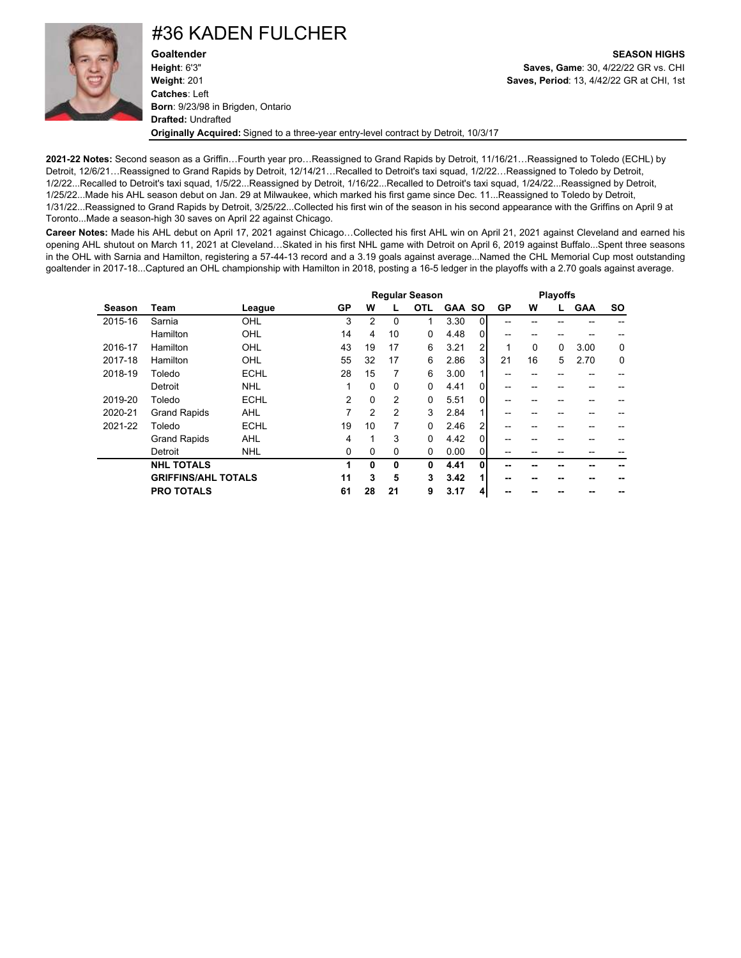

### #36 KADEN FULCHER

**Goaltender SEASON HIGHS Height**: 6'3" **Saves, Game**: 30, 4/22/22 GR vs. CHI **Weight**: 201 **Saves, Period**: 13, 4/42/22 GR at CHI, 1st **Catches**: Left **Born**: 9/23/98 in Brigden, Ontario **Drafted:** Undrafted **Originally Acquired:** Signed to a three-year entry-level contract by Detroit, 10/3/17

**2021-22 Notes:** Second season as a Griffin…Fourth year pro…Reassigned to Grand Rapids by Detroit, 11/16/21…Reassigned to Toledo (ECHL) by Detroit, 12/6/21…Reassigned to Grand Rapids by Detroit, 12/14/21…Recalled to Detroit's taxi squad, 1/2/22…Reassigned to Toledo by Detroit, 1/2/22...Recalled to Detroit's taxi squad, 1/5/22...Reassigned by Detroit, 1/16/22...Recalled to Detroit's taxi squad, 1/24/22...Reassigned by Detroit, 1/25/22...Made his AHL season debut on Jan. 29 at Milwaukee, which marked his first game since Dec. 11...Reassigned to Toledo by Detroit, 1/31/22...Reassigned to Grand Rapids by Detroit, 3/25/22...Collected his first win of the season in his second appearance with the Griffins on April 9 at Toronto...Made a season-high 30 saves on April 22 against Chicago.

**Career Notes:** Made his AHL debut on April 17, 2021 against Chicago…Collected his first AHL win on April 21, 2021 against Cleveland and earned his opening AHL shutout on March 11, 2021 at Cleveland…Skated in his first NHL game with Detroit on April 6, 2019 against Buffalo...Spent three seasons in the OHL with Sarnia and Hamilton, registering a 57-44-13 record and a 3.19 goals against average...Named the CHL Memorial Cup most outstanding goaltender in 2017-18...Captured an OHL championship with Hamilton in 2018, posting a 16-5 ledger in the playoffs with a 2.70 goals against average.

|         |                            |             |    |                |          | <b>Regular Season</b> |               |                |    |    | <b>Playoffs</b> |            |           |
|---------|----------------------------|-------------|----|----------------|----------|-----------------------|---------------|----------------|----|----|-----------------|------------|-----------|
| Season  | Team                       | League      | GP | w              |          | <b>OTL</b>            | <b>GAA SO</b> |                | GP | w  | L.              | <b>GAA</b> | <b>SO</b> |
| 2015-16 | Sarnia                     | OHL         | 3  | 2              | $\Omega$ | $\mathbf 1$           | 3.30          | $\Omega$       |    |    |                 |            |           |
|         | Hamilton                   | OHL         | 14 | 4              | 10       | $\Omega$              | 4.48          | $\Omega$       | -- |    |                 |            |           |
| 2016-17 | Hamilton                   | OHL         | 43 | 19             | 17       | 6                     | 3.21          | $\overline{2}$ | 1  | 0  | 0               | 3.00       | 0         |
| 2017-18 | Hamilton                   | OHL         | 55 | 32             | 17       | 6                     | 2.86          | 3              | 21 | 16 | 5               | 2.70       | 0         |
| 2018-19 | Toledo                     | <b>ECHL</b> | 28 | 15             | 7        | 6                     | 3.00          |                | -- |    |                 |            |           |
|         | Detroit                    | <b>NHL</b>  |    | $\Omega$       | $\Omega$ | $\Omega$              | 4.41          | $\Omega$       | -- |    |                 | --         |           |
| 2019-20 | Toledo                     | <b>ECHL</b> | 2  | 0              | 2        | 0                     | 5.51          | $\overline{0}$ |    |    |                 |            |           |
| 2020-21 | <b>Grand Rapids</b>        | <b>AHL</b>  | 7  | $\overline{2}$ | 2        | 3                     | 2.84          |                | -- |    |                 | --         |           |
| 2021-22 | Toledo                     | <b>ECHL</b> | 19 | 10             | 7        | $\Omega$              | 2.46          | 2              | -- |    |                 | --         |           |
|         | <b>Grand Rapids</b>        | <b>AHL</b>  | 4  | 1              | 3        | $\Omega$              | 4.42          | $\Omega$       |    |    |                 |            |           |
|         | Detroit                    | <b>NHL</b>  | 0  | $\Omega$       | 0        | 0                     | 0.00          | 0              |    |    |                 |            |           |
|         | <b>NHL TOTALS</b>          |             | 1  | 0              | 0        | 0                     | 4.41          | $\Omega$       |    |    |                 |            |           |
|         | <b>GRIFFINS/AHL TOTALS</b> |             | 11 | 3              | 5        | 3                     | 3.42          |                | -- |    |                 |            |           |
|         | <b>PRO TOTALS</b>          |             | 61 | 28             | 21       | 9                     | 3.17          | 4              |    |    |                 |            |           |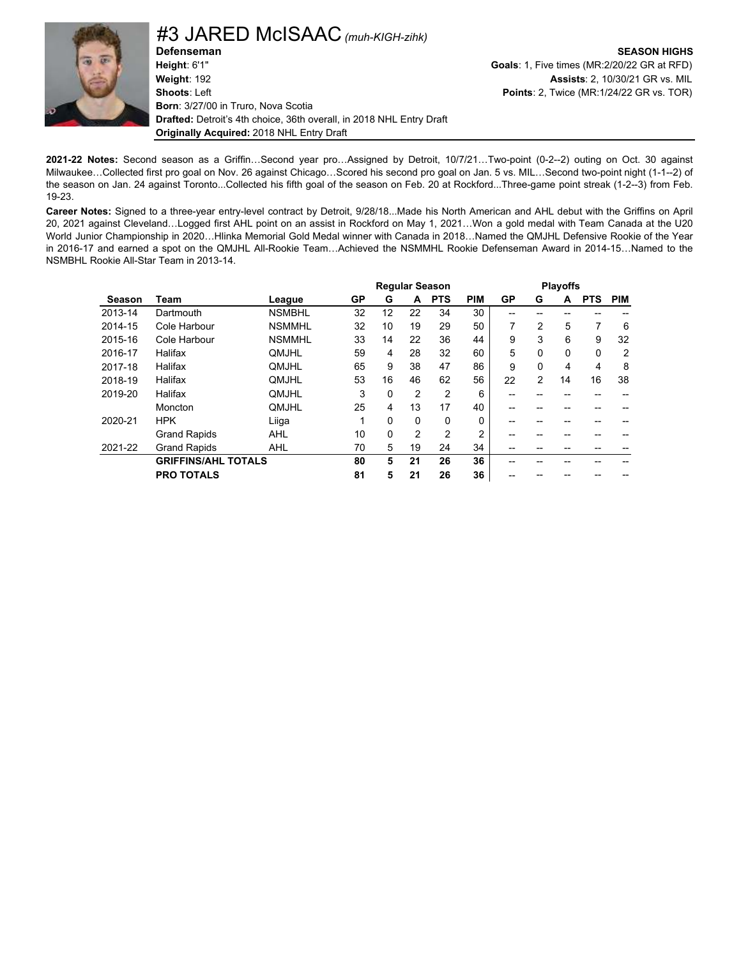

**Defenseman SEASON HIGHS Height**: 6'1" **Goals**: 1, Five times (MR:2/20/22 GR at RFD) **Weight**: 192 **Assists**: 2, 10/30/21 GR vs. MIL **Shoots**: Left **Points**: 2, Twice (MR:1/24/22 GR vs. TOR) **Born**: 3/27/00 in Truro, Nova Scotia **Drafted:** Detroit's 4th choice, 36th overall, in 2018 NHL Entry Draft **Originally Acquired:** 2018 NHL Entry Draft #3 JARED McISAAC *(muh-KIGH-zihk)*

**2021-22 Notes:** Second season as a Griffin…Second year pro…Assigned by Detroit, 10/7/21…Two-point (0-2--2) outing on Oct. 30 against Milwaukee…Collected first pro goal on Nov. 26 against Chicago…Scored his second pro goal on Jan. 5 vs. MIL…Second two-point night (1-1--2) of the season on Jan. 24 against Toronto...Collected his fifth goal of the season on Feb. 20 at Rockford...Three-game point streak (1-2--3) from Feb. 19-23.

**Career Notes:** Signed to a three-year entry-level contract by Detroit, 9/28/18...Made his North American and AHL debut with the Griffins on April 20, 2021 against Cleveland…Logged first AHL point on an assist in Rockford on May 1, 2021…Won a gold medal with Team Canada at the U20 World Junior Championship in 2020…Hlinka Memorial Gold Medal winner with Canada in 2018…Named the QMJHL Defensive Rookie of the Year in 2016-17 and earned a spot on the QMJHL All-Rookie Team…Achieved the NSMMHL Rookie Defenseman Award in 2014-15…Named to the NSMBHL Rookie All-Star Team in 2013-14.

|               |                            |               |    |          |                | <b>Regular Season</b> |                |    |                | <b>Playoffs</b> |            |                |
|---------------|----------------------------|---------------|----|----------|----------------|-----------------------|----------------|----|----------------|-----------------|------------|----------------|
| <b>Season</b> | Team                       | League        | GP | G        | A              | <b>PTS</b>            | <b>PIM</b>     | GP | G              | A               | <b>PTS</b> | <b>PIM</b>     |
| 2013-14       | Dartmouth                  | <b>NSMBHL</b> | 32 | 12       | 22             | 34                    | 30             |    |                |                 |            |                |
| 2014-15       | Cole Harbour               | <b>NSMMHL</b> | 32 | 10       | 19             | 29                    | 50             | 7  | $\overline{2}$ | 5               | 7          | 6              |
| 2015-16       | Cole Harbour               | <b>NSMMHL</b> | 33 | 14       | 22             | 36                    | 44             | 9  | 3              | 6               | 9          | 32             |
| 2016-17       | Halifax                    | QMJHL         | 59 | 4        | 28             | 32                    | 60             | 5  | $\Omega$       | 0               | 0          | $\overline{2}$ |
| 2017-18       | Halifax                    | <b>OMJHL</b>  | 65 | 9        | 38             | 47                    | 86             | 9  | $\Omega$       | 4               | 4          | 8              |
| 2018-19       | Halifax                    | QMJHL         | 53 | 16       | 46             | 62                    | 56             | 22 | $\overline{2}$ | 14              | 16         | 38             |
| 2019-20       | Halifax                    | <b>OMJHL</b>  | 3  | $\Omega$ | 2              | 2                     | 6              |    |                |                 |            |                |
|               | Moncton                    | QMJHL         | 25 | 4        | 13             | 17                    | 40             |    |                |                 |            |                |
| 2020-21       | <b>HPK</b>                 | Liiga         |    | 0        | 0              | $\Omega$              | 0              | -- |                |                 |            |                |
|               | <b>Grand Rapids</b>        | <b>AHL</b>    | 10 | $\Omega$ | $\overline{2}$ | $\overline{2}$        | $\overline{2}$ |    |                |                 |            |                |
| 2021-22       | <b>Grand Rapids</b>        | <b>AHL</b>    | 70 | 5        | 19             | 24                    | 34             | -- |                |                 |            |                |
|               | <b>GRIFFINS/AHL TOTALS</b> |               | 80 | 5        | 21             | 26                    | 36             |    |                |                 |            |                |
|               | <b>PRO TOTALS</b>          |               | 81 | 5        | 21             | 26                    | 36             |    |                |                 |            |                |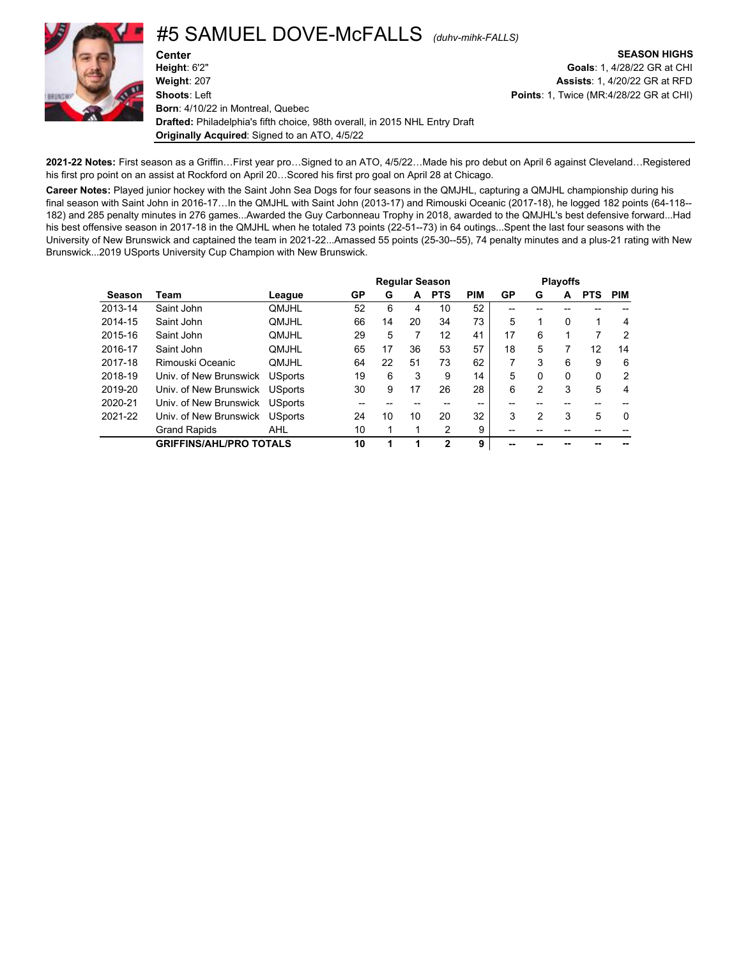

**Originally Acquired**: Signed to an ATO, 4/5/22

**2021-22 Notes:** First season as a Griffin…First year pro…Signed to an ATO, 4/5/22…Made his pro debut on April 6 against Cleveland…Registered his first pro point on an assist at Rockford on April 20…Scored his first pro goal on April 28 at Chicago.

**Career Notes:** Played junior hockey with the Saint John Sea Dogs for four seasons in the QMJHL, capturing a QMJHL championship during his final season with Saint John in 2016-17…In the QMJHL with Saint John (2013-17) and Rimouski Oceanic (2017-18), he logged 182 points (64-118-- 182) and 285 penalty minutes in 276 games...Awarded the Guy Carbonneau Trophy in 2018, awarded to the QMJHL's best defensive forward...Had his best offensive season in 2017-18 in the QMJHL when he totaled 73 points (22-51--73) in 64 outings...Spent the last four seasons with the University of New Brunswick and captained the team in 2021-22...Amassed 55 points (25-30--55), 74 penalty minutes and a plus-21 rating with New Brunswick...2019 USports University Cup Champion with New Brunswick.

|         |                                | <b>Regular Season</b><br><b>PTS</b><br>GP<br>G<br>A<br>League<br><b>OMJHL</b><br>52<br>6<br>10<br>4<br>66<br>20<br>34<br><b>OMJHL</b><br>14<br>29<br>5<br>12<br><b>OMJHL</b> |    |    |    |              |            |                |                | <b>Playoffs</b> |            |          |
|---------|--------------------------------|------------------------------------------------------------------------------------------------------------------------------------------------------------------------------|----|----|----|--------------|------------|----------------|----------------|-----------------|------------|----------|
| Season  | Team                           |                                                                                                                                                                              |    |    |    |              | <b>PIM</b> | <b>GP</b>      | G              | A               | <b>PTS</b> | PIM      |
| 2013-14 | Saint John                     |                                                                                                                                                                              |    |    |    |              | 52         |                |                |                 |            |          |
| 2014-15 | Saint John                     |                                                                                                                                                                              |    |    |    |              | 73         | 5              | 1              | $\Omega$        |            | 4        |
| 2015-16 | Saint John                     |                                                                                                                                                                              |    |    |    |              | 41         | 17             | 6              |                 | 7          | 2        |
| 2016-17 | Saint John                     | <b>OMJHL</b>                                                                                                                                                                 | 65 | 17 | 36 | 53           | 57         | 18             | 5              | 7               | 12         | 14       |
| 2017-18 | Rimouski Oceanic               | <b>OMJHL</b>                                                                                                                                                                 | 64 | 22 | 51 | 73           | 62         | $\overline{7}$ | 3              | 6               | 9          | 6        |
| 2018-19 | Univ. of New Brunswick         | <b>USports</b>                                                                                                                                                               | 19 | 6  | 3  | 9            | 14         | 5              | $\Omega$       | $\Omega$        | $\Omega$   | 2        |
| 2019-20 | Univ. of New Brunswick         | <b>USports</b>                                                                                                                                                               | 30 | 9  | 17 | 26           | 28         | 6              | $\overline{2}$ | 3               | 5          | 4        |
| 2020-21 | Univ. of New Brunswick         | <b>USports</b>                                                                                                                                                               |    |    |    |              | --         |                |                |                 |            |          |
| 2021-22 | Univ. of New Brunswick         | <b>USports</b>                                                                                                                                                               | 24 | 10 | 10 | 20           | 32         | 3              | 2              | 3               | 5          | $\Omega$ |
|         | <b>Grand Rapids</b>            | <b>AHL</b>                                                                                                                                                                   | 10 |    |    | 2            | 9          | --             |                |                 |            |          |
|         | <b>GRIFFINS/AHL/PRO TOTALS</b> |                                                                                                                                                                              | 10 |    | 1  | $\mathbf{2}$ | 9          | --             |                |                 |            |          |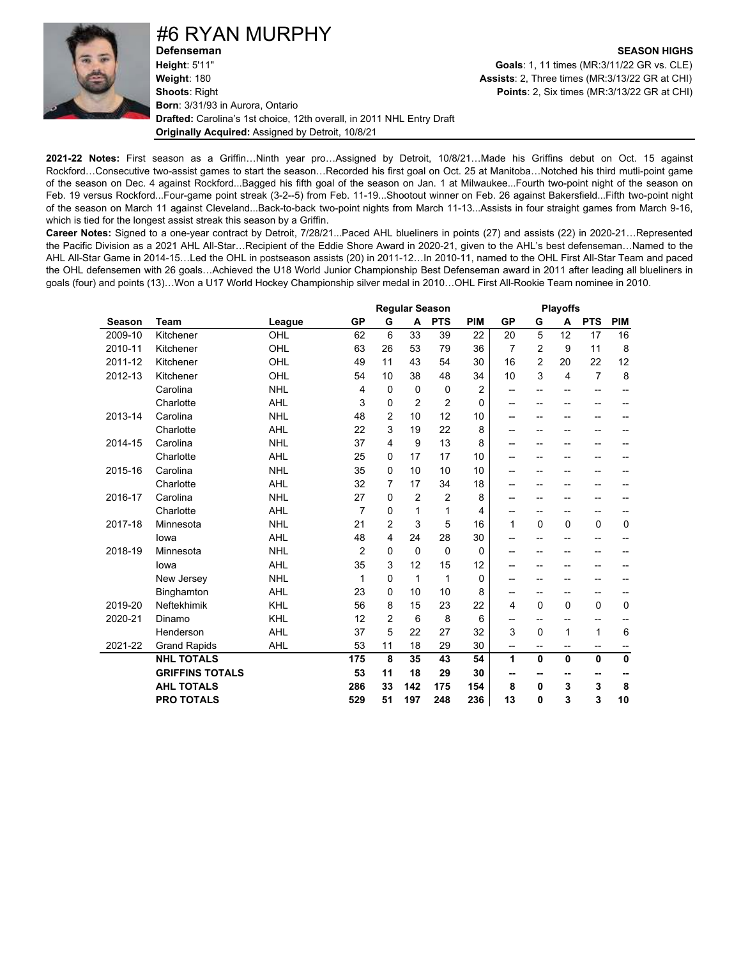

#6 RYAN MURPHY

**Height**: 5'11" **Goals**: 1, 11 times (MR:3/11/22 GR vs. CLE) **Shoots**: Right **Points**: 2, Six times (MR:3/13/22 GR at CHI) **Born**: 3/31/93 in Aurora, Ontario **Drafted:** Carolina's 1st choice, 12th overall, in 2011 NHL Entry Draft **Originally Acquired:** Assigned by Detroit, 10/8/21

**Defenseman SEASON HIGHS Assists**: 2, Three times (MR:3/13/22 GR at CHI)

**2021-22 Notes:** First season as a Griffin…Ninth year pro…Assigned by Detroit, 10/8/21…Made his Griffins debut on Oct. 15 against Rockford…Consecutive two-assist games to start the season…Recorded his first goal on Oct. 25 at Manitoba…Notched his third mutli-point game of the season on Dec. 4 against Rockford...Bagged his fifth goal of the season on Jan. 1 at Milwaukee...Fourth two-point night of the season on Feb. 19 versus Rockford...Four-game point streak (3-2--5) from Feb. 11-19...Shootout winner on Feb. 26 against Bakersfield...Fifth two-point night of the season on March 11 against Cleveland...Back-to-back two-point nights from March 11-13...Assists in four straight games from March 9-16, which is tied for the longest assist streak this season by a Griffin.

**Career Notes:** Signed to a one-year contract by Detroit, 7/28/21...Paced AHL blueliners in points (27) and assists (22) in 2020-21…Represented the Pacific Division as a 2021 AHL All-Star…Recipient of the Eddie Shore Award in 2020-21, given to the AHL's best defenseman…Named to the AHL All-Star Game in 2014-15…Led the OHL in postseason assists (20) in 2011-12…In 2010-11, named to the OHL First All-Star Team and paced the OHL defensemen with 26 goals…Achieved the U18 World Junior Championship Best Defenseman award in 2011 after leading all blueliners in goals (four) and points (13)…Won a U17 World Hockey Championship silver medal in 2010…OHL First All-Rookie Team nominee in 2010.

|               |                        |            |                |                | <b>Regular Season</b> |                |                |                |                | <b>Playoffs</b>          |                |                |
|---------------|------------------------|------------|----------------|----------------|-----------------------|----------------|----------------|----------------|----------------|--------------------------|----------------|----------------|
| <b>Season</b> | <b>Team</b>            | League     | GP             | G              | A                     | <b>PTS</b>     | <b>PIM</b>     | <b>GP</b>      | G              | A                        | <b>PTS</b>     | <b>PIM</b>     |
| 2009-10       | Kitchener              | OHL        | 62             | 6              | 33                    | 39             | 22             | 20             | 5              | 12                       | 17             | 16             |
| 2010-11       | Kitchener              | OHL        | 63             | 26             | 53                    | 79             | 36             | $\overline{7}$ | 2              | 9                        | 11             | 8              |
| 2011-12       | Kitchener              | OHL        | 49             | 11             | 43                    | 54             | 30             | 16             | $\overline{2}$ | 20                       | 22             | 12             |
| 2012-13       | Kitchener              | OHL        | 54             | 10             | 38                    | 48             | 34             | 10             | 3              | 4                        | $\overline{7}$ | 8              |
|               | Carolina               | <b>NHL</b> | 4              | $\mathbf 0$    | $\mathbf 0$           | 0              | $\overline{2}$ | --             | $-$            | $-$                      | $-$            | $\overline{a}$ |
|               | Charlotte              | <b>AHL</b> | 3              | $\Omega$       | $\overline{2}$        | $\overline{2}$ | $\mathbf{0}$   | --             | --             | $-$                      | --             | --             |
| 2013-14       | Carolina               | <b>NHL</b> | 48             | $\overline{2}$ | 10                    | 12             | 10             | --             | --             | --                       | --             |                |
|               | Charlotte              | <b>AHL</b> | 22             | 3              | 19                    | 22             | 8              | --             | --             | -−                       | --             |                |
| 2014-15       | Carolina               | <b>NHL</b> | 37             | 4              | 9                     | 13             | 8              | --             | --             | --                       | --             |                |
|               | Charlotte              | <b>AHL</b> | 25             | 0              | 17                    | 17             | 10             | --             | --             | -−                       | --             | --             |
| 2015-16       | Carolina               | <b>NHL</b> | 35             | $\Omega$       | 10                    | 10             | 10             | --             | --             |                          | --             |                |
|               | Charlotte              | <b>AHL</b> | 32             | 7              | 17                    | 34             | 18             | --             | --             | --                       | --             |                |
| 2016-17       | Carolina               | <b>NHL</b> | 27             | $\Omega$       | $\overline{2}$        | $\overline{2}$ | 8              | --             | --             | --                       | -−             |                |
|               | Charlotte              | <b>AHL</b> | 7              | 0              | 1                     | 1              | 4              | --             | --             | --                       | --             | --             |
| 2017-18       | Minnesota              | <b>NHL</b> | 21             | $\overline{2}$ | 3                     | 5              | 16             | 1              | $\mathbf 0$    | $\Omega$                 | 0              | $\mathbf 0$    |
|               | lowa                   | <b>AHL</b> | 48             | 4              | 24                    | 28             | 30             | --             | --             | --                       | --             | --             |
| 2018-19       | Minnesota              | <b>NHL</b> | $\overline{2}$ | $\mathbf 0$    | $\mathbf 0$           | $\mathbf 0$    | 0              | --             |                |                          | --             |                |
|               | lowa                   | <b>AHL</b> | 35             | 3              | 12                    | 15             | 12             | --             | --             | --                       | --             |                |
|               | New Jersey             | <b>NHL</b> | 1              | $\Omega$       | 1                     | 1              | 0              | --             | --             | --                       | --             |                |
|               | Binghamton             | <b>AHL</b> | 23             | 0              | 10                    | 10             | 8              | --             | --             | --                       | --             | --             |
| 2019-20       | Neftekhimik            | KHL        | 56             | 8              | 15                    | 23             | 22             | 4              | $\mathbf 0$    | 0                        | 0              | $\pmb{0}$      |
| 2020-21       | Dinamo                 | KHL        | 12             | 2              | 6                     | 8              | 6              | --             | --             | $\overline{a}$           | --             | --             |
|               | Henderson              | <b>AHL</b> | 37             | 5              | 22                    | 27             | 32             | 3              | $\mathbf 0$    | 1                        | 1              | $\,6$          |
| 2021-22       | <b>Grand Rapids</b>    | <b>AHL</b> | 53             | 11             | 18                    | 29             | 30             | --             | --             | $\overline{\phantom{a}}$ | --             | --             |
|               | <b>NHL TOTALS</b>      |            | 175            | 8              | 35                    | 43             | 54             | 1              | $\mathbf{0}$   | $\mathbf{0}$             | $\mathbf{0}$   | $\mathbf 0$    |
|               | <b>GRIFFINS TOTALS</b> |            | 53             | 11             | 18                    | 29             | 30             | --             | н.             | --                       | --             | --             |
|               | <b>AHL TOTALS</b>      |            | 286            | 33             | 142                   | 175            | 154            | 8              | 0              | 3                        | 3              | 8              |
|               | <b>PRO TOTALS</b>      |            | 529            | 51             | 197                   | 248            | 236            | 13             | 0              | 3                        | 3              | 10             |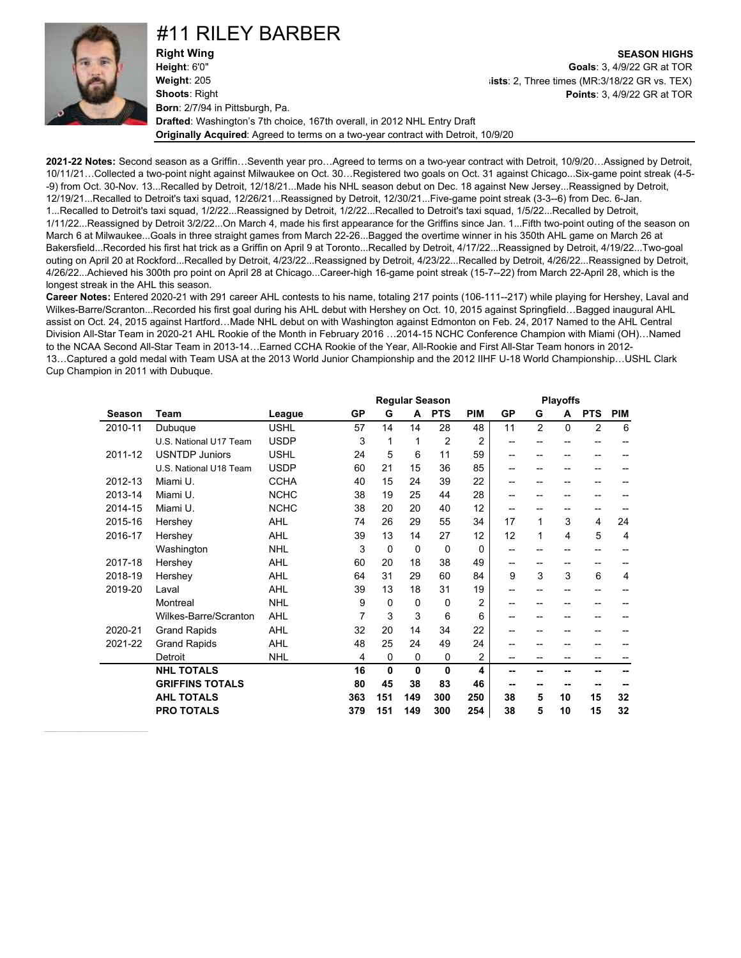

### #11 RILEY BARBER

**Right Wing SEASON HIGHS Height**: 6'0" **Goals**: 3, 4/9/22 GR at TOR **Weight**: 205 **Shoots**: Right **Born**: 2/7/94 in Pittsburgh, Pa. **Drafted**: Washington's 7th choice, 167th overall, in 2012 NHL Entry Draft **Originally Acquired**: Agreed to terms on a two-year contract with Detroit, 10/9/20

**Assists**: 2, Three times (MR:3/18/22 GR vs. TEX) **Points**: 3, 4/9/22 GR at TOR

**2021-22 Notes:** Second season as a Griffin…Seventh year pro…Agreed to terms on a two-year contract with Detroit, 10/9/20…Assigned by Detroit, 10/11/21…Collected a two-point night against Milwaukee on Oct. 30…Registered two goals on Oct. 31 against Chicago...Six-game point streak (4-5- -9) from Oct. 30-Nov. 13...Recalled by Detroit, 12/18/21...Made his NHL season debut on Dec. 18 against New Jersey...Reassigned by Detroit, 12/19/21...Recalled to Detroit's taxi squad, 12/26/21...Reassigned by Detroit, 12/30/21...Five-game point streak (3-3--6) from Dec. 6-Jan. 1...Recalled to Detroit's taxi squad, 1/2/22...Reassigned by Detroit, 1/2/22...Recalled to Detroit's taxi squad, 1/5/22...Recalled by Detroit, 1/11/22...Reassigned by Detroit 3/2/22...On March 4, made his first appearance for the Griffins since Jan. 1...Fifth two-point outing of the season on March 6 at Milwaukee...Goals in three straight games from March 22-26...Bagged the overtime winner in his 350th AHL game on March 26 at Bakersfield...Recorded his first hat trick as a Griffin on April 9 at Toronto...Recalled by Detroit, 4/17/22...Reassigned by Detroit, 4/19/22...Two-goal outing on April 20 at Rockford...Recalled by Detroit, 4/23/22...Reassigned by Detroit, 4/23/22...Recalled by Detroit, 4/26/22...Reassigned by Detroit, 4/26/22...Achieved his 300th pro point on April 28 at Chicago...Career-high 16-game point streak (15-7--22) from March 22-April 28, which is the longest streak in the AHL this season.

**Career Notes:** Entered 2020-21 with 291 career AHL contests to his name, totaling 217 points (106-111--217) while playing for Hershey, Laval and Wilkes-Barre/Scranton...Recorded his first goal during his AHL debut with Hershey on Oct. 10, 2015 against Springfield…Bagged inaugural AHL assist on Oct. 24, 2015 against Hartford…Made NHL debut on with Washington against Edmonton on Feb. 24, 2017 Named to the AHL Central Division All-Star Team in 2020-21 AHL Rookie of the Month in February 2016 …2014-15 NCHC Conference Champion with Miami (OH)…Named to the NCAA Second All-Star Team in 2013-14…Earned CCHA Rookie of the Year, All-Rookie and First All-Star Team honors in 2012- 13…Captured a gold medal with Team USA at the 2013 World Junior Championship and the 2012 IIHF U-18 World Championship…USHL Clark Cup Champion in 2011 with Dubuque.

|         |                        |             |     |          | <b>Regular Season</b> |                |                |           |                | <b>Playoffs</b> |                |            |
|---------|------------------------|-------------|-----|----------|-----------------------|----------------|----------------|-----------|----------------|-----------------|----------------|------------|
| Season  | Team                   | League      | GP  | G        | A                     | <b>PTS</b>     | <b>PIM</b>     | <b>GP</b> | G              | A               | <b>PTS</b>     | <b>PIM</b> |
| 2010-11 | Dubuque                | <b>USHL</b> | 57  | 14       | 14                    | 28             | 48             | 11        | $\overline{2}$ | $\Omega$        | $\overline{2}$ | 6          |
|         | U.S. National U17 Team | <b>USDP</b> | 3   | 1        | 1                     | $\overline{2}$ | 2              | --        | --             | --              | --             |            |
| 2011-12 | <b>USNTDP Juniors</b>  | <b>USHL</b> | 24  | 5        | 6                     | 11             | 59             | --        | --             | --              | --             |            |
|         | U.S. National U18 Team | <b>USDP</b> | 60  | 21       | 15                    | 36             | 85             | --        | --             | --              | --             |            |
| 2012-13 | Miami U.               | <b>CCHA</b> | 40  | 15       | 24                    | 39             | 22             | --        | --             | --              | --             |            |
| 2013-14 | Miami U.               | <b>NCHC</b> | 38  | 19       | 25                    | 44             | 28             | --        | $- -$          | --              | --             |            |
| 2014-15 | Miami U.               | <b>NCHC</b> | 38  | 20       | 20                    | 40             | 12             | --        | --             |                 | --             |            |
| 2015-16 | Hershey                | AHL         | 74  | 26       | 29                    | 55             | 34             | 17        | 1              | 3               | 4              | 24         |
| 2016-17 | Hershey                | <b>AHL</b>  | 39  | 13       | 14                    | 27             | 12             | 12        | 1              | 4               | 5              | 4          |
|         | Washington             | <b>NHL</b>  | 3   | $\Omega$ | $\Omega$              | 0              | 0              | --        | --             | --              | --             |            |
| 2017-18 | Hershey                | AHL         | 60  | 20       | 18                    | 38             | 49             | --        | $-$            | --              | --             | --         |
| 2018-19 | Hershey                | <b>AHL</b>  | 64  | 31       | 29                    | 60             | 84             | 9         | 3              | 3               | 6              | 4          |
| 2019-20 | Laval                  | <b>AHL</b>  | 39  | 13       | 18                    | 31             | 19             | --        | $- -$          | --              | --             |            |
|         | Montreal               | <b>NHL</b>  | 9   | 0        | $\Omega$              | 0              | $\overline{2}$ | --        |                |                 |                |            |
|         | Wilkes-Barre/Scranton  | <b>AHL</b>  | 7   | 3        | 3                     | 6              | 6              | --        | --             |                 | --             |            |
| 2020-21 | <b>Grand Rapids</b>    | <b>AHL</b>  | 32  | 20       | 14                    | 34             | 22             | --        | --             | --              | --             |            |
| 2021-22 | <b>Grand Rapids</b>    | <b>AHL</b>  | 48  | 25       | 24                    | 49             | 24             | --        |                |                 | --             |            |
|         | Detroit                | <b>NHL</b>  | 4   | $\Omega$ | $\Omega$              | 0              | $\overline{2}$ | --        | --             | --              | --             |            |
|         | <b>NHL TOTALS</b>      |             | 16  | 0        | 0                     | 0              | 4              | --        |                | --              | --             |            |
|         | <b>GRIFFINS TOTALS</b> |             | 80  | 45       | 38                    | 83             | 46             | --        | --             | --              | --             |            |
|         | <b>AHL TOTALS</b>      |             | 363 | 151      | 149                   | 300            | 250            | 38        | 5              | 10              | 15             | 32         |
|         | <b>PRO TOTALS</b>      |             | 379 | 151      | 149                   | 300            | 254            | 38        | 5              | 10              | 15             | 32         |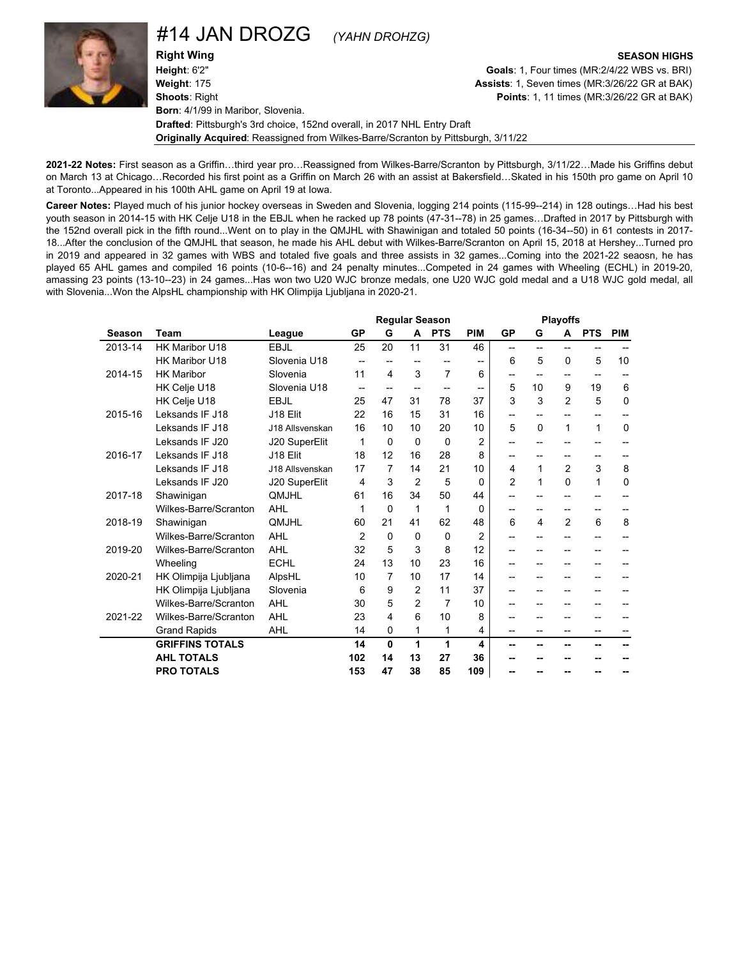### #14 JAN DROZG *(YAHN DROHZG)*

**Right Wing SEASON HIGHS Height**: 6'2" **Goals**: 1, Four times (MR:2/4/22 WBS vs. BRI) **Weight**: 175 **Assists**: 1, Seven times (MR:3/26/22 GR at BAK) **Shoots**: Right **Points**: 1, 11 times (MR:3/26/22 GR at BAK) **Born**: 4/1/99 in Maribor, Slovenia. **Drafted**: Pittsburgh's 3rd choice, 152nd overall, in 2017 NHL Entry Draft **Originally Acquired**: Reassigned from Wilkes-Barre/Scranton by Pittsburgh, 3/11/22

**2021-22 Notes:** First season as a Griffin…third year pro…Reassigned from Wilkes-Barre/Scranton by Pittsburgh, 3/11/22…Made his Griffins debut on March 13 at Chicago…Recorded his first point as a Griffin on March 26 with an assist at Bakersfield…Skated in his 150th pro game on April 10 at Toronto...Appeared in his 100th AHL game on April 19 at Iowa.

**Career Notes:** Played much of his junior hockey overseas in Sweden and Slovenia, logging 214 points (115-99--214) in 128 outings…Had his best youth season in 2014-15 with HK Celje U18 in the EBJL when he racked up 78 points (47-31--78) in 25 games…Drafted in 2017 by Pittsburgh with the 152nd overall pick in the fifth round...Went on to play in the QMJHL with Shawinigan and totaled 50 points (16-34--50) in 61 contests in 2017- 18...After the conclusion of the QMJHL that season, he made his AHL debut with Wilkes-Barre/Scranton on April 15, 2018 at Hershey...Turned pro in 2019 and appeared in 32 games with WBS and totaled five goals and three assists in 32 games...Coming into the 2021-22 seaosn, he has played 65 AHL games and compiled 16 points (10-6--16) and 24 penalty minutes...Competed in 24 games with Wheeling (ECHL) in 2019-20, amassing 23 points (13-10--23) in 24 games...Has won two U20 WJC bronze medals, one U20 WJC gold medal and a U18 WJC gold medal, all with Slovenia...Won the AlpsHL championship with HK Olimpija Ljubljana in 2020-21.

|         |                        |                 |                |                          | <b>Regular Season</b> |                |                |                | <b>Playoffs</b>          |                          |                          |             |
|---------|------------------------|-----------------|----------------|--------------------------|-----------------------|----------------|----------------|----------------|--------------------------|--------------------------|--------------------------|-------------|
| Season  | Team                   | League          | GP             | G                        | A                     | <b>PTS</b>     | <b>PIM</b>     | <b>GP</b>      | G                        | A                        | <b>PTS</b>               | <b>PIM</b>  |
| 2013-14 | HK Maribor U18         | EBJL            | 25             | 20                       | 11                    | 31             | 46             | $-$            | $\overline{\phantom{a}}$ | $-$                      | $-$                      |             |
|         | HK Maribor U18         | Slovenia U18    |                |                          |                       |                | $\overline{a}$ | 6              | 5                        | $\Omega$                 | 5                        | 10          |
| 2014-15 | <b>HK Maribor</b>      | Slovenia        | 11             | 4                        | 3                     | $\overline{7}$ | 6              |                | --                       | --                       | $\overline{\phantom{a}}$ |             |
|         | HK Celje U18           | Slovenia U18    |                | $\overline{\phantom{a}}$ | --                    |                | --             | 5              | 10                       | 9                        | 19                       | 6           |
|         | HK Celje U18           | <b>EBJL</b>     | 25             | 47                       | 31                    | 78             | 37             | 3              | 3                        | 2                        | 5                        | 0           |
| 2015-16 | Leksands IF J18        | J18 Elit        | 22             | 16                       | 15                    | 31             | 16             | --             | $\overline{\phantom{a}}$ | --                       | $\overline{\phantom{a}}$ | --          |
|         | Leksands IF J18        | J18 Allsvenskan | 16             | 10                       | 10                    | 20             | 10             | 5              | $\Omega$                 | 1                        | 1                        | $\mathbf 0$ |
|         | Leksands IF J20        | J20 SuperElit   | 1              | $\Omega$                 | $\Omega$              | $\Omega$       | $\overline{2}$ | --             | --                       | --                       | --                       |             |
| 2016-17 | Leksands IF J18        | J18 Elit        | 18             | 12                       | 16                    | 28             | 8              | --             | --                       | $\overline{\phantom{a}}$ | $\overline{\phantom{a}}$ | --          |
|         | Leksands IF J18        | J18 Allsvenskan | 17             | $\overline{7}$           | 14                    | 21             | 10             | 4              | 1                        | $\overline{2}$           | 3                        | 8           |
|         | Leksands IF J20        | J20 SuperElit   | 4              | 3                        | $\overline{2}$        | 5              | $\Omega$       | $\overline{2}$ | 1                        | $\Omega$                 | 1                        | 0           |
| 2017-18 | Shawinigan             | QMJHL           | 61             | 16                       | 34                    | 50             | 44             | --             | --                       |                          | --                       |             |
|         | Wilkes-Barre/Scranton  | <b>AHL</b>      | 1              | $\Omega$                 | 1                     | 1              | 0              |                | --                       | --                       | --                       |             |
| 2018-19 | Shawinigan             | <b>OMJHL</b>    | 60             | 21                       | 41                    | 62             | 48             | 6              | 4                        | 2                        | 6                        | 8           |
|         | Wilkes-Barre/Scranton  | AHL             | $\overline{2}$ | $\Omega$                 | 0                     | $\Omega$       | $\overline{2}$ | --             | --                       | --                       | $\overline{a}$           |             |
| 2019-20 | Wilkes-Barre/Scranton  | AHL             | 32             | 5                        | 3                     | 8              | 12             | --             | --                       |                          | --                       |             |
|         | Wheeling               | <b>ECHL</b>     | 24             | 13                       | 10                    | 23             | 16             | --             | --                       |                          | --                       |             |
| 2020-21 | HK Olimpija Ljubljana  | AlpsHL          | 10             | $\overline{7}$           | 10                    | 17             | 14             | --             |                          |                          |                          |             |
|         | HK Olimpija Ljubljana  | Slovenia        | 6              | 9                        | $\overline{2}$        | 11             | 37             | --             | --                       | --                       | --                       |             |
|         | Wilkes-Barre/Scranton  | AHL             | 30             | 5                        | $\overline{2}$        | $\overline{7}$ | 10             | --             | --                       | $-$                      | $\overline{\phantom{a}}$ |             |
| 2021-22 | Wilkes-Barre/Scranton  | AHL             | 23             | 4                        | 6                     | 10             | 8              | --             | --                       |                          |                          |             |
|         | <b>Grand Rapids</b>    | <b>AHL</b>      | 14             | $\Omega$                 | 1                     | 1              | 4              | --             | --                       | --                       | $\overline{a}$           | --          |
|         | <b>GRIFFINS TOTALS</b> |                 | 14             | 0                        | 1                     | 1              | 4              | --             | --                       | --                       | --                       |             |
|         | <b>AHL TOTALS</b>      |                 | 102            | 14                       | 13                    | 27             | 36             | --             |                          |                          |                          |             |
|         | <b>PRO TOTALS</b>      |                 | 153            | 47                       | 38                    | 85             | 109            | --             |                          |                          |                          |             |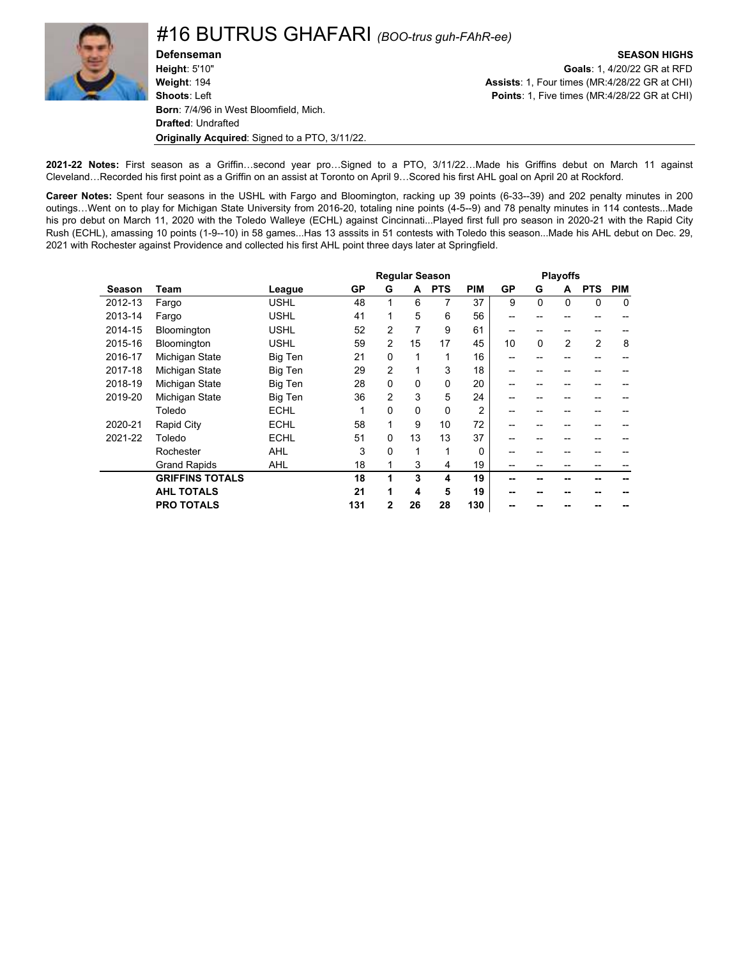

**Defenseman SEASON HIGHS Height**: 5'10" **Goals**: 1, 4/20/22 GR at RFD **Weight**: 194 **Assists**: 1, Four times (MR:4/28/22 GR at CHI) **Shoots**: Left **Points**: 1, Five times (MR:4/28/22 GR at CHI) **Born**: 7/4/96 in West Bloomfield, Mich. **Drafted**: Undrafted **Originally Acquired**: Signed to a PTO, 3/11/22.

**2021-22 Notes:** First season as a Griffin…second year pro…Signed to a PTO, 3/11/22…Made his Griffins debut on March 11 against Cleveland…Recorded his first point as a Griffin on an assist at Toronto on April 9…Scored his first AHL goal on April 20 at Rockford.

**Career Notes:** Spent four seasons in the USHL with Fargo and Bloomington, racking up 39 points (6-33--39) and 202 penalty minutes in 200 outings…Went on to play for Michigan State University from 2016-20, totaling nine points (4-5--9) and 78 penalty minutes in 114 contests...Made his pro debut on March 11, 2020 with the Toledo Walleye (ECHL) against Cincinnati...Played first full pro season in 2020-21 with the Rapid City Rush (ECHL), amassing 10 points (1-9--10) in 58 games...Has 13 asssits in 51 contests with Toledo this season...Made his AHL debut on Dec. 29, 2021 with Rochester against Providence and collected his first AHL point three days later at Springfield.

|         |                        |             |     |                |                | <b>Regular Season</b> |                |           |              | <b>Playoffs</b> |             |             |
|---------|------------------------|-------------|-----|----------------|----------------|-----------------------|----------------|-----------|--------------|-----------------|-------------|-------------|
| Season  | Team                   | League      | GP  | G              | A              | <b>PTS</b>            | <b>PIM</b>     | <b>GP</b> | G            | A               | <b>PTS</b>  | <b>PIM</b>  |
| 2012-13 | Fargo                  | <b>USHL</b> | 48  | 1              | 6              | 7                     | 37             | 9         | $\mathbf{0}$ | $\Omega$        | $\mathbf 0$ | $\mathbf 0$ |
| 2013-14 | Fargo                  | <b>USHL</b> | 41  | 1              | 5              | 6                     | 56             | --        |              |                 |             |             |
| 2014-15 | Bloomington            | <b>USHL</b> | 52  | 2              | $\overline{7}$ | 9                     | 61             | --        | --           |                 | --          |             |
| 2015-16 | Bloomington            | <b>USHL</b> | 59  | 2              | 15             | 17                    | 45             | 10        | $\mathbf 0$  | $\overline{2}$  | 2           | 8           |
| 2016-17 | Michigan State         | Big Ten     | 21  | $\Omega$       | 1              |                       | 16             | --        |              |                 |             |             |
| 2017-18 | Michigan State         | Big Ten     | 29  | $\overline{2}$ | 1              | 3                     | 18             | --        |              |                 |             |             |
| 2018-19 | Michigan State         | Big Ten     | 28  | $\Omega$       | 0              | $\Omega$              | 20             | --        | --           | --              | --          |             |
| 2019-20 | Michigan State         | Big Ten     | 36  | $\overline{2}$ | 3              | 5                     | 24             | --        | --           | --              | --          |             |
|         | Toledo                 | <b>ECHL</b> |     | $\Omega$       | 0              | $\Omega$              | $\overline{2}$ | --        |              |                 |             |             |
| 2020-21 | Rapid City             | <b>ECHL</b> | 58  | 1              | 9              | 10                    | 72             | --        |              |                 |             |             |
| 2021-22 | Toledo                 | <b>ECHL</b> | 51  | $\Omega$       | 13             | 13                    | 37             |           |              |                 |             |             |
|         | Rochester              | <b>AHL</b>  | 3   | 0              | 1              |                       | 0              |           |              |                 |             |             |
|         | <b>Grand Rapids</b>    | <b>AHL</b>  | 18  | 1              | 3              | 4                     | 19             | --        |              |                 |             |             |
|         | <b>GRIFFINS TOTALS</b> |             | 18  | 1              | 3              | 4                     | 19             | --        |              |                 |             |             |
|         | <b>AHL TOTALS</b>      |             | 21  | 1              | 4              | 5                     | 19             | --        |              |                 |             |             |
|         | <b>PRO TOTALS</b>      |             | 131 | $\mathbf{2}$   | 26             | 28                    | 130            |           |              |                 |             |             |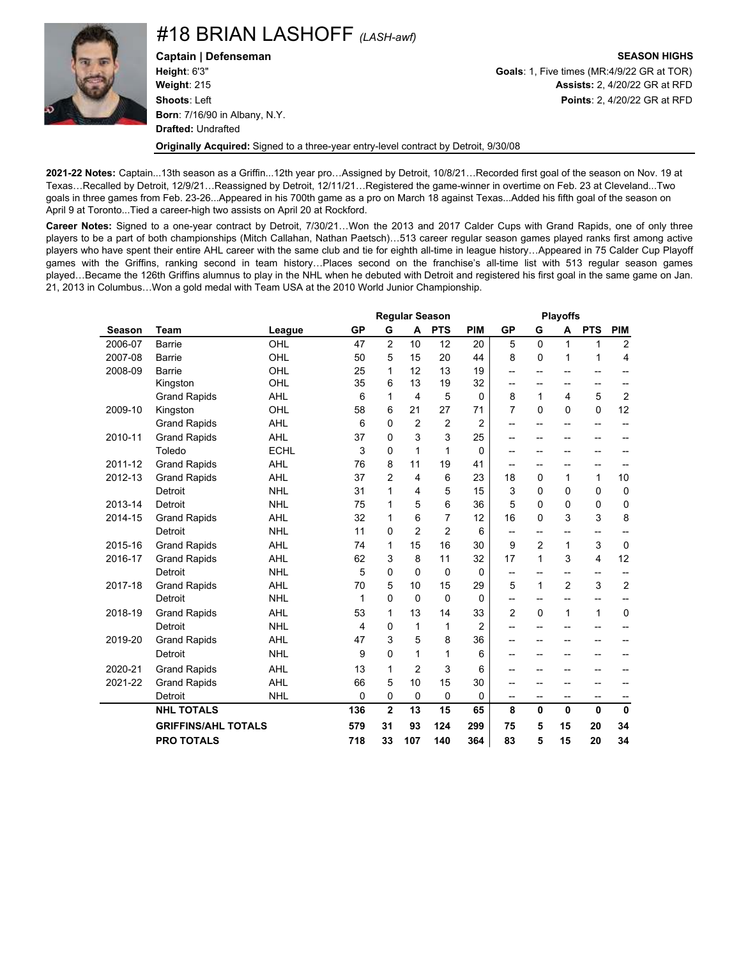

#18 BRIAN LASHOFF *(LASH-awf)*

**Captain | Defenseman SEASON HIGHS Height**: 6'3" **Goals**: 1, Five times (MR:4/9/22 GR at TOR) **Weight**: 215 **Assists:** 2, 4/20/22 GR at RFD **Shoots**: Left **Points**: 2, 4/20/22 GR at RFD **Born**: 7/16/90 in Albany, N.Y. **Drafted:** Undrafted

**Originally Acquired:** Signed to a three-year entry-level contract by Detroit, 9/30/08

**2021-22 Notes:** Captain...13th season as a Griffin...12th year pro…Assigned by Detroit, 10/8/21…Recorded first goal of the season on Nov. 19 at Texas…Recalled by Detroit, 12/9/21…Reassigned by Detroit, 12/11/21…Registered the game-winner in overtime on Feb. 23 at Cleveland...Two goals in three games from Feb. 23-26...Appeared in his 700th game as a pro on March 18 against Texas...Added his fifth goal of the season on April 9 at Toronto...Tied a career-high two assists on April 20 at Rockford.

**Career Notes:** Signed to a one-year contract by Detroit, 7/30/21…Won the 2013 and 2017 Calder Cups with Grand Rapids, one of only three players to be a part of both championships (Mitch Callahan, Nathan Paetsch)…513 career regular season games played ranks first among active players who have spent their entire AHL career with the same club and tie for eighth all-time in league history…Appeared in 75 Calder Cup Playoff games with the Griffins, ranking second in team history…Places second on the franchise's all-time list with 513 regular season games played…Became the 126th Griffins alumnus to play in the NHL when he debuted with Detroit and registered his first goal in the same game on Jan. 21, 2013 in Columbus…Won a gold medal with Team USA at the 2010 World Junior Championship.

|               |                            |             | <b>Regular Season</b> |                         |                |                |                |                |                          | <b>Playoffs</b> |                         |                |
|---------------|----------------------------|-------------|-----------------------|-------------------------|----------------|----------------|----------------|----------------|--------------------------|-----------------|-------------------------|----------------|
| <b>Season</b> | <b>Team</b>                | League      | <b>GP</b>             | G                       | A              | <b>PTS</b>     | PIM            | <b>GP</b>      | G                        | А               | <b>PTS</b>              | <b>PIM</b>     |
| 2006-07       | Barrie                     | OHL         | 47                    | $\overline{2}$          | 10             | 12             | 20             | 5              | $\Omega$                 | 1               | 1                       | 2              |
| 2007-08       | <b>Barrie</b>              | OHL         | 50                    | 5                       | 15             | 20             | 44             | 8              | 0                        | 1               | $\mathbf 1$             | 4              |
| 2008-09       | <b>Barrie</b>              | OHL         | 25                    | 1                       | 12             | 13             | 19             | --             | $-$                      | $-$             | --                      |                |
|               | Kingston                   | OHL         | 35                    | 6                       | 13             | 19             | 32             | --             | --                       | $-$             | --                      |                |
|               | <b>Grand Rapids</b>        | <b>AHL</b>  | 6                     | 1                       | 4              | 5              | $\Omega$       | 8              | $\mathbf{1}$             | 4               | 5                       | 2              |
| 2009-10       | Kingston                   | OHL         | 58                    | 6                       | 21             | 27             | 71             | $\overline{7}$ | $\mathbf{0}$             | $\Omega$        | $\mathbf 0$             | 12             |
|               | <b>Grand Rapids</b>        | <b>AHL</b>  | 6                     | $\Omega$                | $\overline{2}$ | $\overline{2}$ | 2              | $-$            | $\overline{\phantom{a}}$ | $-$             | --                      |                |
| 2010-11       | <b>Grand Rapids</b>        | <b>AHL</b>  | 37                    | $\Omega$                | 3              | 3              | 25             | --             | --                       | --              | -−                      |                |
|               | Toledo                     | <b>ECHL</b> | 3                     | $\Omega$                | 1              | 1              | $\Omega$       | --             | --                       | --              | --                      |                |
| 2011-12       | <b>Grand Rapids</b>        | <b>AHL</b>  | 76                    | 8                       | 11             | 19             | 41             | --             | --                       | $-$             | --                      |                |
| 2012-13       | <b>Grand Rapids</b>        | <b>AHL</b>  | 37                    | $\overline{2}$          | 4              | 6              | 23             | 18             | $\mathbf{0}$             | 1               | 1                       | 10             |
|               | Detroit                    | <b>NHL</b>  | 31                    | 1                       | 4              | 5              | 15             | 3              | $\mathbf{0}$             | 0               | $\mathbf 0$             | $\mathbf 0$    |
| 2013-14       | Detroit                    | <b>NHL</b>  | 75                    | 1                       | 5              | 6              | 36             | 5              | 0                        | 0               | $\mathbf 0$             | $\mathbf 0$    |
| 2014-15       | <b>Grand Rapids</b>        | <b>AHL</b>  | 32                    | 1                       | 6              | $\overline{7}$ | 12             | 16             | $\mathbf{0}$             | 3               | 3                       | 8              |
|               | Detroit                    | <b>NHL</b>  | 11                    | $\Omega$                | $\overline{2}$ | $\overline{2}$ | 6              | $-$            | --                       | $-$             | --                      |                |
| 2015-16       | <b>Grand Rapids</b>        | <b>AHL</b>  | 74                    | 1                       | 15             | 16             | 30             | 9              | $\overline{2}$           | 1               | 3                       | $\mathbf 0$    |
| 2016-17       | <b>Grand Rapids</b>        | <b>AHL</b>  | 62                    | 3                       | 8              | 11             | 32             | 17             | $\mathbf{1}$             | 3               | $\overline{\mathbf{4}}$ | 12             |
|               | Detroit                    | <b>NHL</b>  | 5                     | 0                       | 0              | 0              | 0              | --             | --                       | $\overline{a}$  | --                      |                |
| 2017-18       | <b>Grand Rapids</b>        | <b>AHL</b>  | 70                    | 5                       | 10             | 15             | 29             | 5              | $\mathbf{1}$             | $\overline{2}$  | 3                       | $\overline{2}$ |
|               | Detroit                    | <b>NHL</b>  | 1                     | $\Omega$                | $\mathbf 0$    | $\mathbf{0}$   | $\Omega$       | --             | --                       | --              | --                      |                |
| 2018-19       | <b>Grand Rapids</b>        | <b>AHL</b>  | 53                    | 1                       | 13             | 14             | 33             | $\overline{2}$ | 0                        | $\mathbf{1}$    | 1                       | $\mathbf 0$    |
|               | Detroit                    | <b>NHL</b>  | 4                     | $\mathbf 0$             | 1              | 1              | $\overline{2}$ | $-$            | --                       | $-$             | --                      |                |
| 2019-20       | <b>Grand Rapids</b>        | <b>AHL</b>  | 47                    | 3                       | 5              | 8              | 36             | --             | --                       | --              | --                      |                |
|               | Detroit                    | <b>NHL</b>  | 9                     | 0                       | 1              | 1              | 6              | --             | --                       | $-$             | --                      |                |
| 2020-21       | <b>Grand Rapids</b>        | <b>AHL</b>  | 13                    | 1                       | 2              | 3              | 6              | --             |                          | --              | --                      |                |
| 2021-22       | <b>Grand Rapids</b>        | <b>AHL</b>  | 66                    | 5                       | 10             | 15             | 30             | --             | --                       | --              | --                      |                |
|               | Detroit                    | <b>NHL</b>  | $\mathbf 0$           | 0                       | $\mathbf 0$    | 0              | $\Omega$       | --             | --                       | --              | --                      | --             |
|               | <b>NHL TOTALS</b>          |             | 136                   | $\overline{\mathbf{2}}$ | 13             | 15             | 65             | 8              | 0                        | $\mathbf{0}$    | $\mathbf 0$             | $\mathbf{0}$   |
|               | <b>GRIFFINS/AHL TOTALS</b> |             | 579                   | 31                      | 93             | 124            | 299            | 75             | 5                        | 15              | 20                      | 34             |
|               | <b>PRO TOTALS</b>          |             | 718                   | 33                      | 107            | 140            | 364            | 83             | 5                        | 15              | 20                      | 34             |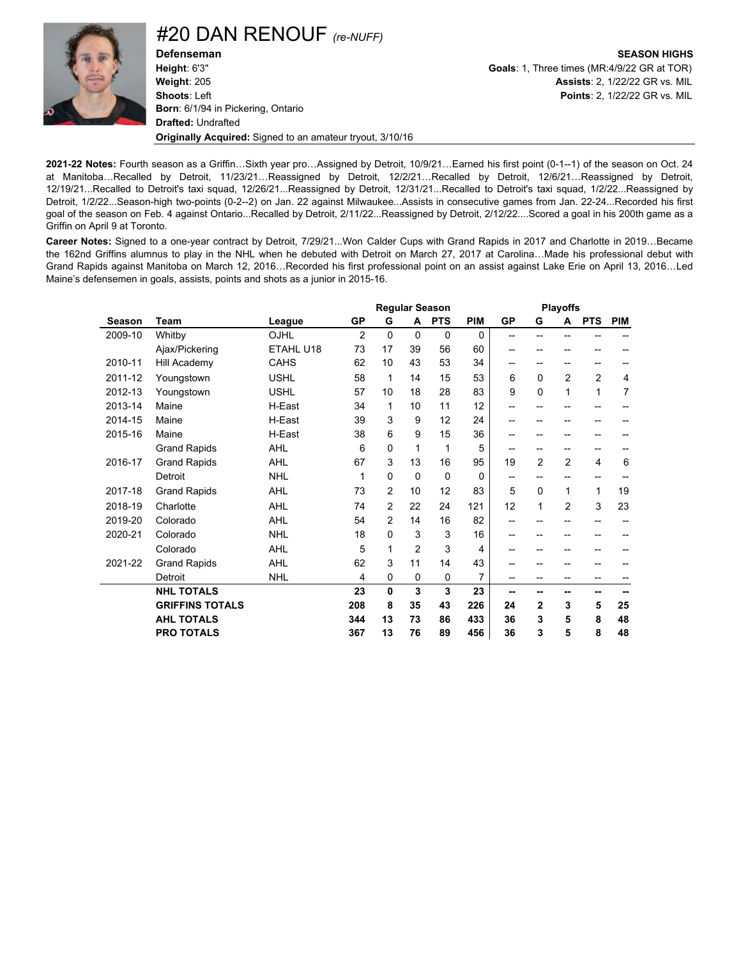#20 DAN RENOUF *(re-NUFF)*

**Defenseman SEASON HIGHS Height**: 6'3" **Goals**: 1, Three times (MR:4/9/22 GR at TOR) **Weight**: 205 **Assists**: 2, 1/22/22 GR vs. MIL **Shoots**: Left **Points**: 2, 1/22/22 GR vs. MIL **Born**: 6/1/94 in Pickering, Ontario **Drafted:** Undrafted **Originally Acquired:** Signed to an amateur tryout, 3/10/16

**2021-22 Notes:** Fourth season as a Griffin…Sixth year pro…Assigned by Detroit, 10/9/21…Earned his first point (0-1--1) of the season on Oct. 24 at Manitoba…Recalled by Detroit, 11/23/21…Reassigned by Detroit, 12/2/21…Recalled by Detroit, 12/6/21…Reassigned by Detroit, 12/19/21...Recalled to Detroit's taxi squad, 12/26/21...Reassigned by Detroit, 12/31/21...Recalled to Detroit's taxi squad, 1/2/22...Reassigned by Detroit, 1/2/22...Season-high two-points (0-2--2) on Jan. 22 against Milwaukee...Assists in consecutive games from Jan. 22-24...Recorded his first goal of the season on Feb. 4 against Ontario...Recalled by Detroit, 2/11/22...Reassigned by Detroit, 2/12/22....Scored a goal in his 200th game as a Griffin on April 9 at Toronto.

**Career Notes:** Signed to a one-year contract by Detroit, 7/29/21...Won Calder Cups with Grand Rapids in 2017 and Charlotte in 2019…Became the 162nd Griffins alumnus to play in the NHL when he debuted with Detroit on March 27, 2017 at Carolina…Made his professional debut with Grand Rapids against Manitoba on March 12, 2016…Recorded his first professional point on an assist against Lake Erie on April 13, 2016…Led Maine's defensemen in goals, assists, points and shots as a junior in 2015-16.

|         |                        |             |                |                |                | <b>Regular Season</b> |                |           |                | <b>Playoffs</b> |                |                |
|---------|------------------------|-------------|----------------|----------------|----------------|-----------------------|----------------|-----------|----------------|-----------------|----------------|----------------|
| Season  | Team                   | League      | <b>GP</b>      | G              | A              | <b>PTS</b>            | <b>PIM</b>     | <b>GP</b> | G              | A               | <b>PTS</b>     | <b>PIM</b>     |
| 2009-10 | Whitby                 | OJHL        | $\overline{2}$ | $\Omega$       | $\Omega$       | 0                     | 0              | $-$       | --             | $-$             |                |                |
|         | Ajax/Pickering         | ETAHL U18   | 73             | 17             | 39             | 56                    | 60             | $- -$     |                |                 |                |                |
| 2010-11 | Hill Academy           | <b>CAHS</b> | 62             | 10             | 43             | 53                    | 34             | $- -$     | --             | --              | --             |                |
| 2011-12 | Youngstown             | <b>USHL</b> | 58             | 1              | 14             | 15                    | 53             | 6         | $\Omega$       | $\overline{2}$  | $\overline{2}$ | 4              |
| 2012-13 | Youngstown             | <b>USHL</b> | 57             | 10             | 18             | 28                    | 83             | 9         | 0              | 1               | 1              | $\overline{7}$ |
| 2013-14 | Maine                  | H-East      | 34             | 1              | 10             | 11                    | 12             | $- -$     |                |                 | --             |                |
| 2014-15 | Maine                  | H-East      | 39             | 3              | 9              | 12                    | 24             | --        |                |                 |                |                |
| 2015-16 | Maine                  | H-East      | 38             | 6              | 9              | 15                    | 36             | --        |                | --              | --             |                |
|         | <b>Grand Rapids</b>    | <b>AHL</b>  | 6              | 0              | 1              | 1                     | 5              | --        | --             | --              | --             |                |
| 2016-17 | <b>Grand Rapids</b>    | <b>AHL</b>  | 67             | 3              | 13             | 16                    | 95             | 19        | $\overline{2}$ | 2               | 4              | 6              |
|         | Detroit                | <b>NHL</b>  | 1              | 0              | $\Omega$       | $\mathbf{0}$          | 0              | $- -$     | --             | --              | --             |                |
| 2017-18 | <b>Grand Rapids</b>    | <b>AHL</b>  | 73             | $\overline{2}$ | 10             | 12                    | 83             | 5         | 0              | 1               | 1              | 19             |
| 2018-19 | Charlotte              | <b>AHL</b>  | 74             | $\overline{2}$ | 22             | 24                    | 121            | 12        | 1              | $\overline{2}$  | 3              | 23             |
| 2019-20 | Colorado               | <b>AHL</b>  | 54             | $\overline{2}$ | 14             | 16                    | 82             | $- -$     |                |                 | --             |                |
| 2020-21 | Colorado               | <b>NHL</b>  | 18             | 0              | 3              | 3                     | 16             | $-$       | --             | --              | --             |                |
|         | Colorado               | <b>AHL</b>  | 5              | 1              | $\overline{2}$ | 3                     | 4              | $- -$     | --             | --              | --             |                |
| 2021-22 | <b>Grand Rapids</b>    | AHL         | 62             | 3              | 11             | 14                    | 43             | --        |                |                 |                |                |
|         | Detroit                | <b>NHL</b>  | 4              | 0              | $\mathbf 0$    | $\Omega$              | $\overline{7}$ | --        | --             | --              | --             |                |
|         | <b>NHL TOTALS</b>      |             | 23             | 0              | 3              | 3                     | 23             | --        | --             | --              | --             |                |
|         | <b>GRIFFINS TOTALS</b> |             | 208            | 8              | 35             | 43                    | 226            | 24        | $\mathbf{2}$   | 3               | 5              | 25             |
|         | <b>AHL TOTALS</b>      |             | 344            | 13             | 73             | 86                    | 433            | 36        | 3              | 5               | 8              | 48             |
|         | <b>PRO TOTALS</b>      |             | 367            | 13             | 76             | 89                    | 456            | 36        | 3              | 5               | 8              | 48             |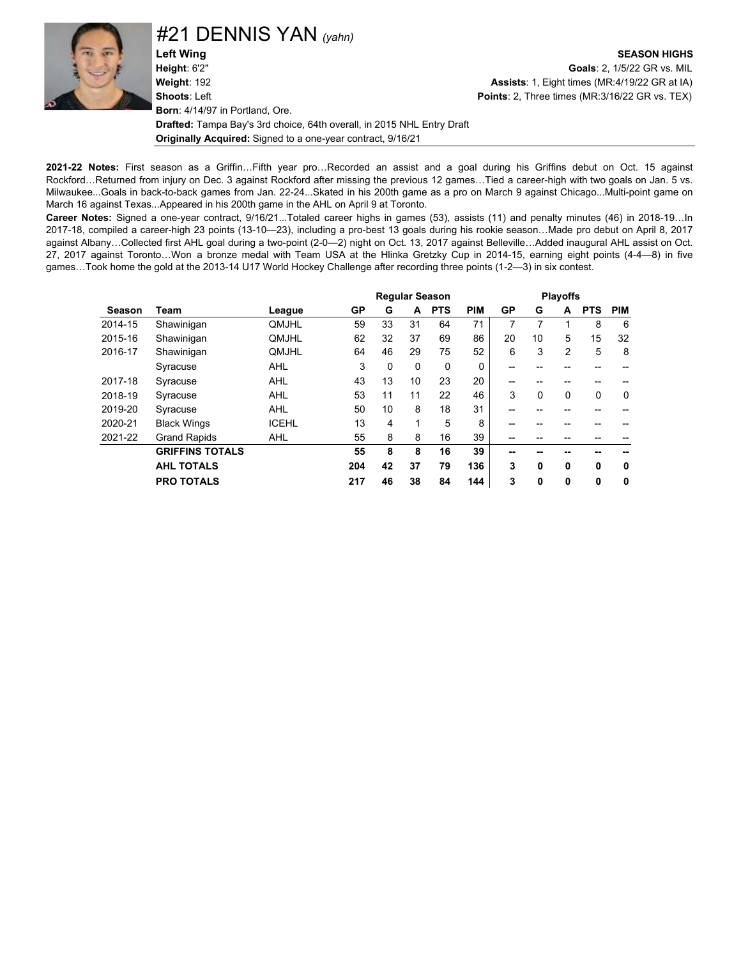#21 DENNIS YAN *(yahn)*

**Left Wing SEASON HIGHS Height**: 6'2" **Goals**: 2, 1/5/22 GR vs. MIL **Weight**: 192 **Assists**: 1, Eight times (MR:4/19/22 GR at IA) **Shoots**: Left **Points**: 2, Three times (MR:3/16/22 GR vs. TEX) **Born**: 4/14/97 in Portland, Ore. **Drafted:** Tampa Bay's 3rd choice, 64th overall, in 2015 NHL Entry Draft **Originally Acquired:** Signed to a one-year contract, 9/16/21

**2021-22 Notes:** First season as a Griffin…Fifth year pro…Recorded an assist and a goal during his Griffins debut on Oct. 15 against Rockford…Returned from injury on Dec. 3 against Rockford after missing the previous 12 games…Tied a career-high with two goals on Jan. 5 vs. Milwaukee...Goals in back-to-back games from Jan. 22-24...Skated in his 200th game as a pro on March 9 against Chicago...Multi-point game on March 16 against Texas...Appeared in his 200th game in the AHL on April 9 at Toronto.

**Career Notes:** Signed a one-year contract, 9/16/21...Totaled career highs in games (53), assists (11) and penalty minutes (46) in 2018-19…In 2017-18, compiled a career-high 23 points (13-10—23), including a pro-best 13 goals during his rookie season…Made pro debut on April 8, 2017 against Albany…Collected first AHL goal during a two-point (2-0—2) night on Oct. 13, 2017 against Belleville…Added inaugural AHL assist on Oct. 27, 2017 against Toronto…Won a bronze medal with Team USA at the Hlinka Gretzky Cup in 2014-15, earning eight points (4-4—8) in five games…Took home the gold at the 2013-14 U17 World Hockey Challenge after recording three points (1-2—3) in six contest.

|         |                        |              |     |          |          |            | <b>Playoffs</b> |    |          |                |            |            |
|---------|------------------------|--------------|-----|----------|----------|------------|-----------------|----|----------|----------------|------------|------------|
| Season  | Team                   | League       | GP  | G        | A        | <b>PTS</b> | <b>PIM</b>      | GP | G        | A              | <b>PTS</b> | <b>PIM</b> |
| 2014-15 | Shawinigan             | QMJHL        | 59  | 33       | 31       | 64         | 71              | 7  |          |                | 8          | 6          |
| 2015-16 | Shawinigan             | <b>OMJHL</b> | 62  | 32       | 37       | 69         | 86              | 20 | 10       | 5              | 15         | 32         |
| 2016-17 | Shawinigan             | QMJHL        | 64  | 46       | 29       | 75         | 52              | 6  | 3        | $\overline{2}$ | 5          | 8          |
|         | Syracuse               | <b>AHL</b>   | 3   | $\Omega$ | $\Omega$ | $\Omega$   | 0               | -- | --       |                |            |            |
| 2017-18 | Syracuse               | <b>AHL</b>   | 43  | 13       | 10       | 23         | 20              | -- |          |                |            |            |
| 2018-19 | Syracuse               | AHL          | 53  | 11       | 11       | 22         | 46              | 3  | $\Omega$ | $\Omega$       | 0          | 0          |
| 2019-20 | Syracuse               | <b>AHL</b>   | 50  | 10       | 8        | 18         | 31              | -- | --       | --             |            |            |
| 2020-21 | <b>Black Wings</b>     | <b>ICEHL</b> | 13  | 4        | 1        | 5          | 8               | -- |          |                |            |            |
| 2021-22 | <b>Grand Rapids</b>    | <b>AHL</b>   | 55  | 8        | 8        | 16         | 39              |    |          |                |            |            |
|         | <b>GRIFFINS TOTALS</b> |              | 55  | 8        | 8        | 16         | 39              | -- |          |                |            |            |
|         | <b>AHL TOTALS</b>      |              | 204 | 42       | 37       | 79         | 136             | 3  | 0        | 0              | 0          | 0          |
|         | <b>PRO TOTALS</b>      |              | 217 | 46       | 38       | 84         | 144             | 3  | 0        | 0              | 0          | 0          |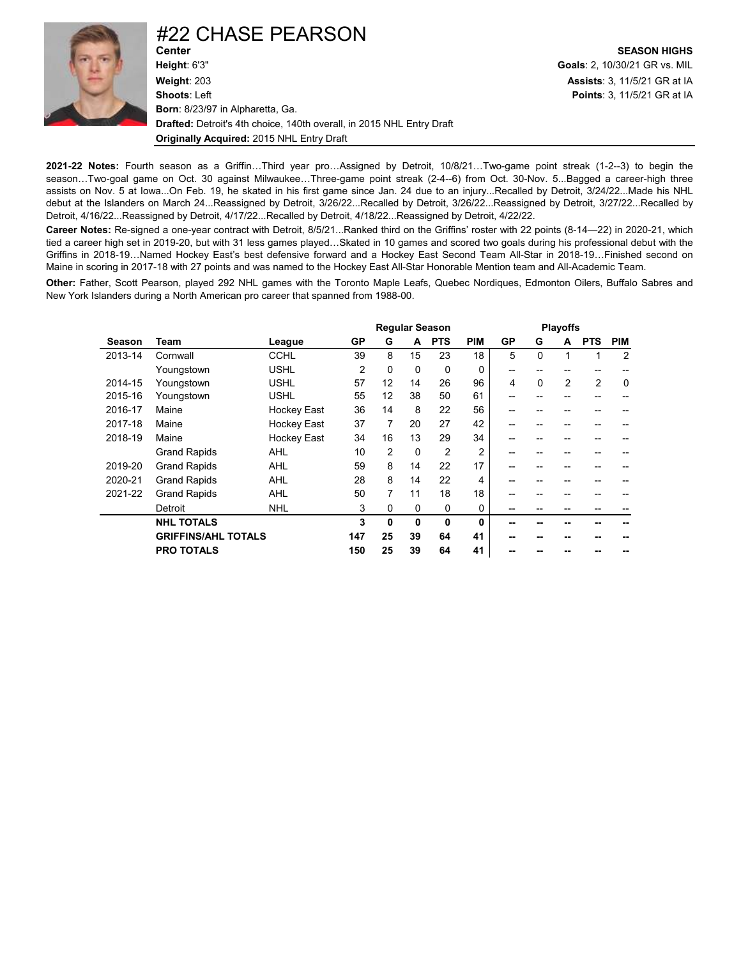

### #22 CHASE PEARSON

**Height**: 6'3" **Goals**: 2, 10/30/21 GR vs. MIL **Weight**: 203 **Assists**: 3, 11/5/21 GR at IA **Shoots**: Left **Points**: 3, 11/5/21 GR at IA **Born**: 8/23/97 in Alpharetta, Ga. **Drafted:** Detroit's 4th choice, 140th overall, in 2015 NHL Entry Draft **Originally Acquired:** 2015 NHL Entry Draft

**Center SEASON HIGHS**

**2021-22 Notes:** Fourth season as a Griffin…Third year pro…Assigned by Detroit, 10/8/21…Two-game point streak (1-2--3) to begin the season...Two-goal game on Oct. 30 against Milwaukee...Three-game point streak (2-4--6) from Oct. 30-Nov. 5...Bagged a career-high three assists on Nov. 5 at Iowa...On Feb. 19, he skated in his first game since Jan. 24 due to an injury...Recalled by Detroit, 3/24/22...Made his NHL debut at the Islanders on March 24...Reassigned by Detroit, 3/26/22...Recalled by Detroit, 3/26/22...Reassigned by Detroit, 3/27/22...Recalled by Detroit, 4/16/22...Reassigned by Detroit, 4/17/22...Recalled by Detroit, 4/18/22...Reassigned by Detroit, 4/22/22.

**Career Notes:** Re-signed a one-year contract with Detroit, 8/5/21...Ranked third on the Griffins' roster with 22 points (8-14—22) in 2020-21, which tied a career high set in 2019-20, but with 31 less games played…Skated in 10 games and scored two goals during his professional debut with the Griffins in 2018-19…Named Hockey East's best defensive forward and a Hockey East Second Team All-Star in 2018-19…Finished second on Maine in scoring in 2017-18 with 27 points and was named to the Hockey East All-Star Honorable Mention team and All-Academic Team.

**Other:** Father, Scott Pearson, played 292 NHL games with the Toronto Maple Leafs, Quebec Nordiques, Edmonton Oilers, Buffalo Sabres and New York Islanders during a North American pro career that spanned from 1988-00.

|         |                            |                    |                |             |             | <b>Regular Season</b> |                |    |             | <b>Playoffs</b> |                |                |
|---------|----------------------------|--------------------|----------------|-------------|-------------|-----------------------|----------------|----|-------------|-----------------|----------------|----------------|
| Season  | Team                       | League             | <b>GP</b>      | G           | A           | <b>PTS</b>            | <b>PIM</b>     | GP | G           | A               | <b>PTS</b>     | <b>PIM</b>     |
| 2013-14 | Cornwall                   | <b>CCHL</b>        | 39             | 8           | 15          | 23                    | 18             | 5  | $\Omega$    | 1               | 1              | $\overline{2}$ |
|         | Youngstown                 | <b>USHL</b>        | $\overline{2}$ | $\Omega$    | $\Omega$    | $\Omega$              | 0              | -- | --          |                 |                |                |
| 2014-15 | Youngstown                 | <b>USHL</b>        | 57             | 12          | 14          | 26                    | 96             | 4  | $\mathbf 0$ | $\overline{2}$  | $\overline{2}$ | $\mathbf 0$    |
| 2015-16 | Youngstown                 | <b>USHL</b>        | 55             | 12          | 38          | 50                    | 61             | -- | --          |                 | --             |                |
| 2016-17 | Maine                      | <b>Hockey East</b> | 36             | 14          | 8           | 22                    | 56             |    |             |                 |                |                |
| 2017-18 | Maine                      | <b>Hockey East</b> | 37             | 7           | 20          | 27                    | 42             | -- |             |                 |                |                |
| 2018-19 | Maine                      | <b>Hockey East</b> | 34             | 16          | 13          | 29                    | 34             | -- |             |                 | --             |                |
|         | <b>Grand Rapids</b>        | <b>AHL</b>         | 10             | 2           | $\Omega$    | $\overline{2}$        | $\overline{2}$ | -- | --          | --              | --             |                |
| 2019-20 | <b>Grand Rapids</b>        | <b>AHL</b>         | 59             | 8           | 14          | 22                    | 17             |    |             |                 |                |                |
| 2020-21 | <b>Grand Rapids</b>        | <b>AHL</b>         | 28             | 8           | 14          | 22                    | 4              | -- |             |                 | --             |                |
| 2021-22 | <b>Grand Rapids</b>        | <b>AHL</b>         | 50             | 7           | 11          | 18                    | 18             |    |             |                 |                |                |
|         | Detroit                    | <b>NHL</b>         | 3              | $\Omega$    | $\mathbf 0$ | $\mathbf 0$           | 0              | -- |             | --              | --             |                |
|         | <b>NHL TOTALS</b>          |                    | 3              | $\mathbf 0$ | 0           | $\mathbf{0}$          | 0              |    |             |                 |                |                |
|         | <b>GRIFFINS/AHL TOTALS</b> |                    | 147            | 25          | 39          | 64                    | 41             | -- |             |                 |                |                |
|         | <b>PRO TOTALS</b>          |                    | 150            | 25          | 39          | 64                    | 41             |    |             |                 |                |                |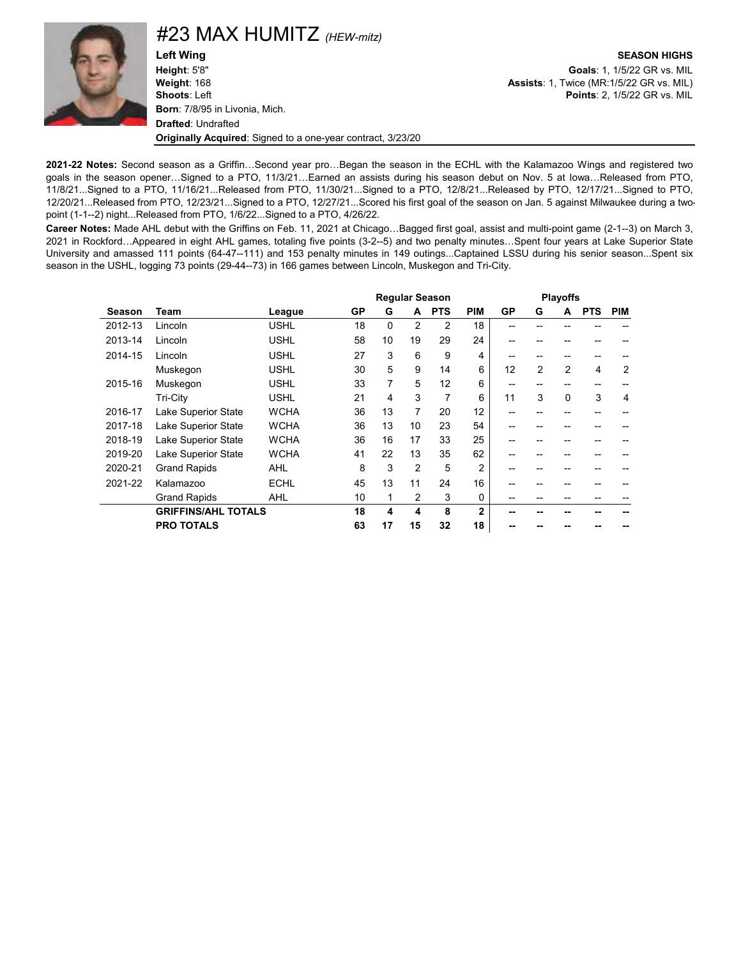

#23 MAX HUMITZ *(HEW-mitz)*

**Left Wing SEASON HIGHS Height**: 5'8" **Goals**: 1, 1/5/22 GR vs. MIL **Weight**: 168 **Assists**: 1, Twice (MR:1/5/22 GR vs. MIL) **Shoots**: Left **Points**: 2, 1/5/22 GR vs. MIL **Born**: 7/8/95 in Livonia, Mich. **Drafted**: Undrafted **Originally Acquired**: Signed to a one-year contract, 3/23/20

**2021-22 Notes:** Second season as a Griffin…Second year pro…Began the season in the ECHL with the Kalamazoo Wings and registered two goals in the season opener…Signed to a PTO, 11/3/21…Earned an assists during his season debut on Nov. 5 at Iowa…Released from PTO, 11/8/21...Signed to a PTO, 11/16/21...Released from PTO, 11/30/21...Signed to a PTO, 12/8/21...Released by PTO, 12/17/21...Signed to PTO, 12/20/21...Released from PTO, 12/23/21...Signed to a PTO, 12/27/21...Scored his first goal of the season on Jan. 5 against Milwaukee during a twopoint (1-1--2) night...Released from PTO, 1/6/22...Signed to a PTO, 4/26/22.

**Career Notes:** Made AHL debut with the Griffins on Feb. 11, 2021 at Chicago…Bagged first goal, assist and multi-point game (2-1--3) on March 3, 2021 in Rockford…Appeared in eight AHL games, totaling five points (3-2--5) and two penalty minutes…Spent four years at Lake Superior State University and amassed 111 points (64-47--111) and 153 penalty minutes in 149 outings...Captained LSSU during his senior season...Spent six season in the USHL, logging 73 points (29-44--73) in 166 games between Lincoln, Muskegon and Tri-City.

|         |                            |             |    |                  |                | <b>Regular Season</b> |                |           |    | <b>Playoffs</b> |            |            |
|---------|----------------------------|-------------|----|------------------|----------------|-----------------------|----------------|-----------|----|-----------------|------------|------------|
| Season  | Team                       | League      | GP | G                | A              | <b>PTS</b>            | <b>PIM</b>     | <b>GP</b> | G  | A               | <b>PTS</b> | <b>PIM</b> |
| 2012-13 | Lincoln                    | <b>USHL</b> | 18 | $\Omega$         | $\overline{2}$ | 2                     | 18             |           |    |                 |            |            |
| 2013-14 | Lincoln                    | <b>USHL</b> | 58 | 10               | 19             | 29                    | 24             |           |    |                 |            |            |
| 2014-15 | Lincoln                    | <b>USHL</b> | 27 | 3                | 6              | 9                     | 4              |           |    |                 |            |            |
|         | Muskegon                   | <b>USHL</b> | 30 | 5                | 9              | 14                    | 6              | 12        | 2  | 2               | 4          | 2          |
| 2015-16 | Muskegon                   | <b>USHL</b> | 33 | $\overline{7}$   | 5              | 12                    | 6              | --        |    |                 | --         |            |
|         | Tri-City                   | <b>USHL</b> | 21 | 4                | 3              | 7                     | 6              | 11        | 3  | $\Omega$        | 3          | 4          |
| 2016-17 | Lake Superior State        | <b>WCHA</b> | 36 | 13               | 7              | 20                    | 12             | --        | -- |                 |            |            |
| 2017-18 | <b>Lake Superior State</b> | <b>WCHA</b> | 36 | 13               | 10             | 23                    | 54             |           |    |                 |            |            |
| 2018-19 | <b>Lake Superior State</b> | <b>WCHA</b> | 36 | 16               | 17             | 33                    | 25             |           |    |                 |            |            |
| 2019-20 | <b>Lake Superior State</b> | <b>WCHA</b> | 41 | 22               | 13             | 35                    | 62             |           |    |                 |            |            |
| 2020-21 | <b>Grand Rapids</b>        | <b>AHL</b>  | 8  | 3                | $\overline{2}$ | 5                     | $\overline{2}$ |           |    |                 |            |            |
| 2021-22 | Kalamazoo                  | <b>ECHL</b> | 45 | 13               | 11             | 24                    | 16             |           |    |                 |            |            |
|         | <b>Grand Rapids</b>        | <b>AHL</b>  | 10 | 1                | 2              | 3                     | $\Omega$       |           |    |                 |            |            |
|         | <b>GRIFFINS/AHL TOTALS</b> |             | 18 | $\boldsymbol{4}$ | 4              | 8                     | $\overline{2}$ |           |    |                 |            |            |
|         | <b>PRO TOTALS</b>          |             | 63 | 17               | 15             | 32                    | 18             |           |    |                 |            |            |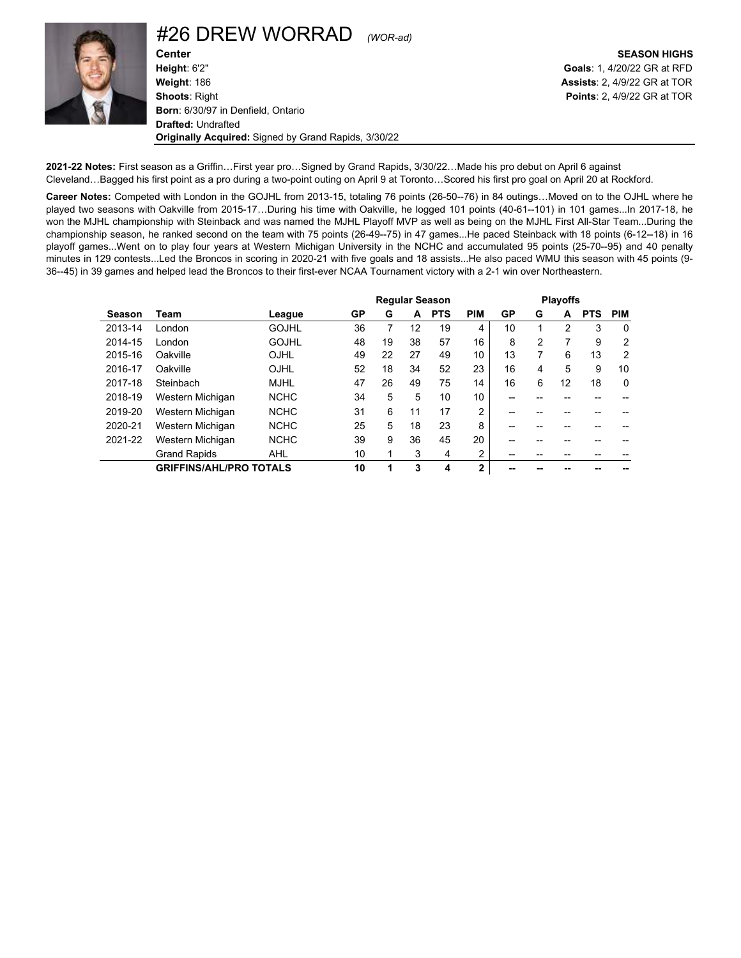

### #26 DREW WORRAD *(WOR-ad)*

**Center SEASON HIGHS Height**: 6'2" **Goals**: 1, 4/20/22 GR at RFD **Weight**: 186 **Assists**: 2, 4/9/22 GR at TOR **Shoots**: Right **Points**: 2, 4/9/22 GR at TOR **Born**: 6/30/97 in Denfield, Ontario **Drafted:** Undrafted **Originally Acquired:** Signed by Grand Rapids, 3/30/22

**2021-22 Notes:** First season as a Griffin…First year pro…Signed by Grand Rapids, 3/30/22…Made his pro debut on April 6 against Cleveland…Bagged his first point as a pro during a two-point outing on April 9 at Toronto…Scored his first pro goal on April 20 at Rockford.

**Career Notes:** Competed with London in the GOJHL from 2013-15, totaling 76 points (26-50--76) in 84 outings…Moved on to the OJHL where he played two seasons with Oakville from 2015-17…During his time with Oakville, he logged 101 points (40-61--101) in 101 games...In 2017-18, he won the MJHL championship with Steinback and was named the MJHL Playoff MVP as well as being on the MJHL First All-Star Team...During the championship season, he ranked second on the team with 75 points (26-49--75) in 47 games...He paced Steinback with 18 points (6-12--18) in 16 playoff games...Went on to play four years at Western Michigan University in the NCHC and accumulated 95 points (25-70--95) and 40 penalty minutes in 129 contests...Led the Broncos in scoring in 2020-21 with five goals and 18 assists...He also paced WMU this season with 45 points (9- 36--45) in 39 games and helped lead the Broncos to their first-ever NCAA Tournament victory with a 2-1 win over Northeastern.

|         |                                |              |              |    |    | <b>Regular Season</b> |                |    |   | <b>Playoffs</b> |            |                |
|---------|--------------------------------|--------------|--------------|----|----|-----------------------|----------------|----|---|-----------------|------------|----------------|
| Season  | Team                           | League       | GP           | G  | A  | <b>PTS</b>            | <b>PIM</b>     | GP | G | A               | <b>PTS</b> | <b>PIM</b>     |
| 2013-14 | London                         | <b>GOJHL</b> | 36           |    | 12 | 19                    | 4              | 10 |   | 2               | 3          | $\Omega$       |
| 2014-15 | London                         | <b>GOJHL</b> | 48           | 19 | 38 | 57                    | 16             | 8  | 2 |                 | 9          | 2              |
| 2015-16 | Oakville                       | OJHL         | 49           | 22 | 27 | 49                    | 10             | 13 | 7 | 6               | 13         | $\overline{2}$ |
| 2016-17 | Oakville                       | OJHL         | 52           | 18 | 34 | 52                    | 23             | 16 | 4 | 5               | 9          | 10             |
| 2017-18 | Steinbach                      | <b>MJHL</b>  | 47           | 26 | 49 | 75                    | 14             | 16 | 6 | 12              | 18         | $\mathbf 0$    |
| 2018-19 | Western Michigan               | <b>NCHC</b>  | 34           | 5  | 5  | 10                    | 10             | -- |   |                 |            |                |
| 2019-20 | Western Michigan               | <b>NCHC</b>  | 31           | 6  | 11 | 17                    | $\overline{2}$ |    |   |                 |            |                |
| 2020-21 | Western Michigan               | <b>NCHC</b>  | 25           | 5  | 18 | 23                    | 8              |    |   |                 |            |                |
| 2021-22 | Western Michigan               | <b>NCHC</b>  | 39           | 9  | 36 | 45                    | 20             |    |   |                 |            |                |
|         | <b>Grand Rapids</b>            | <b>AHL</b>   | 10           | 1  | 3  | 4                     | 2              |    |   |                 |            |                |
|         | <b>GRIFFINS/AHL/PRO TOTALS</b> |              | 10<br>3<br>1 |    |    | 4                     | $\overline{2}$ |    |   |                 |            |                |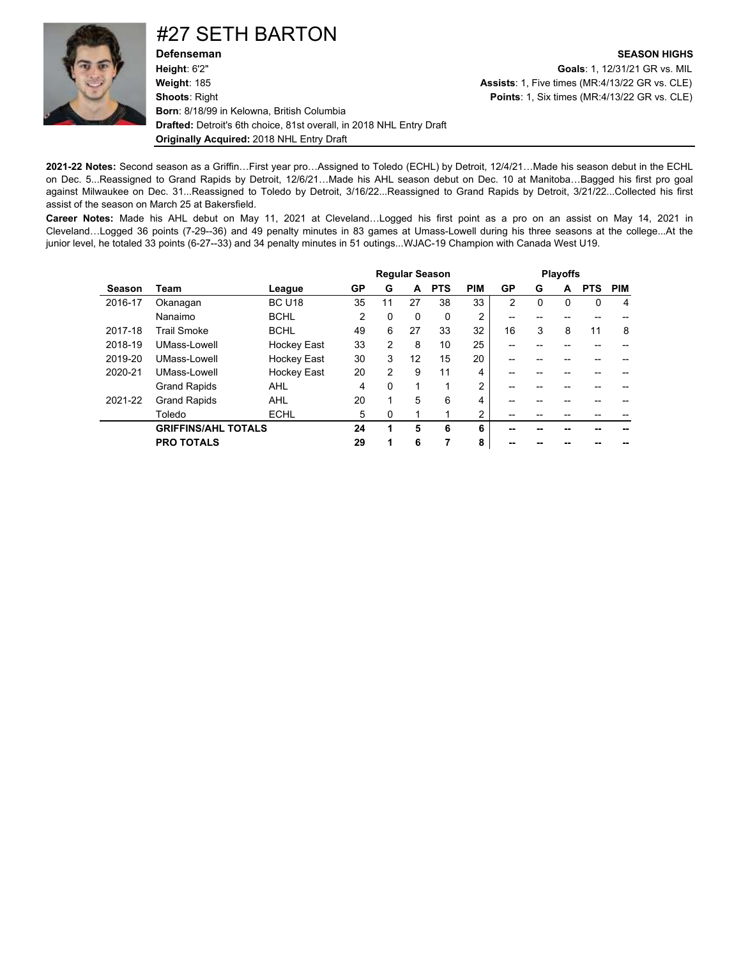

### #27 SETH BARTON

**Defenseman SEASON HIGHS Height**: 6'2" **Goals**: 1, 12/31/21 GR vs. MIL **Weight**: 185 **Assists**: 1, Five times (MR:4/13/22 GR vs. CLE) **Shoots**: Right **Points**: 1, Six times (MR:4/13/22 GR vs. CLE) **Born**: 8/18/99 in Kelowna, British Columbia **Drafted:** Detroit's 6th choice, 81st overall, in 2018 NHL Entry Draft **Originally Acquired:** 2018 NHL Entry Draft

**2021-22 Notes:** Second season as a Griffin…First year pro…Assigned to Toledo (ECHL) by Detroit, 12/4/21…Made his season debut in the ECHL on Dec. 5...Reassigned to Grand Rapids by Detroit, 12/6/21…Made his AHL season debut on Dec. 10 at Manitoba…Bagged his first pro goal against Milwaukee on Dec. 31...Reassigned to Toledo by Detroit, 3/16/22...Reassigned to Grand Rapids by Detroit, 3/21/22...Collected his first assist of the season on March 25 at Bakersfield.

**Career Notes:** Made his AHL debut on May 11, 2021 at Cleveland…Logged his first point as a pro on an assist on May 14, 2021 in Cleveland…Logged 36 points (7-29--36) and 49 penalty minutes in 83 games at Umass-Lowell during his three seasons at the college...At the junior level, he totaled 33 points (6-27--33) and 34 penalty minutes in 51 outings...WJAC-19 Champion with Canada West U19.

|         |                            |                    |                |               |    | <b>Regular Season</b> |                |    |   | <b>Playoffs</b> |            |            |
|---------|----------------------------|--------------------|----------------|---------------|----|-----------------------|----------------|----|---|-----------------|------------|------------|
| Season  | Team                       | League             | GP             | G             | A  | <b>PTS</b>            | <b>PIM</b>     | GP | G | A               | <b>PTS</b> | <b>PIM</b> |
| 2016-17 | Okanagan                   | <b>BC U18</b>      | 35             | 11            | 27 | 38                    | 33             | 2  | 0 | $\Omega$        | $\Omega$   | 4          |
|         | Nanaimo                    | <b>BCHL</b>        | $\mathfrak{p}$ | $\Omega$      | 0  | $\Omega$              | 2              | -- |   |                 |            |            |
| 2017-18 | <b>Trail Smoke</b>         | <b>BCHL</b>        | 49             | 6             | 27 | 33                    | 32             | 16 | 3 | 8               | 11         | 8          |
| 2018-19 | UMass-Lowell               | <b>Hockey East</b> | 33             | $\mathcal{P}$ | 8  | 10                    | 25             |    |   |                 |            |            |
| 2019-20 | UMass-Lowell               | <b>Hockey East</b> | 30             | 3             | 12 | 15                    | 20             |    |   |                 |            |            |
| 2020-21 | UMass-Lowell               | Hockey East        | 20             | 2             | 9  | 11                    | 4              | -- |   |                 |            |            |
|         | <b>Grand Rapids</b>        | AHL                | 4              | $\Omega$      | 1  |                       | $\overline{2}$ | -- |   |                 |            |            |
| 2021-22 | <b>Grand Rapids</b>        | <b>AHL</b>         | 20             | 1             | 5  | 6                     | 4              | -- |   |                 |            |            |
|         | Toledo                     | <b>ECHL</b>        | 5              | $\Omega$      |    |                       | 2              |    |   |                 |            |            |
|         | <b>GRIFFINS/AHL TOTALS</b> |                    | 24             | 1             | 5  | 6                     | 6              |    |   |                 |            |            |
|         | <b>PRO TOTALS</b>          |                    | 29             | 1             | 6  |                       | 8              | -- |   |                 |            |            |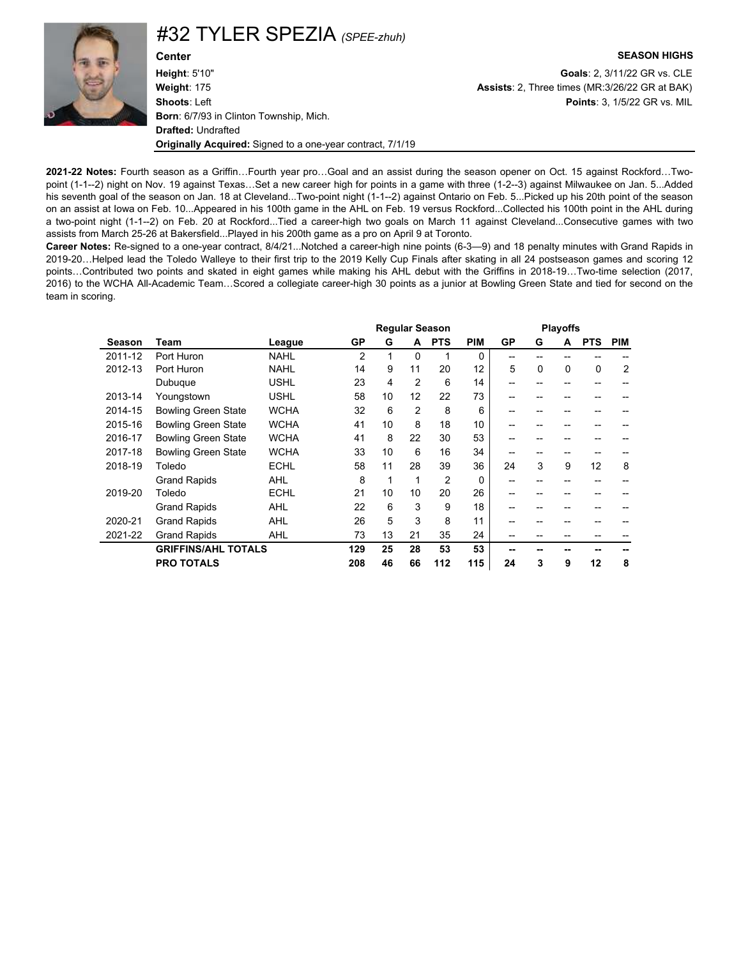

#32 TYLER SPEZIA *(SPEE-zhuh)*

**Height**: 5'10" **Goals**: 2, 3/11/22 GR vs. CLE **Weight**: 175 **Assists**: 2, Three times (MR:3/26/22 GR at BAK) **Shoots**: Left **Points**: 3, 1/5/22 GR vs. MIL **Born**: 6/7/93 in Clinton Township, Mich. **Drafted:** Undrafted **Originally Acquired:** Signed to a one-year contract, 7/1/19

#### **Center SEASON HIGHS**

**2021-22 Notes:** Fourth season as a Griffin…Fourth year pro…Goal and an assist during the season opener on Oct. 15 against Rockford…Twopoint (1-1--2) night on Nov. 19 against Texas…Set a new career high for points in a game with three (1-2--3) against Milwaukee on Jan. 5...Added his seventh goal of the season on Jan. 18 at Cleveland...Two-point night (1-1--2) against Ontario on Feb. 5...Picked up his 20th point of the season on an assist at Iowa on Feb. 10...Appeared in his 100th game in the AHL on Feb. 19 versus Rockford...Collected his 100th point in the AHL during a two-point night (1-1--2) on Feb. 20 at Rockford...Tied a career-high two goals on March 11 against Cleveland...Consecutive games with two assists from March 25-26 at Bakersfield...Played in his 200th game as a pro on April 9 at Toronto.

**Career Notes:** Re-signed to a one-year contract, 8/4/21...Notched a career-high nine points (6-3—9) and 18 penalty minutes with Grand Rapids in 2019-20…Helped lead the Toledo Walleye to their first trip to the 2019 Kelly Cup Finals after skating in all 24 postseason games and scoring 12 points…Contributed two points and skated in eight games while making his AHL debut with the Griffins in 2018-19…Two-time selection (2017, 2016) to the WCHA All-Academic Team…Scored a collegiate career-high 30 points as a junior at Bowling Green State and tied for second on the team in scoring.

|         |                            |             |                |    |                | <b>Regular Season</b> |            |    |          | <b>Playoffs</b> |            |            |
|---------|----------------------------|-------------|----------------|----|----------------|-----------------------|------------|----|----------|-----------------|------------|------------|
| Season  | Team                       | League      | GP             | G  | A              | <b>PTS</b>            | <b>PIM</b> | GP | G        | A               | <b>PTS</b> | <b>PIM</b> |
| 2011-12 | Port Huron                 | <b>NAHL</b> | $\overline{2}$ |    | $\Omega$       | 1                     | $\Omega$   | -- |          |                 |            |            |
| 2012-13 | Port Huron                 | <b>NAHL</b> | 14             | 9  | 11             | 20                    | 12         | 5  | $\Omega$ | $\Omega$        | 0          | 2          |
|         | Dubuque                    | <b>USHL</b> | 23             | 4  | $\overline{2}$ | 6                     | 14         | -- |          |                 | --         |            |
| 2013-14 | Youngstown                 | <b>USHL</b> | 58             | 10 | 12             | 22                    | 73         | -- |          |                 |            |            |
| 2014-15 | <b>Bowling Green State</b> | <b>WCHA</b> | 32             | 6  | $\overline{2}$ | 8                     | 6          | -- |          |                 |            |            |
| 2015-16 | <b>Bowling Green State</b> | <b>WCHA</b> | 41             | 10 | 8              | 18                    | 10         | -- |          |                 |            |            |
| 2016-17 | <b>Bowling Green State</b> | <b>WCHA</b> | 41             | 8  | 22             | 30                    | 53         | -- |          |                 |            |            |
| 2017-18 | <b>Bowling Green State</b> | <b>WCHA</b> | 33             | 10 | 6              | 16                    | 34         | -- | --       | --              | --         |            |
| 2018-19 | Toledo                     | <b>ECHL</b> | 58             | 11 | 28             | 39                    | 36         | 24 | 3        | 9               | 12         | 8          |
|         | <b>Grand Rapids</b>        | <b>AHL</b>  | 8              | 1  | 1              | $\overline{2}$        | $\Omega$   | -- |          |                 |            |            |
| 2019-20 | Toledo                     | <b>ECHL</b> | 21             | 10 | 10             | 20                    | 26         | -- | --       |                 | --         |            |
|         | <b>Grand Rapids</b>        | <b>AHL</b>  | 22             | 6  | 3              | 9                     | 18         | -- |          |                 |            |            |
| 2020-21 | <b>Grand Rapids</b>        | <b>AHL</b>  | 26             | 5  | 3              | 8                     | 11         |    |          |                 |            |            |
| 2021-22 | <b>Grand Rapids</b>        | <b>AHL</b>  | 73             | 13 | 21             | 35                    | 24         |    |          |                 |            |            |
|         | <b>GRIFFINS/AHL TOTALS</b> |             | 129            | 25 | 28             | 53                    | 53         | -- |          |                 |            |            |
|         | <b>PRO TOTALS</b>          |             | 208            | 46 | 66             | 112                   | 115        | 24 | 3        | 9               | 12         | 8          |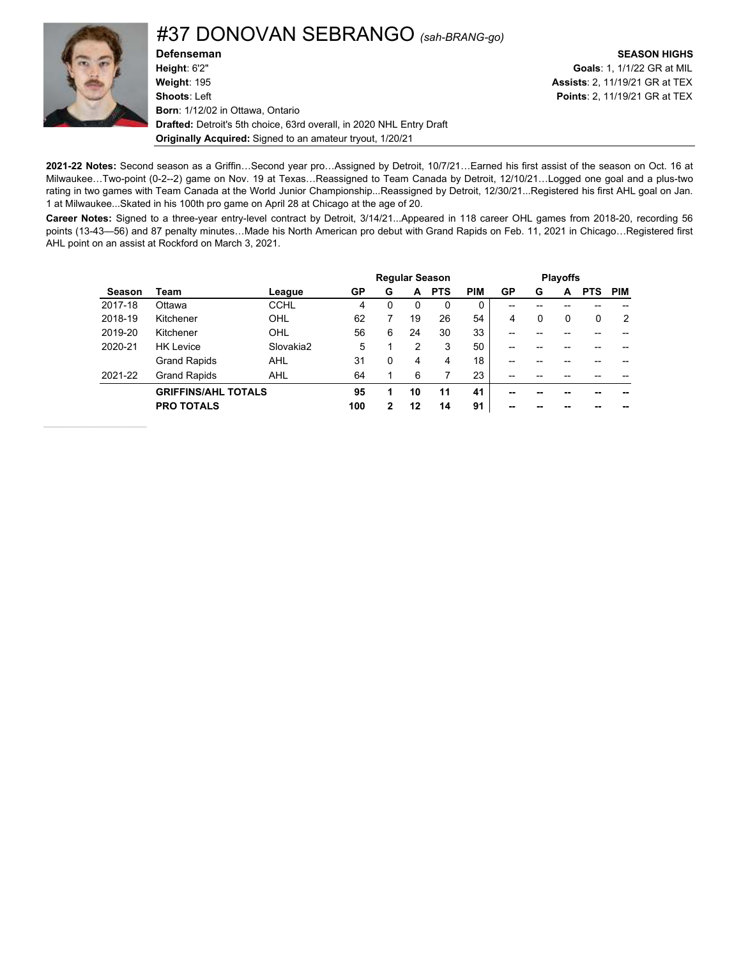

### #37 DONOVAN SEBRANGO *(sah-BRANG-go)*

**Defenseman SEASON HIGHS**<br> **Height**: 6'2" **Coals: 1, 1/1/22 GR** at MIL **Weight**: 195 **Assists**: 2, 11/19/21 GR at TEX **Shoots**: Left **Points**: 2, 11/19/21 GR at TEX **Born**: 1/12/02 in Ottawa, Ontario **Drafted:** Detroit's 5th choice, 63rd overall, in 2020 NHL Entry Draft **Originally Acquired:** Signed to an amateur tryout, 1/20/21

**Goals**: 1, 1/1/22 GR at MIL

**2021-22 Notes:** Second season as a Griffin…Second year pro…Assigned by Detroit, 10/7/21…Earned his first assist of the season on Oct. 16 at Milwaukee…Two-point (0-2--2) game on Nov. 19 at Texas…Reassigned to Team Canada by Detroit, 12/10/21…Logged one goal and a plus-two rating in two games with Team Canada at the World Junior Championship...Reassigned by Detroit, 12/30/21...Registered his first AHL goal on Jan. 1 at Milwaukee...Skated in his 100th pro game on April 28 at Chicago at the age of 20.

**Career Notes:** Signed to a three-year entry-level contract by Detroit, 3/14/21...Appeared in 118 career OHL games from 2018-20, recording 56 points (13-43—56) and 87 penalty minutes…Made his North American pro debut with Grand Rapids on Feb. 11, 2021 in Chicago…Registered first AHL point on an assist at Rockford on March 3, 2021.

|         |                            |             |     |   |    | <b>Regular Season</b> |            |    |          | <b>Playoffs</b> |            |                |
|---------|----------------------------|-------------|-----|---|----|-----------------------|------------|----|----------|-----------------|------------|----------------|
| Season  | Team                       | League      | GP  | G | A  | <b>PTS</b>            | <b>PIM</b> | GP | G        | A               | <b>PTS</b> | PIM            |
| 2017-18 | Ottawa                     | <b>CCHL</b> | 4   | 0 | 0  | 0                     | 0          | -- |          |                 |            |                |
| 2018-19 | Kitchener                  | OHL         | 62  |   | 19 | 26                    | 54         | 4  | $\Omega$ | $\Omega$        | 0          | $\overline{2}$ |
| 2019-20 | Kitchener                  | OHL         | 56  | 6 | 24 | 30                    | 33         | -- |          |                 |            |                |
| 2020-21 | <b>HK Levice</b>           | Slovakia2   | 5   |   | 2  | 3                     | 50         | -- |          |                 |            |                |
|         | <b>Grand Rapids</b>        | <b>AHL</b>  | 31  | 0 | 4  | 4                     | 18         | -- |          |                 |            |                |
| 2021-22 | <b>Grand Rapids</b>        | <b>AHL</b>  | 64  |   | 6  |                       | 23         |    |          |                 |            |                |
|         | <b>GRIFFINS/AHL TOTALS</b> |             | 95  | 1 | 10 | 11                    | 41         | -- |          |                 |            |                |
|         | <b>PRO TOTALS</b>          |             | 100 | 2 | 12 | 14                    | 91         | -- |          |                 |            |                |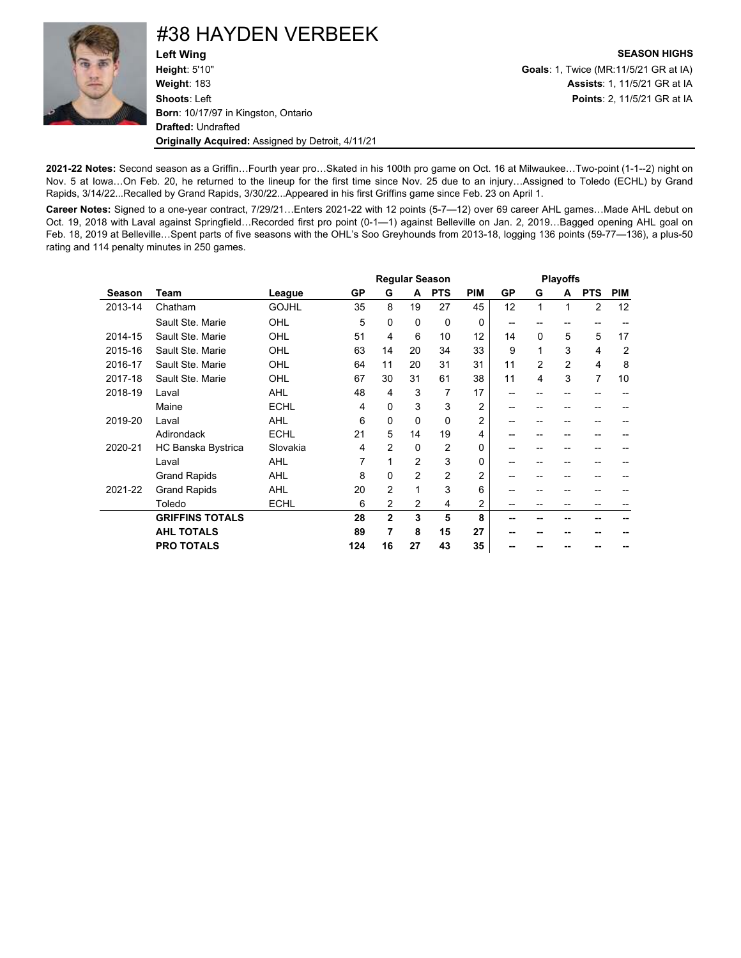

### #38 HAYDEN VERBEEK

**Left Wing SEASON HIGHS Height**: 5'10" **Goals**: 1, Twice (MR:11/5/21 GR at IA) **Weight**: 183 **Assists**: 1, 11/5/21 GR at IA **Shoots**: Left **Points**: 2, 11/5/21 GR at IA **Born**: 10/17/97 in Kingston, Ontario **Drafted:** Undrafted **Originally Acquired:** Assigned by Detroit, 4/11/21

**2021-22 Notes:** Second season as a Griffin…Fourth year pro…Skated in his 100th pro game on Oct. 16 at Milwaukee…Two-point (1-1--2) night on Nov. 5 at Iowa…On Feb. 20, he returned to the lineup for the first time since Nov. 25 due to an injury…Assigned to Toledo (ECHL) by Grand Rapids, 3/14/22...Recalled by Grand Rapids, 3/30/22...Appeared in his first Griffins game since Feb. 23 on April 1.

**Career Notes:** Signed to a one-year contract, 7/29/21…Enters 2021-22 with 12 points (5-7—12) over 69 career AHL games…Made AHL debut on Oct. 19, 2018 with Laval against Springfield…Recorded first pro point (0-1—1) against Belleville on Jan. 2, 2019…Bagged opening AHL goal on Feb. 18, 2019 at Belleville…Spent parts of five seasons with the OHL's Soo Greyhounds from 2013-18, logging 136 points (59-77—136), a plus-50 rating and 114 penalty minutes in 250 games.

|               |                        |              |     |                |          | <b>Regular Season</b> |                |    | <b>Playoffs</b> |    |                |                |  |  |
|---------------|------------------------|--------------|-----|----------------|----------|-----------------------|----------------|----|-----------------|----|----------------|----------------|--|--|
| <b>Season</b> | Team                   | League       | GP  | G              | A        | <b>PTS</b>            | <b>PIM</b>     | GP | G               | A  | <b>PTS</b>     | <b>PIM</b>     |  |  |
| 2013-14       | Chatham                | <b>GOJHL</b> | 35  | 8              | 19       | 27                    | 45             | 12 | 1               | 1  | $\overline{2}$ | 12             |  |  |
|               | Sault Ste. Marie       | OHL          | 5   | $\Omega$       | $\Omega$ | 0                     | 0              | -- |                 |    | --             |                |  |  |
| 2014-15       | Sault Ste. Marie       | OHL          | 51  | 4              | 6        | 10                    | 12             | 14 | $\Omega$        | 5  | 5              | 17             |  |  |
| 2015-16       | Sault Ste, Marie       | OHL          | 63  | 14             | 20       | 34                    | 33             | 9  | 1               | 3  | 4              | $\overline{2}$ |  |  |
| 2016-17       | Sault Ste, Marie       | OHL          | 64  | 11             | 20       | 31                    | 31             | 11 | $\overline{2}$  | 2  | 4              | 8              |  |  |
| 2017-18       | Sault Ste. Marie       | OHL          | 67  | 30             | 31       | 61                    | 38             | 11 | 4               | 3  | 7              | 10             |  |  |
| 2018-19       | Laval                  | <b>AHL</b>   | 48  | 4              | 3        | 7                     | 17             | -- |                 |    |                |                |  |  |
|               | Maine                  | <b>ECHL</b>  | 4   | $\Omega$       | 3        | 3                     | 2              | -- |                 |    |                |                |  |  |
| 2019-20       | Laval                  | <b>AHL</b>   | 6   | 0              | $\Omega$ | $\Omega$              | 2              | -- |                 |    | --             |                |  |  |
|               | Adirondack             | <b>ECHL</b>  | 21  | 5              | 14       | 19                    | 4              | -- | --              | -- | --             |                |  |  |
| 2020-21       | HC Banska Bystrica     | Slovakia     | 4   | $\overline{2}$ | $\Omega$ | $\overline{2}$        | 0              | -- | --              | -- | --             |                |  |  |
|               | Laval                  | <b>AHL</b>   | 7   | 1              | 2        | 3                     | 0              | -- | --              | -- | --             |                |  |  |
|               | <b>Grand Rapids</b>    | <b>AHL</b>   | 8   | $\Omega$       | 2        | $\overline{2}$        | $\overline{2}$ | -- | --              | -- | --             |                |  |  |
| 2021-22       | <b>Grand Rapids</b>    | <b>AHL</b>   | 20  | $\overline{2}$ | 1        | 3                     | 6              |    |                 |    |                |                |  |  |
|               | Toledo                 | <b>ECHL</b>  | 6   | 2              | 2        | 4                     | 2              |    |                 |    |                |                |  |  |
|               | <b>GRIFFINS TOTALS</b> |              | 28  | $\mathbf{2}$   | 3        | 5                     | 8              |    |                 |    |                |                |  |  |
|               | <b>AHL TOTALS</b>      |              | 89  | 7              | 8        | 15                    | 27             |    |                 |    |                |                |  |  |
|               | <b>PRO TOTALS</b>      |              | 124 | 16             | 27       | 43                    | 35             |    |                 |    |                |                |  |  |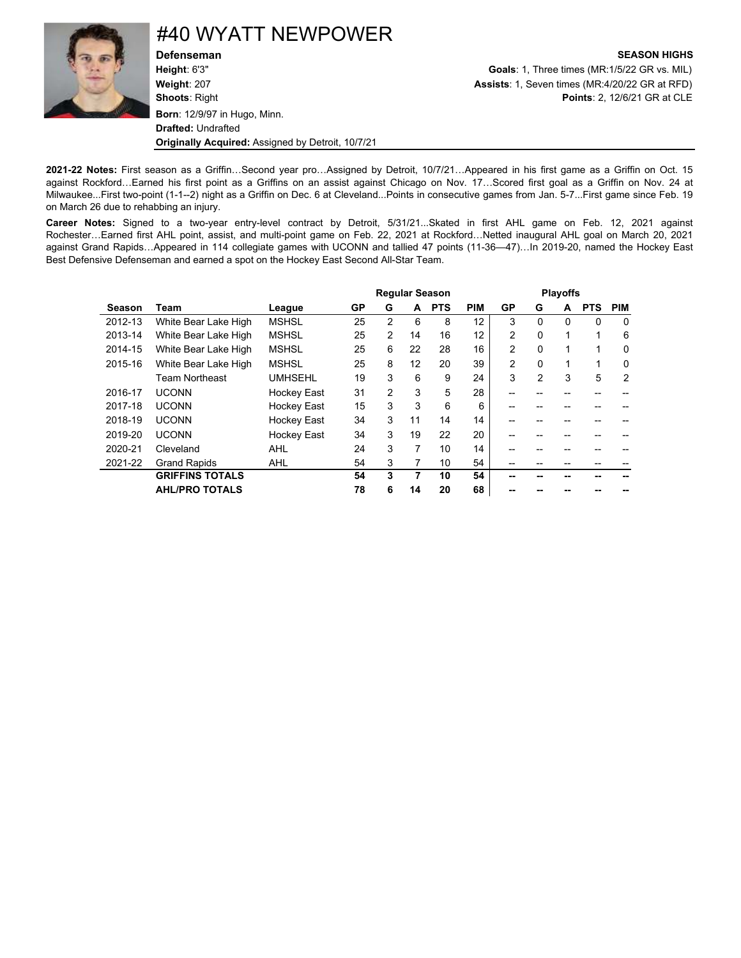

## #40 WYATT NEWPOWER

**Defenseman SEASON HIGHS Height**: 6'3" **Goals**: 1, Three times (MR:1/5/22 GR vs. MIL) **Weight**: 207 **Assists**: 1, Seven times (MR:4/20/22 GR at RFD) **Shoots**: Right **Points**: 2, 12/6/21 GR at CLE **Born**: 12/9/97 in Hugo, Minn. **Drafted:** Undrafted **Originally Acquired:** Assigned by Detroit, 10/7/21

**2021-22 Notes:** First season as a Griffin…Second year pro…Assigned by Detroit, 10/7/21…Appeared in his first game as a Griffin on Oct. 15 against Rockford…Earned his first point as a Griffins on an assist against Chicago on Nov. 17…Scored first goal as a Griffin on Nov. 24 at Milwaukee...First two-point (1-1--2) night as a Griffin on Dec. 6 at Cleveland...Points in consecutive games from Jan. 5-7...First game since Feb. 19 on March 26 due to rehabbing an injury.

**Career Notes:** Signed to a two-year entry-level contract by Detroit, 5/31/21...Skated in first AHL game on Feb. 12, 2021 against Rochester…Earned first AHL point, assist, and multi-point game on Feb. 22, 2021 at Rockford…Netted inaugural AHL goal on March 20, 2021 against Grand Rapids…Appeared in 114 collegiate games with UCONN and tallied 47 points (11-36—47)…In 2019-20, named the Hockey East Best Defensive Defenseman and earned a spot on the Hockey East Second All-Star Team.

|         |                        |                    |    | <b>Playoffs</b> |    |            |            |                |                |          |            |                |
|---------|------------------------|--------------------|----|-----------------|----|------------|------------|----------------|----------------|----------|------------|----------------|
| Season  | Team                   | League             | GP | G               | A  | <b>PTS</b> | <b>PIM</b> | GP             | G              | A        | <b>PTS</b> | <b>PIM</b>     |
| 2012-13 | White Bear Lake High   | <b>MSHSL</b>       | 25 | $\mathcal{P}$   | 6  | 8          | 12         | 3              | $\Omega$       | $\Omega$ | $\Omega$   | $\Omega$       |
| 2013-14 | White Bear Lake High   | <b>MSHSL</b>       | 25 | 2               | 14 | 16         | 12         | $\overline{2}$ | $\Omega$       | 1        | 1          | 6              |
| 2014-15 | White Bear Lake High   | <b>MSHSL</b>       | 25 | 6               | 22 | 28         | 16         | $\overline{2}$ | $\Omega$       | 1        | 1          | 0              |
| 2015-16 | White Bear Lake High   | <b>MSHSL</b>       | 25 | 8               | 12 | 20         | 39         | $\overline{2}$ | $\Omega$       | 1        | 1          | 0              |
|         | <b>Team Northeast</b>  | <b>UMHSEHL</b>     | 19 | 3               | 6  | 9          | 24         | 3              | $\overline{2}$ | 3        | 5          | $\overline{2}$ |
| 2016-17 | <b>UCONN</b>           | Hockey East        | 31 | 2               | 3  | 5          | 28         |                |                |          |            |                |
| 2017-18 | <b>UCONN</b>           | Hockey East        | 15 | 3               | 3  | 6          | 6          |                |                |          |            |                |
| 2018-19 | <b>UCONN</b>           | <b>Hockey East</b> | 34 | 3               | 11 | 14         | 14         |                |                |          |            |                |
| 2019-20 | <b>UCONN</b>           | <b>Hockey East</b> | 34 | 3               | 19 | 22         | 20         |                |                |          |            |                |
| 2020-21 | Cleveland              | <b>AHL</b>         | 24 | 3               | 7  | 10         | 14         |                |                |          |            |                |
| 2021-22 | <b>Grand Rapids</b>    | <b>AHL</b>         | 54 | 3               | 7  | 10         | 54         |                |                |          |            |                |
|         | <b>GRIFFINS TOTALS</b> |                    | 54 | 3               | 7  | 10         | 54         |                |                |          |            |                |
|         | <b>AHL/PRO TOTALS</b>  |                    | 78 | 6               | 14 | 20         | 68         |                |                |          |            |                |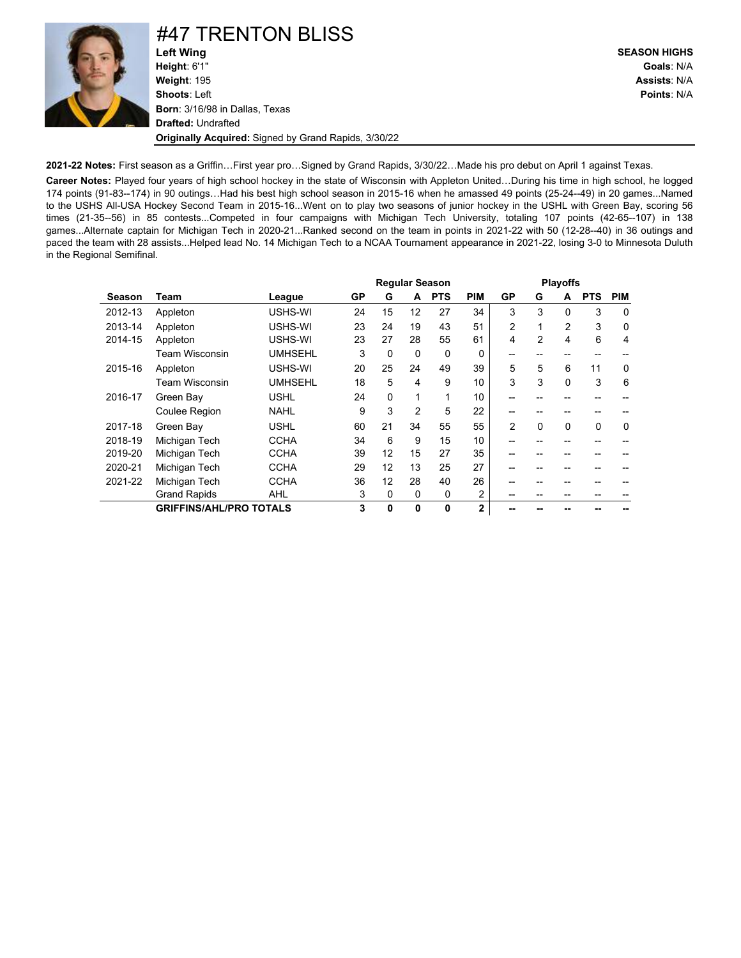

# #47 TRENTON BLISS<br>Left Wing

**Left Wing SEASON HIGHS Height**: 6'1" **Goals**: N/A **Weight**: 195 **Assists**: N/A **Shoots**: Left **Points**: N/A **Born**: 3/16/98 in Dallas, Texas **Drafted:** Undrafted **Originally Acquired:** Signed by Grand Rapids, 3/30/22

**2021-22 Notes:** First season as a Griffin…First year pro…Signed by Grand Rapids, 3/30/22…Made his pro debut on April 1 against Texas.

**Career Notes:** Played four years of high school hockey in the state of Wisconsin with Appleton United…During his time in high school, he logged 174 points (91-83--174) in 90 outings…Had his best high school season in 2015-16 when he amassed 49 points (25-24--49) in 20 games...Named to the USHS All-USA Hockey Second Team in 2015-16...Went on to play two seasons of junior hockey in the USHL with Green Bay, scoring 56 times (21-35--56) in 85 contests...Competed in four campaigns with Michigan Tech University, totaling 107 points (42-65--107) in 138 games...Alternate captain for Michigan Tech in 2020-21...Ranked second on the team in points in 2021-22 with 50 (12-28--40) in 36 outings and paced the team with 28 assists...Helped lead No. 14 Michigan Tech to a NCAA Tournament appearance in 2021-22, losing 3-0 to Minnesota Duluth in the Regional Semifinal.

|         |                                |                |    | <b>Regular Season</b> |                |            |                |                | <b>Playoffs</b> |                |             |          |  |  |
|---------|--------------------------------|----------------|----|-----------------------|----------------|------------|----------------|----------------|-----------------|----------------|-------------|----------|--|--|
| Season  | Team                           | League         | GP | G                     | A              | <b>PTS</b> | <b>PIM</b>     | GP             | G               | A              | <b>PTS</b>  | PIM      |  |  |
| 2012-13 | Appleton                       | USHS-WI        | 24 | 15                    | 12             | 27         | 34             | 3              | 3               | $\Omega$       | 3           | $\Omega$ |  |  |
| 2013-14 | Appleton                       | USHS-WI        | 23 | 24                    | 19             | 43         | 51             | $\overline{2}$ | 1               | $\overline{2}$ | 3           | 0        |  |  |
| 2014-15 | Appleton                       | USHS-WI        | 23 | 27                    | 28             | 55         | 61             | 4              | $\overline{2}$  | 4              | 6           | 4        |  |  |
|         | Team Wisconsin                 | <b>UMHSEHL</b> | 3  | $\mathbf 0$           | $\mathbf 0$    | 0          | $\Omega$       |                |                 |                |             |          |  |  |
| 2015-16 | Appleton                       | USHS-WI        | 20 | 25                    | 24             | 49         | 39             | 5              | 5               | 6              | 11          | 0        |  |  |
|         | <b>Team Wisconsin</b>          | <b>UMHSEHL</b> | 18 | 5                     | 4              | 9          | 10             | 3              | 3               | $\Omega$       | 3           | 6        |  |  |
| 2016-17 | Green Bay                      | <b>USHL</b>    | 24 | 0                     | 1              | 1          | 10             |                |                 |                |             |          |  |  |
|         | <b>Coulee Region</b>           | <b>NAHL</b>    | 9  | 3                     | $\overline{2}$ | 5          | 22             | --             |                 |                |             |          |  |  |
| 2017-18 | Green Bay                      | <b>USHL</b>    | 60 | 21                    | 34             | 55         | 55             | $\overline{2}$ | $\Omega$        | $\Omega$       | $\mathbf 0$ | 0        |  |  |
| 2018-19 | Michigan Tech                  | <b>CCHA</b>    | 34 | 6                     | 9              | 15         | 10             |                |                 |                |             |          |  |  |
| 2019-20 | Michigan Tech                  | <b>CCHA</b>    | 39 | 12                    | 15             | 27         | 35             |                |                 |                |             |          |  |  |
| 2020-21 | Michigan Tech                  | <b>CCHA</b>    | 29 | 12                    | 13             | 25         | 27             |                |                 |                |             |          |  |  |
| 2021-22 | Michigan Tech                  | <b>CCHA</b>    | 36 | 12                    | 28             | 40         | 26             |                |                 |                |             |          |  |  |
|         | <b>Grand Rapids</b>            | AHL            | 3  | 0                     | 0              | 0          | $\overline{2}$ |                |                 |                |             |          |  |  |
|         | <b>GRIFFINS/AHL/PRO TOTALS</b> |                | 3  | 0                     | 0              | 0          | $\mathbf{2}$   |                |                 |                |             |          |  |  |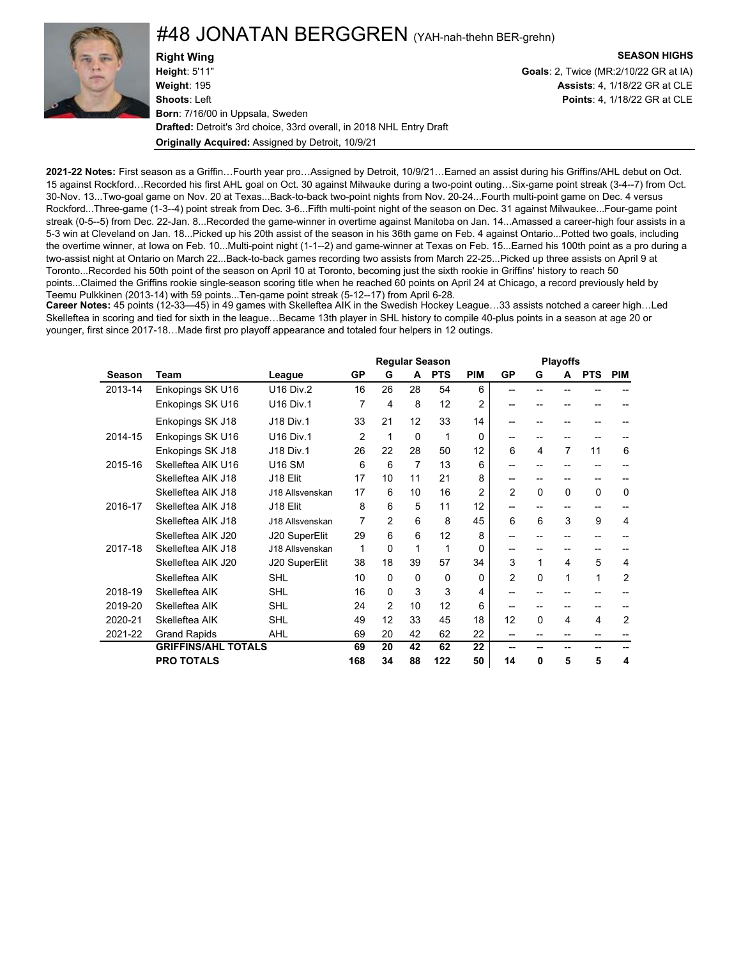### #48 JONATAN BERGGREN (YAH-nah-thehn BER-grehn)

**Right Wing SEASON HIGHS Height**: 5'11" **Goals**: 2, Twice (MR:2/10/22 GR at IA) **Weight**: 195 **Assists**: 4, 1/18/22 GR at CLE **Shoots**: Left **Points**: 4, 1/18/22 GR at CLE **Born**: 7/16/00 in Uppsala, Sweden **Drafted:** Detroit's 3rd choice, 33rd overall, in 2018 NHL Entry Draft **Originally Acquired:** Assigned by Detroit, 10/9/21

**2021-22 Notes:** First season as a Griffin…Fourth year pro…Assigned by Detroit, 10/9/21…Earned an assist during his Griffins/AHL debut on Oct. 15 against Rockford…Recorded his first AHL goal on Oct. 30 against Milwauke during a two-point outing…Six-game point streak (3-4--7) from Oct. 30-Nov. 13...Two-goal game on Nov. 20 at Texas...Back-to-back two-point nights from Nov. 20-24...Fourth multi-point game on Dec. 4 versus Rockford...Three-game (1-3--4) point streak from Dec. 3-6...Fifth multi-point night of the season on Dec. 31 against Milwaukee...Four-game point streak (0-5--5) from Dec. 22-Jan. 8...Recorded the game-winner in overtime against Manitoba on Jan. 14...Amassed a career-high four assists in a 5-3 win at Cleveland on Jan. 18...Picked up his 20th assist of the season in his 36th game on Feb. 4 against Ontario...Potted two goals, including the overtime winner, at Iowa on Feb. 10...Multi-point night (1-1--2) and game-winner at Texas on Feb. 15...Earned his 100th point as a pro during a two-assist night at Ontario on March 22...Back-to-back games recording two assists from March 22-25...Picked up three assists on April 9 at Toronto...Recorded his 50th point of the season on April 10 at Toronto, becoming just the sixth rookie in Griffins' history to reach 50 points...Claimed the Griffins rookie single-season scoring title when he reached 60 points on April 24 at Chicago, a record previously held by Teemu Pulkkinen (2013-14) with 59 points...Ten-game point streak (5-12--17) from April 6-28.

**Career Notes:** 45 points (12-33—45) in 49 games with Skelleftea AIK in the Swedish Hockey League…33 assists notched a career high…Led Skelleftea in scoring and tied for sixth in the league…Became 13th player in SHL history to compile 40-plus points in a season at age 20 or younger, first since 2017-18…Made first pro playoff appearance and totaled four helpers in 12 outings.

|         |                            |                  |                |                 |          | <b>Regular Season</b> |                |                | <b>Playoffs</b> |                |            |                |
|---------|----------------------------|------------------|----------------|-----------------|----------|-----------------------|----------------|----------------|-----------------|----------------|------------|----------------|
| Season  | Team                       | League           | GP             | G               | A        | <b>PTS</b>            | <b>PIM</b>     | GP             | G               | A              | <b>PTS</b> | <b>PIM</b>     |
| 2013-14 | Enkopings SK U16           | <b>U16 Div.2</b> | 16             | 26              | 28       | 54                    | 6              | --             | --              |                |            |                |
|         | Enkopings SK U16           | <b>U16 Div.1</b> | 7              | 4               | 8        | 12                    | $\overline{2}$ |                | --              | --             | --         |                |
|         | Enkopings SK J18           | <b>J18 Div.1</b> | 33             | 21              | 12       | 33                    | 14             |                | --              | --             |            |                |
| 2014-15 | Enkopings SK U16           | <b>U16 Div.1</b> | $\overline{2}$ | 1               | $\Omega$ | 1                     | $\Omega$       | --             | --              | --             |            |                |
|         | Enkopings SK J18           | <b>J18 Div.1</b> | 26             | 22              | 28       | 50                    | 12             | 6              | 4               | $\overline{7}$ | 11         | 6              |
| 2015-16 | Skelleftea AIK U16         | <b>U16 SM</b>    | 6              | 6               | 7        | 13                    | 6              |                |                 |                |            |                |
|         | Skelleftea AIK J18         | J18 Elit         | 17             | 10              | 11       | 21                    | 8              |                |                 |                | --         |                |
|         | Skelleftea AIK J18         | J18 Allsvenskan  | 17             | 6               | 10       | 16                    | $\overline{2}$ | $\overline{2}$ | 0               | 0              | $\Omega$   | $\Omega$       |
| 2016-17 | Skelleftea AIK J18         | J18 Elit         | 8              | 6               | 5        | 11                    | 12             |                |                 | $-$            | --         |                |
|         | Skelleftea AIK J18         | J18 Allsvenskan  | 7              | 2               | 6        | 8                     | 45             | 6              | 6               | 3              | 9          | 4              |
|         | Skelleftea AIK J20         | J20 SuperElit    | 29             | 6               | 6        | 12                    | 8              | --             |                 |                |            |                |
| 2017-18 | Skelleftea AIK J18         | J18 Allsvenskan  | 1              | $\Omega$        | 1        | 1                     | $\Omega$       |                |                 |                |            |                |
|         | Skelleftea AIK J20         | J20 SuperElit    | 38             | 18              | 39       | 57                    | 34             | 3              | 1               | 4              | 5          | 4              |
|         | Skelleftea AIK             | <b>SHL</b>       | 10             | $\Omega$        | $\Omega$ | 0                     | $\Omega$       | $\overline{2}$ | $\Omega$        | 1              | 1          | $\overline{2}$ |
| 2018-19 | Skelleftea AIK             | <b>SHL</b>       | 16             | $\Omega$        | 3        | 3                     | 4              | --             |                 |                |            |                |
| 2019-20 | Skelleftea AIK             | <b>SHL</b>       | 24             | 2               | 10       | 12                    | 6              |                |                 |                |            |                |
| 2020-21 | Skelleftea AIK             | <b>SHL</b>       | 49             | 12 <sup>2</sup> | 33       | 45                    | 18             | 12             | $\mathbf{0}$    | 4              | 4          | 2              |
| 2021-22 | <b>Grand Rapids</b>        | <b>AHL</b>       | 69             | 20              | 42       | 62                    | 22             | --             |                 |                | --         |                |
|         | <b>GRIFFINS/AHL TOTALS</b> |                  | 69             | 20              | 42       | 62                    | 22             | --             |                 |                |            |                |
|         | <b>PRO TOTALS</b>          |                  | 168            | 34              | 88       | 122                   | 50             | 14             | 0               | 5              | 5          | 4              |

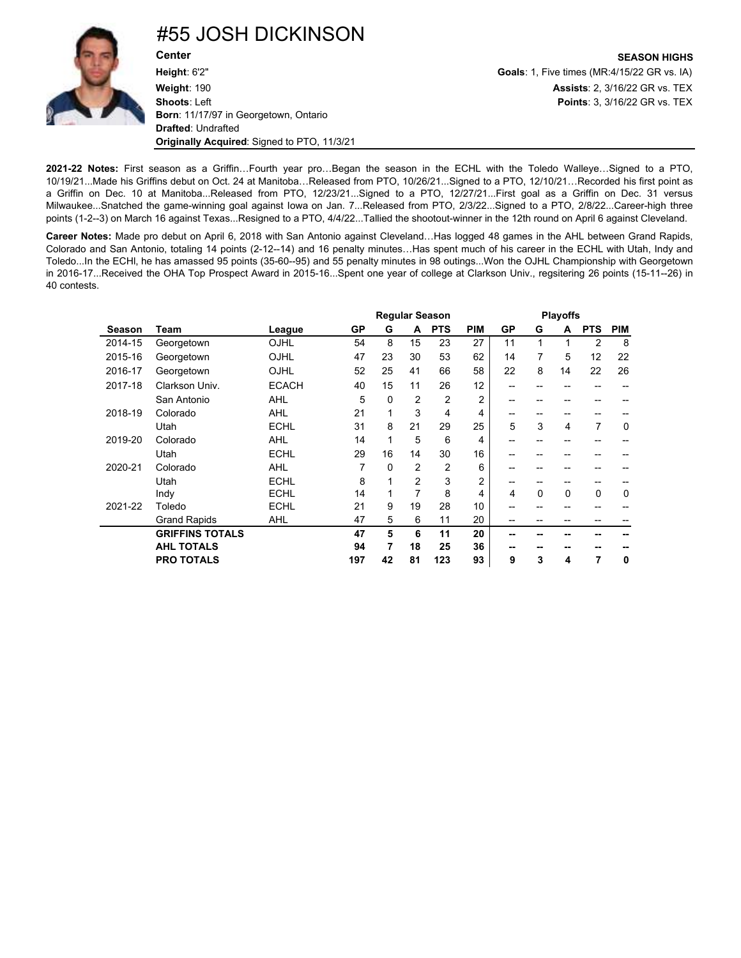

**2021-22 Notes:** First season as a Griffin…Fourth year pro…Began the season in the ECHL with the Toledo Walleye…Signed to a PTO, 10/19/21...Made his Griffins debut on Oct. 24 at Manitoba…Released from PTO, 10/26/21...Signed to a PTO, 12/10/21…Recorded his first point as a Griffin on Dec. 10 at Manitoba...Released from PTO, 12/23/21...Signed to a PTO, 12/27/21...First goal as a Griffin on Dec. 31 versus Milwaukee...Snatched the game-winning goal against Iowa on Jan. 7...Released from PTO, 2/3/22...Signed to a PTO, 2/8/22...Career-high three points (1-2--3) on March 16 against Texas...Resigned to a PTO, 4/4/22...Tallied the shootout-winner in the 12th round on April 6 against Cleveland.

**Career Notes:** Made pro debut on April 6, 2018 with San Antonio against Cleveland…Has logged 48 games in the AHL between Grand Rapids, Colorado and San Antonio, totaling 14 points (2-12--14) and 16 penalty minutes…Has spent much of his career in the ECHL with Utah, Indy and Toledo...In the ECHl, he has amassed 95 points (35-60--95) and 55 penalty minutes in 98 outings...Won the OJHL Championship with Georgetown in 2016-17...Received the OHA Top Prospect Award in 2015-16...Spent one year of college at Clarkson Univ., regsitering 26 points (15-11--26) in 40 contests.

|         |                        |              |     | <b>Regular Season</b> |                |                |                |           |    | <b>Playoffs</b> |                |            |  |  |  |
|---------|------------------------|--------------|-----|-----------------------|----------------|----------------|----------------|-----------|----|-----------------|----------------|------------|--|--|--|
| Season  | Team                   | League       | GP  | G                     | A              | <b>PTS</b>     | <b>PIM</b>     | <b>GP</b> | G  | A               | <b>PTS</b>     | <b>PIM</b> |  |  |  |
| 2014-15 | Georgetown             | OJHL         | 54  | 8                     | 15             | 23             | 27             | 11        | 1  | 1               | 2              | 8          |  |  |  |
| 2015-16 | Georgetown             | OJHL         | 47  | 23                    | 30             | 53             | 62             | 14        | 7  | 5               | 12             | 22         |  |  |  |
| 2016-17 | Georgetown             | OJHL         | 52  | 25                    | 41             | 66             | 58             | 22        | 8  | 14              | 22             | 26         |  |  |  |
| 2017-18 | Clarkson Univ.         | <b>ECACH</b> | 40  | 15                    | 11             | 26             | 12             | --        | -- |                 | --             |            |  |  |  |
|         | San Antonio            | <b>AHL</b>   | 5   | 0                     | $\overline{2}$ | $\overline{2}$ | 2              | --        | -- | --              | --             |            |  |  |  |
| 2018-19 | Colorado               | <b>AHL</b>   | 21  | 1                     | 3              | 4              | 4              | --        | -- | --              | --             |            |  |  |  |
|         | Utah                   | <b>ECHL</b>  | 31  | 8                     | 21             | 29             | 25             | 5         | 3  | 4               | $\overline{7}$ | 0          |  |  |  |
| 2019-20 | Colorado               | <b>AHL</b>   | 14  | 1                     | 5              | 6              | 4              | --        | -- | --              | --             |            |  |  |  |
|         | Utah                   | <b>ECHL</b>  | 29  | 16                    | 14             | 30             | 16             | --        | -- | --              | --             |            |  |  |  |
| 2020-21 | Colorado               | <b>AHL</b>   | 7   | 0                     | $\overline{2}$ | $\overline{2}$ | 6              | --        | -- |                 | --             |            |  |  |  |
|         | Utah                   | <b>ECHL</b>  | 8   | 1                     | $\overline{2}$ | 3              | $\overline{2}$ | --        | -- |                 | --             |            |  |  |  |
|         | Indy                   | <b>ECHL</b>  | 14  |                       | 7              | 8              | 4              | 4         | 0  | 0               | 0              | 0          |  |  |  |
| 2021-22 | Toledo                 | <b>ECHL</b>  | 21  | 9                     | 19             | 28             | 10             | --        | -- | --              | --             |            |  |  |  |
|         | <b>Grand Rapids</b>    | <b>AHL</b>   | 47  | 5                     | 6              | 11             | 20             | --        | -- | --              | --             |            |  |  |  |
|         | <b>GRIFFINS TOTALS</b> |              | 47  | 5                     | 6              | 11             | 20             | --        | -- |                 |                |            |  |  |  |
|         | <b>AHL TOTALS</b>      |              | 94  | 7                     | 18             | 25             | 36             | --        | -- | --              |                |            |  |  |  |
|         | <b>PRO TOTALS</b>      |              | 197 | 42                    | 81             | 123            | 93             | 9         | 3  | 4               | 7              | 0          |  |  |  |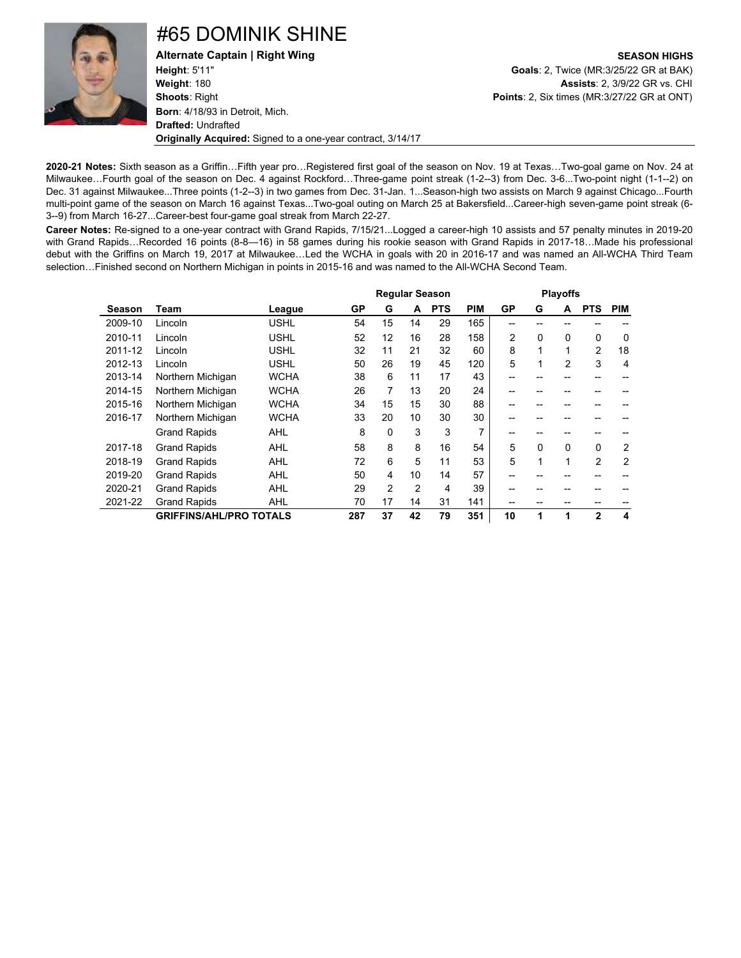

### #65 DOMINIK SHINE

**Height**: 5'11" **Goals**: 2, Twice (MR:3/25/22 GR at BAK) **Weight**: 180 **Assists**: 2, 3/9/22 GR vs. CHI **Shoots**: Right **Points**: 2, Six times (MR:3/27/22 GR at ONT) **Born**: 4/18/93 in Detroit, Mich. **Drafted:** Undrafted **Originally Acquired:** Signed to a one-year contract, 3/14/17

**Alternate Captain | Right Wing SEASON HIGHS**

**2020-21 Notes:** Sixth season as a Griffin…Fifth year pro…Registered first goal of the season on Nov. 19 at Texas…Two-goal game on Nov. 24 at Milwaukee…Fourth goal of the season on Dec. 4 against Rockford…Three-game point streak (1-2--3) from Dec. 3-6...Two-point night (1-1--2) on Dec. 31 against Milwaukee...Three points (1-2--3) in two games from Dec. 31-Jan. 1...Season-high two assists on March 9 against Chicago...Fourth multi-point game of the season on March 16 against Texas...Two-goal outing on March 25 at Bakersfield...Career-high seven-game point streak (6- 3--9) from March 16-27...Career-best four-game goal streak from March 22-27.

**Career Notes:** Re-signed to a one-year contract with Grand Rapids, 7/15/21...Logged a career-high 10 assists and 57 penalty minutes in 2019-20 with Grand Rapids…Recorded 16 points (8-8—16) in 58 games during his rookie season with Grand Rapids in 2017-18…Made his professional debut with the Griffins on March 19, 2017 at Milwaukee…Led the WCHA in goals with 20 in 2016-17 and was named an All-WCHA Third Team selection…Finished second on Northern Michigan in points in 2015-16 and was named to the All-WCHA Second Team.

|         |                                |             |     | <b>Regular Season</b> |                |            |            |                |              | <b>Playoffs</b> |                |                |  |  |  |  |
|---------|--------------------------------|-------------|-----|-----------------------|----------------|------------|------------|----------------|--------------|-----------------|----------------|----------------|--|--|--|--|
| Season  | Team                           | League      | GP  | G                     | A              | <b>PTS</b> | <b>PIM</b> | GP             | G            | A               | <b>PTS</b>     | <b>PIM</b>     |  |  |  |  |
| 2009-10 | Lincoln                        | <b>USHL</b> | 54  | 15                    | 14             | 29         | 165        | --             |              |                 |                |                |  |  |  |  |
| 2010-11 | Lincoln                        | <b>USHL</b> | 52  | 12                    | 16             | 28         | 158        | $\overline{2}$ | 0            | 0               | $\mathbf 0$    | $\Omega$       |  |  |  |  |
| 2011-12 | Lincoln                        | <b>USHL</b> | 32  | 11                    | 21             | 32         | 60         | 8              | 1            | 1               | $\overline{2}$ | 18             |  |  |  |  |
| 2012-13 | Lincoln                        | <b>USHL</b> | 50  | 26                    | 19             | 45         | 120        | 5              | 1            | $\overline{2}$  | 3              | 4              |  |  |  |  |
| 2013-14 | Northern Michigan              | <b>WCHA</b> | 38  | 6                     | 11             | 17         | 43         | --             |              |                 |                |                |  |  |  |  |
| 2014-15 | Northern Michigan              | <b>WCHA</b> | 26  | 7                     | 13             | 20         | 24         |                |              |                 |                |                |  |  |  |  |
| 2015-16 | Northern Michigan              | <b>WCHA</b> | 34  | 15                    | 15             | 30         | 88         | --             |              |                 | --             |                |  |  |  |  |
| 2016-17 | Northern Michigan              | <b>WCHA</b> | 33  | 20                    | 10             | 30         | 30         |                |              |                 |                |                |  |  |  |  |
|         | <b>Grand Rapids</b>            | AHL         | 8   | 0                     | 3              | 3          | 7          | --             |              |                 |                |                |  |  |  |  |
| 2017-18 | <b>Grand Rapids</b>            | <b>AHL</b>  | 58  | 8                     | 8              | 16         | 54         | 5              | $\mathbf{0}$ | 0               | $\mathbf 0$    | 2              |  |  |  |  |
| 2018-19 | <b>Grand Rapids</b>            | <b>AHL</b>  | 72  | 6                     | 5              | 11         | 53         | 5              | 1            | 1               | $\overline{2}$ | $\overline{2}$ |  |  |  |  |
| 2019-20 | <b>Grand Rapids</b>            | <b>AHL</b>  | 50  | 4                     | 10             | 14         | 57         |                |              |                 |                |                |  |  |  |  |
| 2020-21 | <b>Grand Rapids</b>            | <b>AHL</b>  | 29  | $\overline{2}$        | $\overline{2}$ | 4          | 39         |                |              |                 |                |                |  |  |  |  |
| 2021-22 | <b>Grand Rapids</b>            | <b>AHL</b>  | 70  | 17                    | 14             | 31         | 141        |                |              |                 |                |                |  |  |  |  |
|         | <b>GRIFFINS/AHL/PRO TOTALS</b> |             | 287 | 37                    | 42             | 79         | 351        | 10             | 1            | 1               | $\mathbf{2}$   | 4              |  |  |  |  |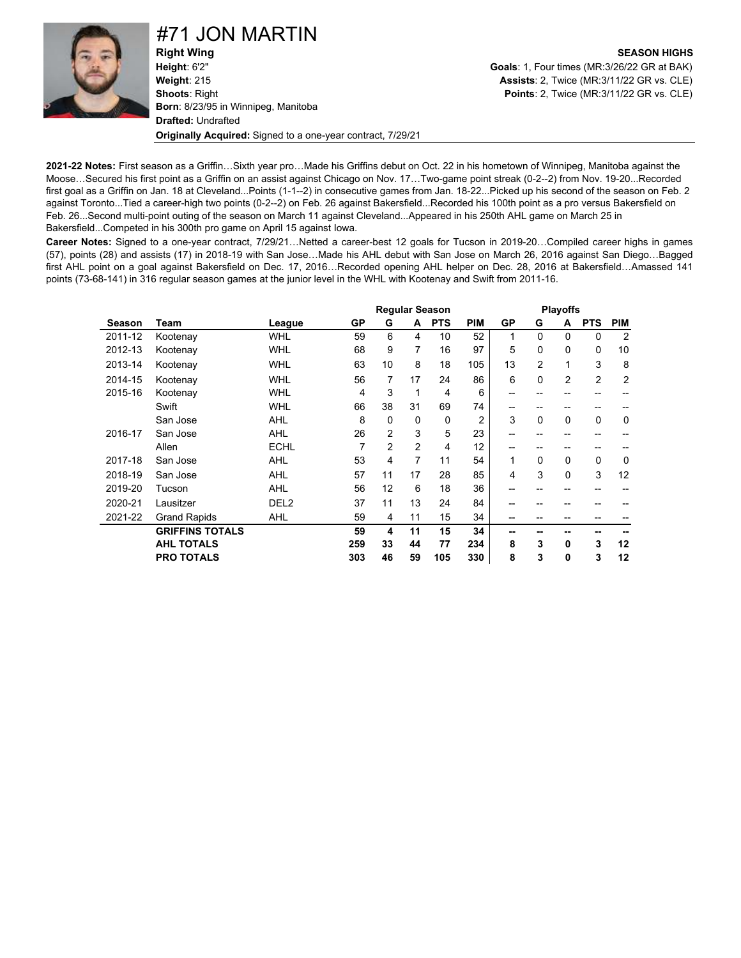#71 JON MARTIN

**Right Wing SEASON HIGHS Height**: 6'2" **Goals**: 1, Four times (MR:3/26/22 GR at BAK) **Weight**: 215 **Assists**: 2, Twice (MR:3/11/22 GR vs. CLE) **Shoots**: Right **Points**: 2, Twice (MR:3/11/22 GR vs. CLE) **Born**: 8/23/95 in Winnipeg, Manitoba **Drafted:** Undrafted **Originally Acquired:** Signed to a one-year contract, 7/29/21

**2021-22 Notes:** First season as a Griffin…Sixth year pro…Made his Griffins debut on Oct. 22 in his hometown of Winnipeg, Manitoba against the Moose…Secured his first point as a Griffin on an assist against Chicago on Nov. 17…Two-game point streak (0-2--2) from Nov. 19-20...Recorded first goal as a Griffin on Jan. 18 at Cleveland...Points (1-1--2) in consecutive games from Jan. 18-22...Picked up his second of the season on Feb. 2 against Toronto...Tied a career-high two points (0-2--2) on Feb. 26 against Bakersfield...Recorded his 100th point as a pro versus Bakersfield on Feb. 26...Second multi-point outing of the season on March 11 against Cleveland...Appeared in his 250th AHL game on March 25 in Bakersfield...Competed in his 300th pro game on April 15 against Iowa.

**Career Notes:** Signed to a one-year contract, 7/29/21…Netted a career-best 12 goals for Tucson in 2019-20…Compiled career highs in games (57), points (28) and assists (17) in 2018-19 with San Jose…Made his AHL debut with San Jose on March 26, 2016 against San Diego…Bagged first AHL point on a goal against Bakersfield on Dec. 17, 2016…Recorded opening AHL helper on Dec. 28, 2016 at Bakersfield…Amassed 141 points (73-68-141) in 316 regular season games at the junior level in the WHL with Kootenay and Swift from 2011-16.

|         |                        |                  |     | <b>Regular Season</b> |                |              |                |    |              | <b>Playoffs</b> |                |                |  |  |  |
|---------|------------------------|------------------|-----|-----------------------|----------------|--------------|----------------|----|--------------|-----------------|----------------|----------------|--|--|--|
| Season  | Team                   | League           | GP  | G                     | A              | <b>PTS</b>   | <b>PIM</b>     | GP | G            | A               | <b>PTS</b>     | <b>PIM</b>     |  |  |  |
| 2011-12 | Kootenay               | <b>WHL</b>       | 59  | 6                     | 4              | 10           | 52             | 1  | $\mathbf{0}$ | $\Omega$        | 0              | $\overline{2}$ |  |  |  |
| 2012-13 | Kootenay               | <b>WHL</b>       | 68  | 9                     | 7              | 16           | 97             | 5  | 0            | 0               | 0              | 10             |  |  |  |
| 2013-14 | Kootenay               | <b>WHL</b>       | 63  | 10                    | 8              | 18           | 105            | 13 | 2            | 1               | 3              | 8              |  |  |  |
| 2014-15 | Kootenay               | <b>WHL</b>       | 56  | $\overline{7}$        | 17             | 24           | 86             | 6  | 0            | $\overline{2}$  | $\overline{2}$ | 2              |  |  |  |
| 2015-16 | Kootenay               | <b>WHL</b>       | 4   | 3                     | 1              | 4            | 6              | -- | --           | --              | --             |                |  |  |  |
|         | Swift                  | <b>WHL</b>       | 66  | 38                    | 31             | 69           | 74             | -- | --           | --              | --             |                |  |  |  |
|         | San Jose               | <b>AHL</b>       | 8   | $\Omega$              | $\Omega$       | $\mathbf{0}$ | $\overline{2}$ | 3  | $\mathbf{0}$ | $\Omega$        | 0              | 0              |  |  |  |
| 2016-17 | San Jose               | <b>AHL</b>       | 26  | 2                     | 3              | 5            | 23             | -- | --           | --              | --             |                |  |  |  |
|         | Allen                  | <b>ECHL</b>      | 7   | $\mathfrak{p}$        | $\mathfrak{p}$ | 4            | 12             | -- | --           | --              | --             |                |  |  |  |
| 2017-18 | San Jose               | <b>AHL</b>       | 53  | 4                     | 7              | 11           | 54             | 1  | $\mathbf{0}$ | $\Omega$        | 0              | $\Omega$       |  |  |  |
| 2018-19 | San Jose               | <b>AHL</b>       | 57  | 11                    | 17             | 28           | 85             | 4  | 3            | $\Omega$        | 3              | 12             |  |  |  |
| 2019-20 | Tucson                 | <b>AHL</b>       | 56  | 12                    | 6              | 18           | 36             | -- | --           | --              | --             |                |  |  |  |
| 2020-21 | Lausitzer              | DEL <sub>2</sub> | 37  | 11                    | 13             | 24           | 84             | -- | --           |                 |                |                |  |  |  |
| 2021-22 | <b>Grand Rapids</b>    | <b>AHL</b>       | 59  | 4                     | 11             | 15           | 34             | -- | --           |                 |                |                |  |  |  |
|         | <b>GRIFFINS TOTALS</b> |                  | 59  | 4                     | 11             | 15           | 34             | -- | --           | --              | --             |                |  |  |  |
|         | <b>AHL TOTALS</b>      |                  | 259 | 33                    | 44             | 77           | 234            | 8  | 3            | 0               | 3              | 12             |  |  |  |
|         | <b>PRO TOTALS</b>      |                  | 303 | 46                    | 59             | 105          | 330            | 8  | 3            | 0               | 3              | 12             |  |  |  |